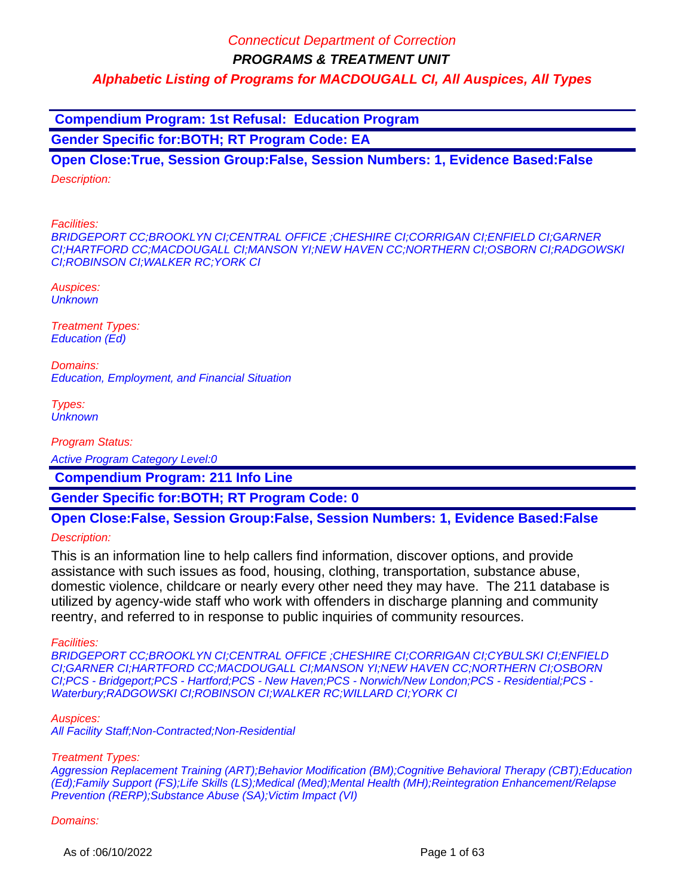**PROGRAMS & TREATMENT UNIT**

**Alphabetic Listing of Programs for MACDOUGALL CI, All Auspices, All Types**

 **Compendium Program: 1st Refusal: Education Program**

**Gender Specific for:BOTH; RT Program Code: EA**

**Open Close:True, Session Group:False, Session Numbers: 1, Evidence Based:False** Description:

Facilities:

BRIDGEPORT CC;BROOKLYN CI;CENTRAL OFFICE ;CHESHIRE CI;CORRIGAN CI;ENFIELD CI;GARNER CI;HARTFORD CC;MACDOUGALL CI;MANSON YI;NEW HAVEN CC;NORTHERN CI;OSBORN CI;RADGOWSKI CI;ROBINSON CI;WALKER RC;YORK CI

Auspices: **Unknown** 

Treatment Types: Education (Ed)

Domains: Education, Employment, and Financial Situation

Types: **Unknown** 

Program Status: Active Program Category Level:0

 **Compendium Program: 211 Info Line**

**Gender Specific for:BOTH; RT Program Code: 0**

**Open Close:False, Session Group:False, Session Numbers: 1, Evidence Based:False**

Description:

This is an information line to help callers find information, discover options, and provide assistance with such issues as food, housing, clothing, transportation, substance abuse, domestic violence, childcare or nearly every other need they may have. The 211 database is utilized by agency-wide staff who work with offenders in discharge planning and community reentry, and referred to in response to public inquiries of community resources.

Facilities:

BRIDGEPORT CC;BROOKLYN CI;CENTRAL OFFICE ;CHESHIRE CI;CORRIGAN CI;CYBULSKI CI;ENFIELD CI;GARNER CI;HARTFORD CC;MACDOUGALL CI;MANSON YI;NEW HAVEN CC;NORTHERN CI;OSBORN CI;PCS - Bridgeport;PCS - Hartford;PCS - New Haven;PCS - Norwich/New London;PCS - Residential;PCS - Waterbury;RADGOWSKI CI;ROBINSON CI;WALKER RC;WILLARD CI;YORK CI

Auspices:

All Facility Staff;Non-Contracted;Non-Residential

#### Treatment Types:

Aggression Replacement Training (ART);Behavior Modification (BM);Cognitive Behavioral Therapy (CBT);Education (Ed);Family Support (FS);Life Skills (LS);Medical (Med);Mental Health (MH);Reintegration Enhancement/Relapse Prevention (RERP);Substance Abuse (SA);Victim Impact (VI)

#### Domains: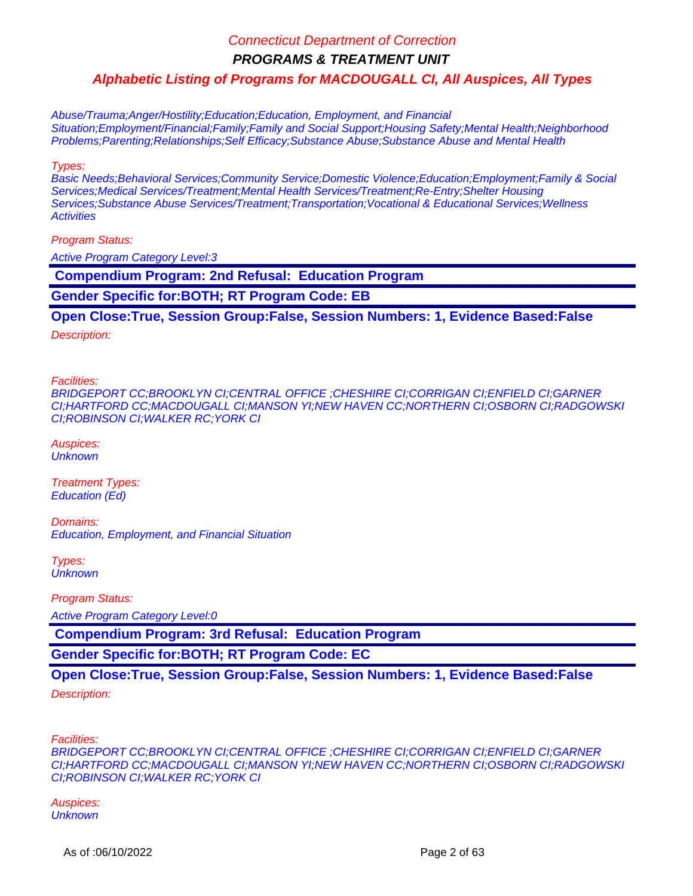**PROGRAMS & TREATMENT UNIT**

## **Alphabetic Listing of Programs for MACDOUGALL CI, All Auspices, All Types**

Abuse/Trauma;Anger/Hostility;Education;Education, Employment, and Financial Situation;Employment/Financial;Family;Family and Social Support;Housing Safety;Mental Health;Neighborhood Problems;Parenting;Relationships;Self Efficacy;Substance Abuse;Substance Abuse and Mental Health

Types:

Basic Needs;Behavioral Services;Community Service;Domestic Violence;Education;Employment;Family & Social Services;Medical Services/Treatment;Mental Health Services/Treatment;Re-Entry;Shelter Housing Services; Substance Abuse Services/Treatment; Transportation; Vocational & Educational Services; Wellness **Activities** 

Program Status:

Active Program Category Level:3

 **Compendium Program: 2nd Refusal: Education Program**

**Gender Specific for:BOTH; RT Program Code: EB**

**Open Close:True, Session Group:False, Session Numbers: 1, Evidence Based:False**

Description:

Facilities:

BRIDGEPORT CC;BROOKLYN CI;CENTRAL OFFICE ;CHESHIRE CI;CORRIGAN CI;ENFIELD CI;GARNER CI;HARTFORD CC;MACDOUGALL CI;MANSON YI;NEW HAVEN CC;NORTHERN CI;OSBORN CI;RADGOWSKI CI;ROBINSON CI;WALKER RC;YORK CI

Auspices: **Unknown** 

Treatment Types: Education (Ed)

Domains: Education, Employment, and Financial Situation

Types: **Unknown** 

Program Status:

Active Program Category Level:0

 **Compendium Program: 3rd Refusal: Education Program**

**Gender Specific for:BOTH; RT Program Code: EC**

**Open Close:True, Session Group:False, Session Numbers: 1, Evidence Based:False**

Description:

Facilities:

BRIDGEPORT CC;BROOKLYN CI;CENTRAL OFFICE ;CHESHIRE CI;CORRIGAN CI;ENFIELD CI;GARNER CI;HARTFORD CC;MACDOUGALL CI;MANSON YI;NEW HAVEN CC;NORTHERN CI;OSBORN CI;RADGOWSKI CI;ROBINSON CI;WALKER RC;YORK CI

Auspices: **Unknown**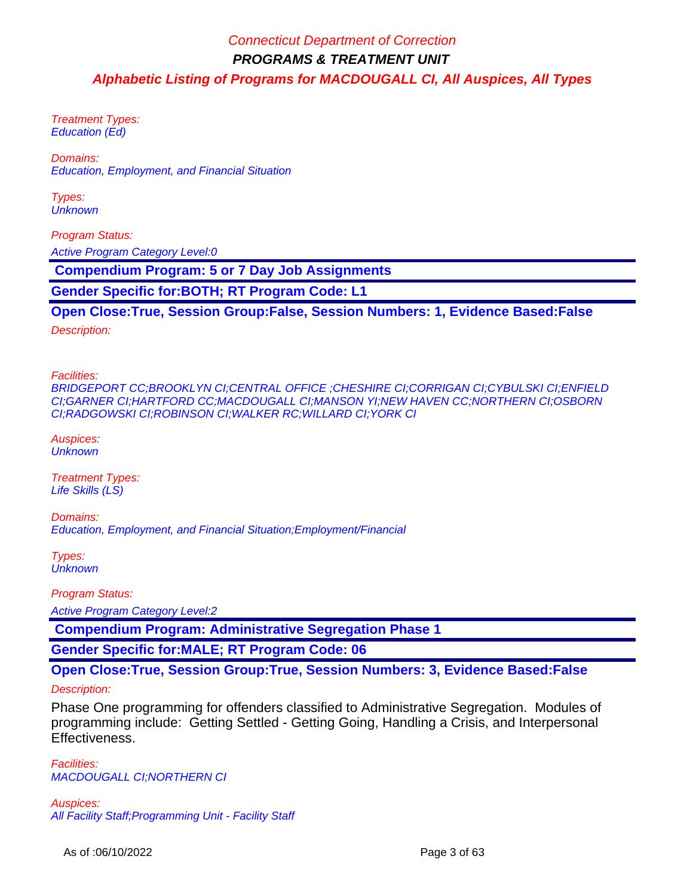Treatment Types: Education (Ed)

Domains: Education, Employment, and Financial Situation

Types: **Unknown** 

Program Status: Active Program Category Level:0

 **Compendium Program: 5 or 7 Day Job Assignments**

**Gender Specific for:BOTH; RT Program Code: L1**

**Open Close:True, Session Group:False, Session Numbers: 1, Evidence Based:False**

Description:

Facilities:

BRIDGEPORT CC;BROOKLYN CI;CENTRAL OFFICE ;CHESHIRE CI;CORRIGAN CI;CYBULSKI CI;ENFIELD CI;GARNER CI;HARTFORD CC;MACDOUGALL CI;MANSON YI;NEW HAVEN CC;NORTHERN CI;OSBORN CI;RADGOWSKI CI;ROBINSON CI;WALKER RC;WILLARD CI;YORK CI

Auspices: **Unknown** 

Treatment Types: Life Skills (LS)

Domains: Education, Employment, and Financial Situation;Employment/Financial

Types: **Unknown** 

Program Status:

Active Program Category Level:2

 **Compendium Program: Administrative Segregation Phase 1**

**Gender Specific for:MALE; RT Program Code: 06**

**Open Close:True, Session Group:True, Session Numbers: 3, Evidence Based:False**

Description:

Phase One programming for offenders classified to Administrative Segregation. Modules of programming include: Getting Settled - Getting Going, Handling a Crisis, and Interpersonal Effectiveness.

Facilities: MACDOUGALL CI;NORTHERN CI

Auspices: All Facility Staff;Programming Unit - Facility Staff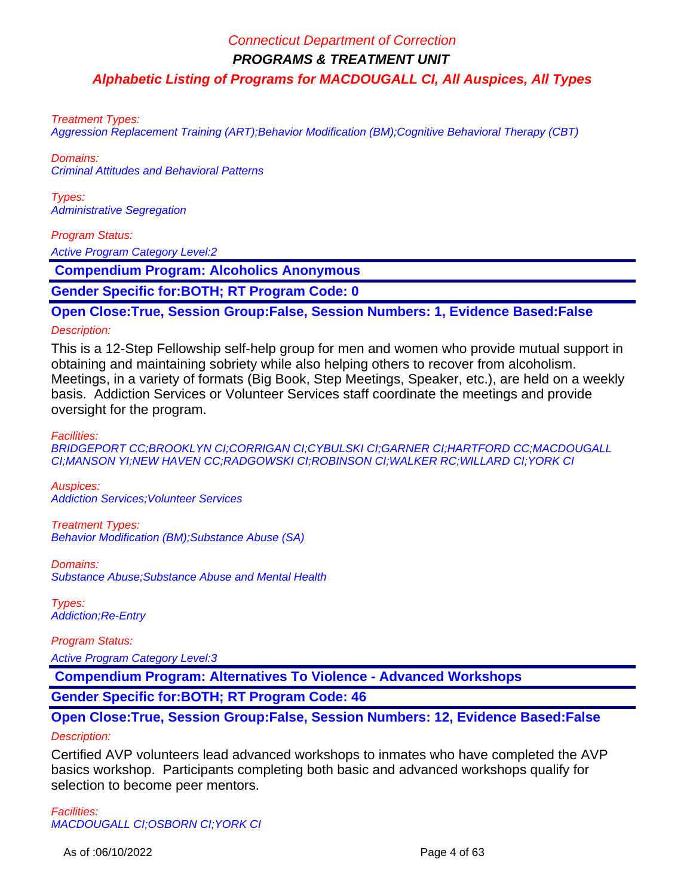**PROGRAMS & TREATMENT UNIT**

**Alphabetic Listing of Programs for MACDOUGALL CI, All Auspices, All Types**

Treatment Types:

Aggression Replacement Training (ART);Behavior Modification (BM);Cognitive Behavioral Therapy (CBT)

Domains:

Criminal Attitudes and Behavioral Patterns

Types: Administrative Segregation

Program Status:

Active Program Category Level:2

 **Compendium Program: Alcoholics Anonymous**

**Gender Specific for:BOTH; RT Program Code: 0**

**Open Close:True, Session Group:False, Session Numbers: 1, Evidence Based:False**

#### Description:

This is a 12-Step Fellowship self-help group for men and women who provide mutual support in obtaining and maintaining sobriety while also helping others to recover from alcoholism. Meetings, in a variety of formats (Big Book, Step Meetings, Speaker, etc.), are held on a weekly basis. Addiction Services or Volunteer Services staff coordinate the meetings and provide oversight for the program.

Facilities:

BRIDGEPORT CC;BROOKLYN CI;CORRIGAN CI;CYBULSKI CI;GARNER CI;HARTFORD CC;MACDOUGALL CI;MANSON YI;NEW HAVEN CC;RADGOWSKI CI;ROBINSON CI;WALKER RC;WILLARD CI;YORK CI

Auspices: Addiction Services;Volunteer Services

Treatment Types: Behavior Modification (BM);Substance Abuse (SA)

Domains: Substance Abuse;Substance Abuse and Mental Health

Types: Addiction;Re-Entry

Program Status: Active Program Category Level:3

 **Compendium Program: Alternatives To Violence - Advanced Workshops**

**Gender Specific for:BOTH; RT Program Code: 46**

## **Open Close:True, Session Group:False, Session Numbers: 12, Evidence Based:False**

#### Description:

Certified AVP volunteers lead advanced workshops to inmates who have completed the AVP basics workshop. Participants completing both basic and advanced workshops qualify for selection to become peer mentors.

Facilities: MACDOUGALL CI;OSBORN CI;YORK CI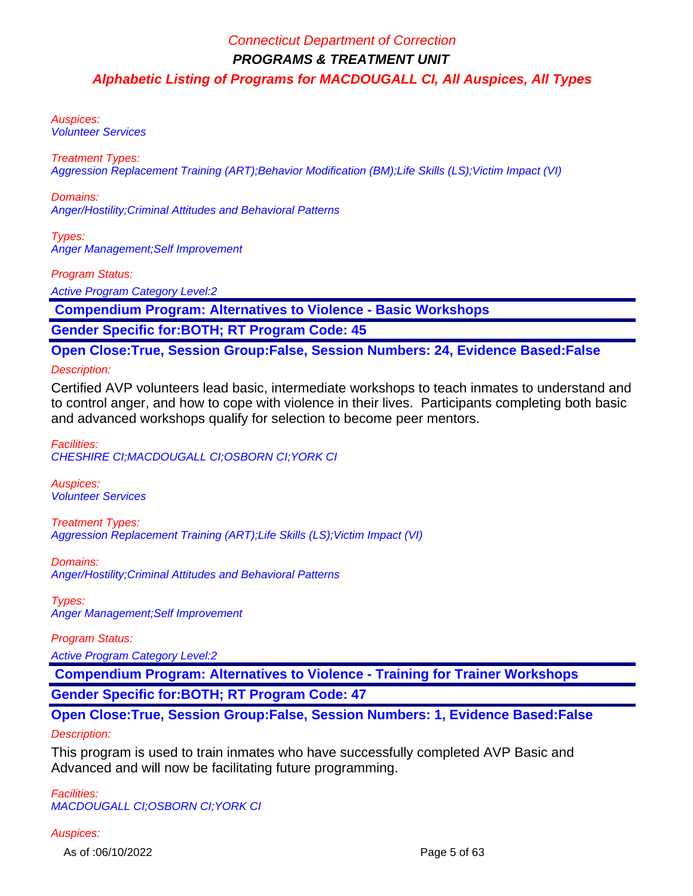Auspices: Volunteer Services

Treatment Types:

Aggression Replacement Training (ART);Behavior Modification (BM);Life Skills (LS);Victim Impact (VI)

Domains:

Anger/Hostility;Criminal Attitudes and Behavioral Patterns

Types: Anger Management;Self Improvement

Program Status:

Active Program Category Level:2

 **Compendium Program: Alternatives to Violence - Basic Workshops**

**Gender Specific for:BOTH; RT Program Code: 45**

**Open Close:True, Session Group:False, Session Numbers: 24, Evidence Based:False**

Description:

Certified AVP volunteers lead basic, intermediate workshops to teach inmates to understand and to control anger, and how to cope with violence in their lives. Participants completing both basic and advanced workshops qualify for selection to become peer mentors.

Facilities: CHESHIRE CI;MACDOUGALL CI;OSBORN CI;YORK CI

Auspices: Volunteer Services

Treatment Types: Aggression Replacement Training (ART);Life Skills (LS);Victim Impact (VI)

Domains: Anger/Hostility;Criminal Attitudes and Behavioral Patterns

Types: Anger Management;Self Improvement

Program Status:

Active Program Category Level:2

 **Compendium Program: Alternatives to Violence - Training for Trainer Workshops**

**Gender Specific for:BOTH; RT Program Code: 47**

**Open Close:True, Session Group:False, Session Numbers: 1, Evidence Based:False** Description:

This program is used to train inmates who have successfully completed AVP Basic and Advanced and will now be facilitating future programming.

Facilities: MACDOUGALL CI;OSBORN CI;YORK CI

Auspices:

As of :06/10/2022 Page 5 of 63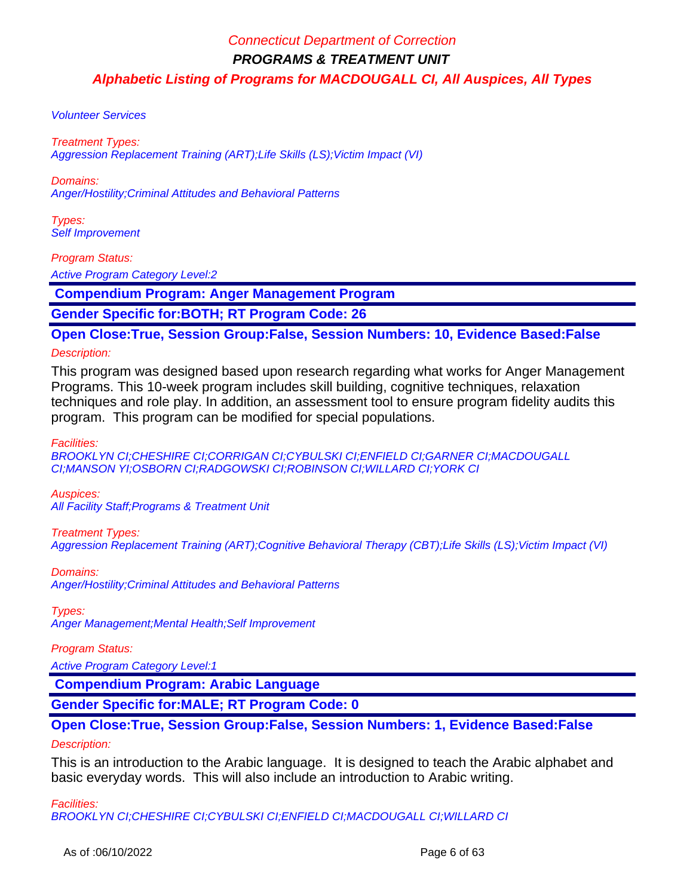Volunteer Services

Treatment Types: Aggression Replacement Training (ART);Life Skills (LS);Victim Impact (VI)

Domains: Anger/Hostility;Criminal Attitudes and Behavioral Patterns

Types: Self Improvement

Program Status:

Active Program Category Level:2

 **Compendium Program: Anger Management Program**

**Gender Specific for:BOTH; RT Program Code: 26**

**Open Close:True, Session Group:False, Session Numbers: 10, Evidence Based:False**

Description:

This program was designed based upon research regarding what works for Anger Management Programs. This 10-week program includes skill building, cognitive techniques, relaxation techniques and role play. In addition, an assessment tool to ensure program fidelity audits this program. This program can be modified for special populations.

Facilities:

BROOKLYN CI;CHESHIRE CI;CORRIGAN CI;CYBULSKI CI;ENFIELD CI;GARNER CI;MACDOUGALL CI;MANSON YI;OSBORN CI;RADGOWSKI CI;ROBINSON CI;WILLARD CI;YORK CI

Auspices: All Facility Staff;Programs & Treatment Unit

Treatment Types:

Aggression Replacement Training (ART);Cognitive Behavioral Therapy (CBT);Life Skills (LS);Victim Impact (VI)

Domains:

Anger/Hostility;Criminal Attitudes and Behavioral Patterns

Types:

Anger Management;Mental Health;Self Improvement

Program Status:

Active Program Category Level:1

 **Compendium Program: Arabic Language**

**Gender Specific for:MALE; RT Program Code: 0**

**Open Close:True, Session Group:False, Session Numbers: 1, Evidence Based:False**

Description:

This is an introduction to the Arabic language. It is designed to teach the Arabic alphabet and basic everyday words. This will also include an introduction to Arabic writing.

Facilities:

BROOKLYN CI;CHESHIRE CI;CYBULSKI CI;ENFIELD CI;MACDOUGALL CI;WILLARD CI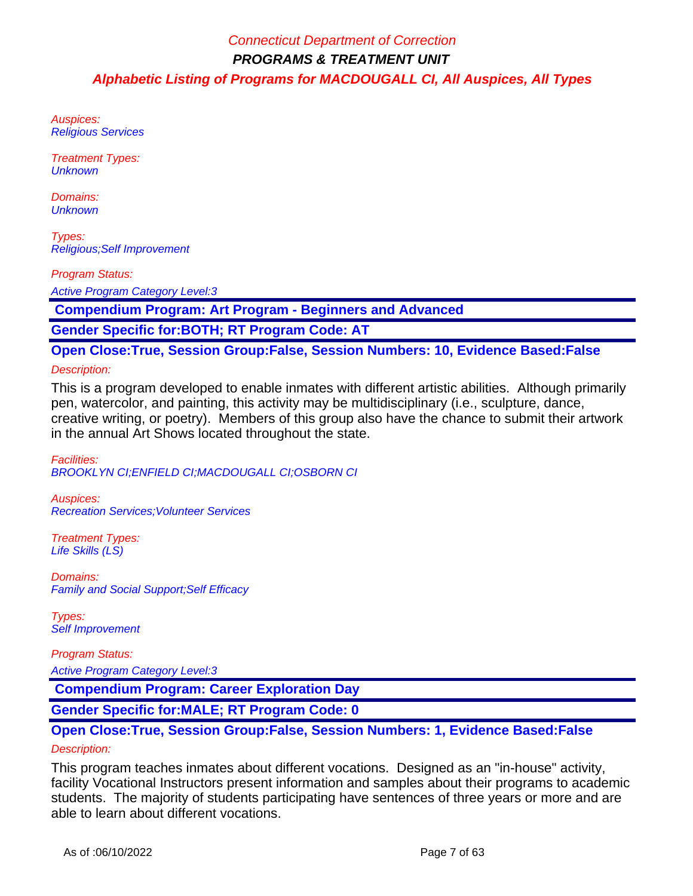Auspices: Religious Services

Treatment Types: **Unknown** 

Domains: **Unknown** 

Types: Religious;Self Improvement

Program Status:

Active Program Category Level:3

 **Compendium Program: Art Program - Beginners and Advanced**

**Gender Specific for:BOTH; RT Program Code: AT**

**Open Close:True, Session Group:False, Session Numbers: 10, Evidence Based:False**

Description:

This is a program developed to enable inmates with different artistic abilities. Although primarily pen, watercolor, and painting, this activity may be multidisciplinary (i.e., sculpture, dance, creative writing, or poetry). Members of this group also have the chance to submit their artwork in the annual Art Shows located throughout the state.

Facilities: BROOKLYN CI;ENFIELD CI;MACDOUGALL CI;OSBORN CI

Auspices: Recreation Services;Volunteer Services

Treatment Types: Life Skills (LS)

Domains: Family and Social Support;Self Efficacy

Types: Self Improvement

Program Status:

Active Program Category Level:3

 **Compendium Program: Career Exploration Day**

**Gender Specific for:MALE; RT Program Code: 0**

# **Open Close:True, Session Group:False, Session Numbers: 1, Evidence Based:False**

## Description:

This program teaches inmates about different vocations. Designed as an "in-house" activity, facility Vocational Instructors present information and samples about their programs to academic students. The majority of students participating have sentences of three years or more and are able to learn about different vocations.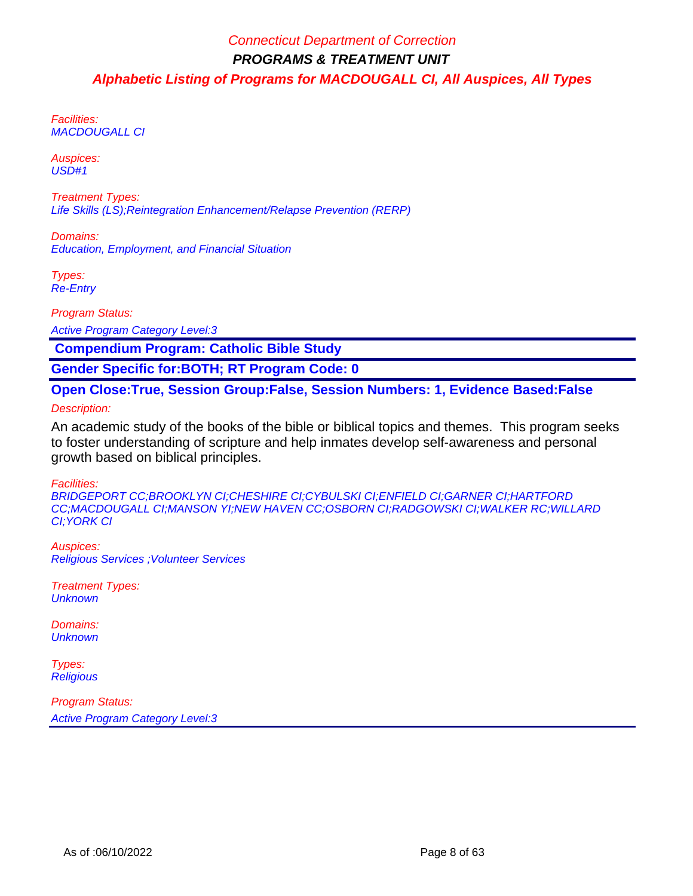Facilities: MACDOUGALL CI

Auspices: USD#1

Treatment Types: Life Skills (LS);Reintegration Enhancement/Relapse Prevention (RERP)

Domains: Education, Employment, and Financial Situation

Types: Re-Entry

Program Status:

Active Program Category Level:3

 **Compendium Program: Catholic Bible Study**

**Gender Specific for:BOTH; RT Program Code: 0**

**Open Close:True, Session Group:False, Session Numbers: 1, Evidence Based:False** Description:

An academic study of the books of the bible or biblical topics and themes. This program seeks to foster understanding of scripture and help inmates develop self-awareness and personal growth based on biblical principles.

Facilities:

BRIDGEPORT CC;BROOKLYN CI;CHESHIRE CI;CYBULSKI CI;ENFIELD CI;GARNER CI;HARTFORD CC;MACDOUGALL CI;MANSON YI;NEW HAVEN CC;OSBORN CI;RADGOWSKI CI;WALKER RC;WILLARD CI;YORK CI

Auspices: Religious Services ;Volunteer Services

Treatment Types: **Unknown** 

Domains: **Unknown** 

Types: **Religious**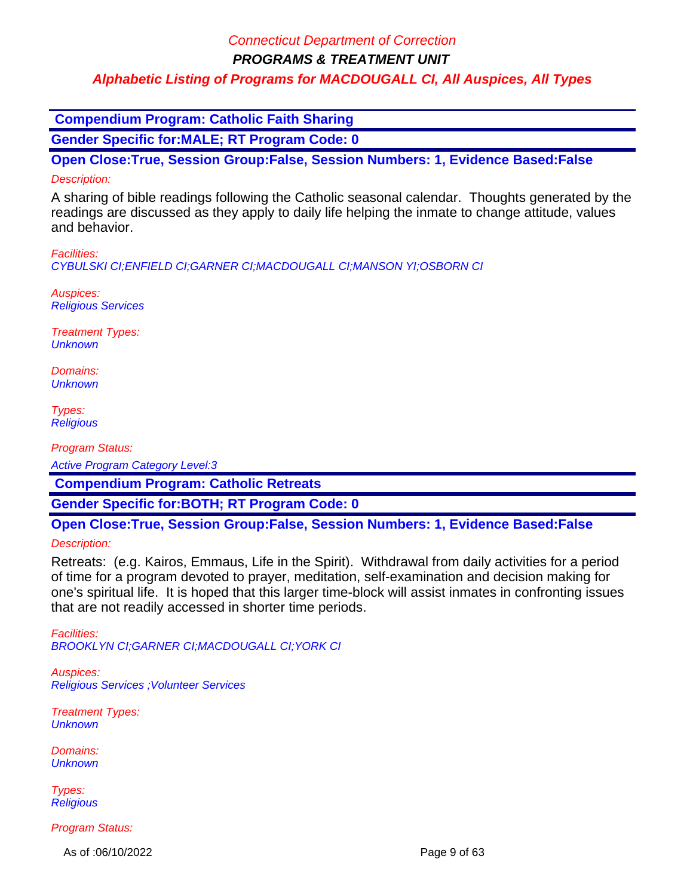**PROGRAMS & TREATMENT UNIT**

# **Alphabetic Listing of Programs for MACDOUGALL CI, All Auspices, All Types**

 **Compendium Program: Catholic Faith Sharing Gender Specific for:MALE; RT Program Code: 0 Open Close:True, Session Group:False, Session Numbers: 1, Evidence Based:False** Description: A sharing of bible readings following the Catholic seasonal calendar. Thoughts generated by the readings are discussed as they apply to daily life helping the inmate to change attitude, values

Facilities:

CYBULSKI CI;ENFIELD CI;GARNER CI;MACDOUGALL CI;MANSON YI;OSBORN CI

Auspices: Religious Services

and behavior.

Treatment Types: **Unknown** 

Domains: **Unknown** 

Types: **Religious** 

Program Status:

Active Program Category Level:3

 **Compendium Program: Catholic Retreats**

**Gender Specific for:BOTH; RT Program Code: 0**

**Open Close:True, Session Group:False, Session Numbers: 1, Evidence Based:False**

Description:

Retreats: (e.g. Kairos, Emmaus, Life in the Spirit). Withdrawal from daily activities for a period of time for a program devoted to prayer, meditation, self-examination and decision making for one's spiritual life. It is hoped that this larger time-block will assist inmates in confronting issues that are not readily accessed in shorter time periods.

Facilities: BROOKLYN CI;GARNER CI;MACDOUGALL CI;YORK CI

Auspices: Religious Services ;Volunteer Services

Treatment Types: **Unknown** 

Domains: **Unknown** 

Types: **Religious** 

Program Status:

As of :06/10/2022 Page 9 of 63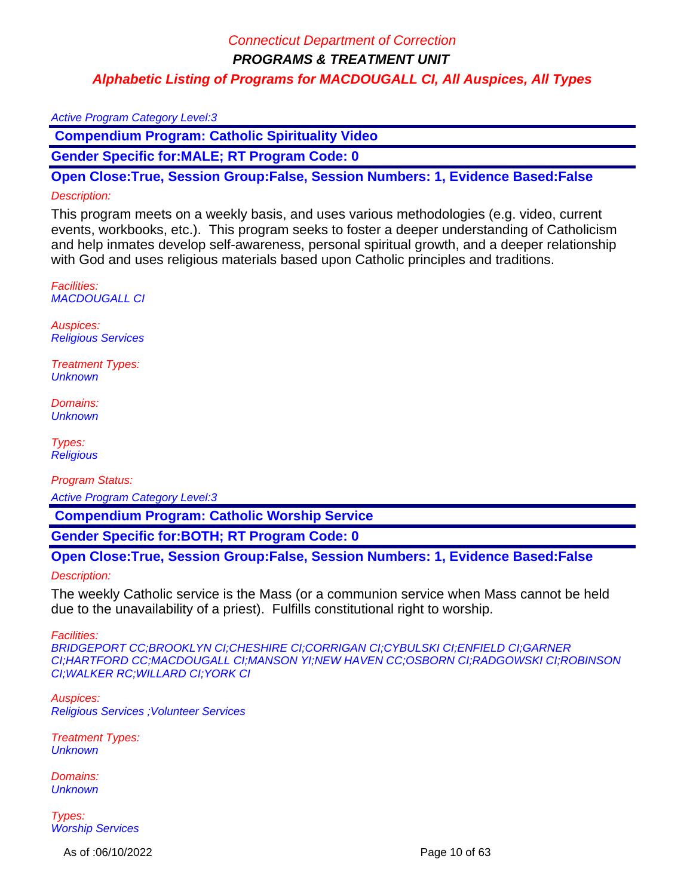#### Active Program Category Level:3

 **Compendium Program: Catholic Spirituality Video**

**Gender Specific for:MALE; RT Program Code: 0**

**Open Close:True, Session Group:False, Session Numbers: 1, Evidence Based:False**

#### Description:

This program meets on a weekly basis, and uses various methodologies (e.g. video, current events, workbooks, etc.). This program seeks to foster a deeper understanding of Catholicism and help inmates develop self-awareness, personal spiritual growth, and a deeper relationship with God and uses religious materials based upon Catholic principles and traditions.

Facilities: MACDOUGALL CI

Auspices: Religious Services

Treatment Types: **Unknown** 

Domains: **Unknown** 

Types: **Religious** 

Program Status:

Active Program Category Level:3

 **Compendium Program: Catholic Worship Service**

**Gender Specific for:BOTH; RT Program Code: 0**

**Open Close:True, Session Group:False, Session Numbers: 1, Evidence Based:False**

Description:

The weekly Catholic service is the Mass (or a communion service when Mass cannot be held due to the unavailability of a priest). Fulfills constitutional right to worship.

Facilities:

BRIDGEPORT CC;BROOKLYN CI;CHESHIRE CI;CORRIGAN CI;CYBULSKI CI;ENFIELD CI;GARNER CI;HARTFORD CC;MACDOUGALL CI;MANSON YI;NEW HAVEN CC;OSBORN CI;RADGOWSKI CI;ROBINSON CI;WALKER RC;WILLARD CI;YORK CI

Auspices: Religious Services ;Volunteer Services

Treatment Types: **Unknown** 

Domains: **Unknown** 

Types: Worship Services

As of :06/10/2022 **Page 10 of 63**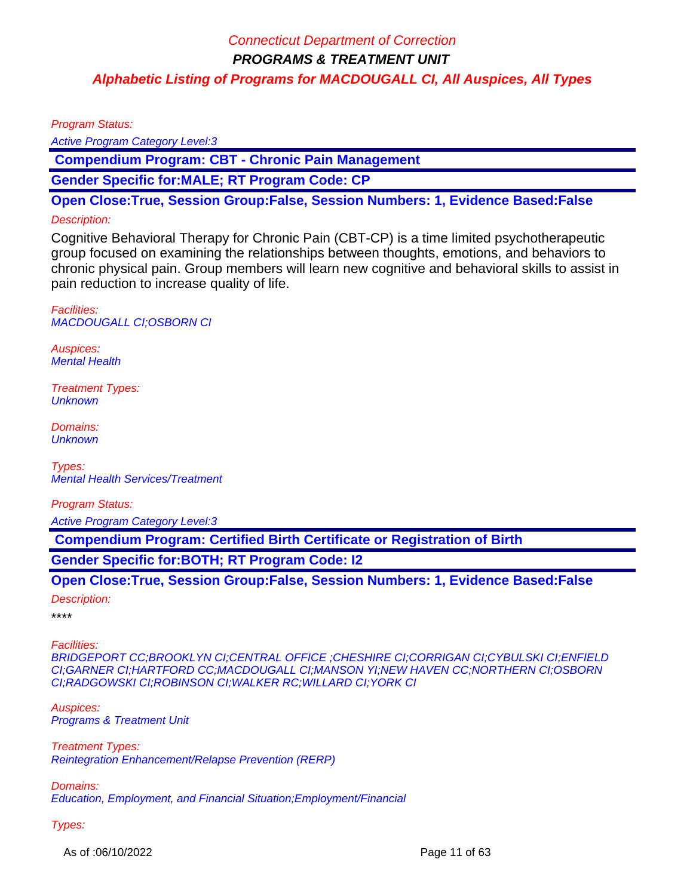Program Status:

Active Program Category Level:3

 **Compendium Program: CBT - Chronic Pain Management**

**Gender Specific for:MALE; RT Program Code: CP**

**Open Close:True, Session Group:False, Session Numbers: 1, Evidence Based:False**

#### Description:

Cognitive Behavioral Therapy for Chronic Pain (CBT-CP) is a time limited psychotherapeutic group focused on examining the relationships between thoughts, emotions, and behaviors to chronic physical pain. Group members will learn new cognitive and behavioral skills to assist in pain reduction to increase quality of life.

Facilities: MACDOUGALL CI;OSBORN CI

Auspices: Mental Health

Treatment Types: **Unknown** 

Domains: **Unknown** 

Types: Mental Health Services/Treatment

Program Status:

Active Program Category Level:3

 **Compendium Program: Certified Birth Certificate or Registration of Birth**

**Gender Specific for:BOTH; RT Program Code: I2**

**Open Close:True, Session Group:False, Session Numbers: 1, Evidence Based:False**

Description:

\*\*\*\*

Facilities:

BRIDGEPORT CC;BROOKLYN CI;CENTRAL OFFICE ;CHESHIRE CI;CORRIGAN CI;CYBULSKI CI;ENFIELD CI;GARNER CI;HARTFORD CC;MACDOUGALL CI;MANSON YI;NEW HAVEN CC;NORTHERN CI;OSBORN CI;RADGOWSKI CI;ROBINSON CI;WALKER RC;WILLARD CI;YORK CI

Auspices: Programs & Treatment Unit

Treatment Types: Reintegration Enhancement/Relapse Prevention (RERP)

Domains: Education, Employment, and Financial Situation;Employment/Financial

Types:

As of :06/10/2022 **Page 11 of 63**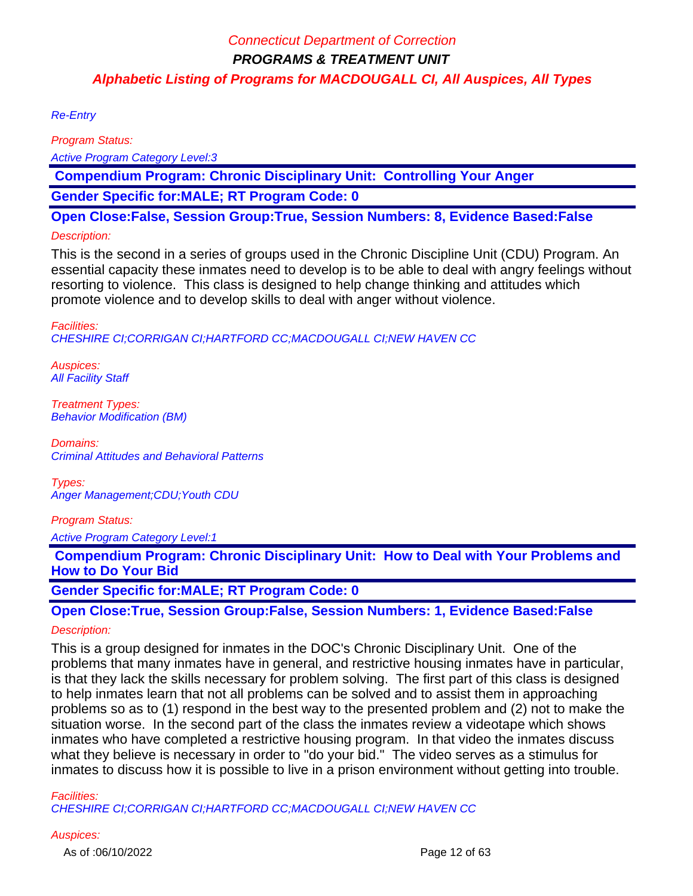Re-Entry

Program Status:

Active Program Category Level:3

 **Compendium Program: Chronic Disciplinary Unit: Controlling Your Anger**

**Gender Specific for:MALE; RT Program Code: 0**

**Open Close:False, Session Group:True, Session Numbers: 8, Evidence Based:False**

## Description:

This is the second in a series of groups used in the Chronic Discipline Unit (CDU) Program. An essential capacity these inmates need to develop is to be able to deal with angry feelings without resorting to violence. This class is designed to help change thinking and attitudes which promote violence and to develop skills to deal with anger without violence.

Facilities: CHESHIRE CI;CORRIGAN CI;HARTFORD CC;MACDOUGALL CI;NEW HAVEN CC

Auspices: **All Facility Staff** 

Treatment Types: Behavior Modification (BM)

Domains: Criminal Attitudes and Behavioral Patterns

Types: Anger Management;CDU;Youth CDU

Program Status:

Active Program Category Level:1

 **Compendium Program: Chronic Disciplinary Unit: How to Deal with Your Problems and How to Do Your Bid**

# **Gender Specific for:MALE; RT Program Code: 0**

**Open Close:True, Session Group:False, Session Numbers: 1, Evidence Based:False** Description:

This is a group designed for inmates in the DOC's Chronic Disciplinary Unit. One of the problems that many inmates have in general, and restrictive housing inmates have in particular, is that they lack the skills necessary for problem solving. The first part of this class is designed to help inmates learn that not all problems can be solved and to assist them in approaching problems so as to (1) respond in the best way to the presented problem and (2) not to make the situation worse. In the second part of the class the inmates review a videotape which shows inmates who have completed a restrictive housing program. In that video the inmates discuss what they believe is necessary in order to "do your bid." The video serves as a stimulus for inmates to discuss how it is possible to live in a prison environment without getting into trouble.

Facilities:

CHESHIRE CI;CORRIGAN CI;HARTFORD CC;MACDOUGALL CI;NEW HAVEN CC

Auspices: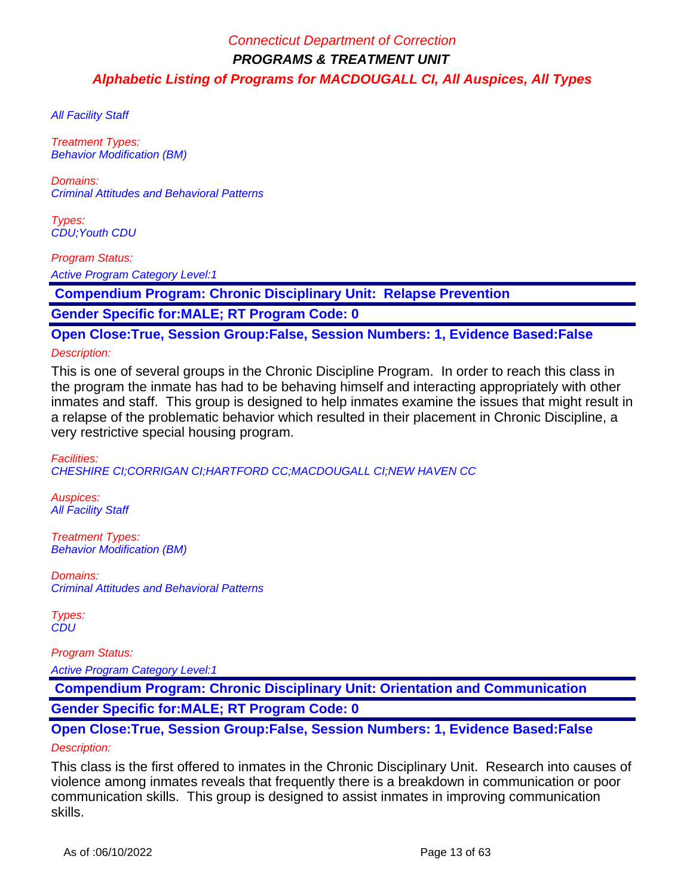**All Facility Staff** 

Treatment Types: Behavior Modification (BM)

Domains: Criminal Attitudes and Behavioral Patterns

Types: CDU;Youth CDU

Program Status:

Active Program Category Level:1

 **Compendium Program: Chronic Disciplinary Unit: Relapse Prevention**

**Gender Specific for:MALE; RT Program Code: 0**

**Open Close:True, Session Group:False, Session Numbers: 1, Evidence Based:False**

#### Description:

This is one of several groups in the Chronic Discipline Program. In order to reach this class in the program the inmate has had to be behaving himself and interacting appropriately with other inmates and staff. This group is designed to help inmates examine the issues that might result in a relapse of the problematic behavior which resulted in their placement in Chronic Discipline, a very restrictive special housing program.

Facilities: CHESHIRE CI;CORRIGAN CI;HARTFORD CC;MACDOUGALL CI;NEW HAVEN CC

Auspices: **All Facility Staff** 

Treatment Types: Behavior Modification (BM)

Domains: Criminal Attitudes and Behavioral Patterns

Types: **CDU** 

Program Status:

Active Program Category Level:1

 **Compendium Program: Chronic Disciplinary Unit: Orientation and Communication Gender Specific for:MALE; RT Program Code: 0**

## **Open Close:True, Session Group:False, Session Numbers: 1, Evidence Based:False** Description:

This class is the first offered to inmates in the Chronic Disciplinary Unit. Research into causes of violence among inmates reveals that frequently there is a breakdown in communication or poor communication skills. This group is designed to assist inmates in improving communication skills.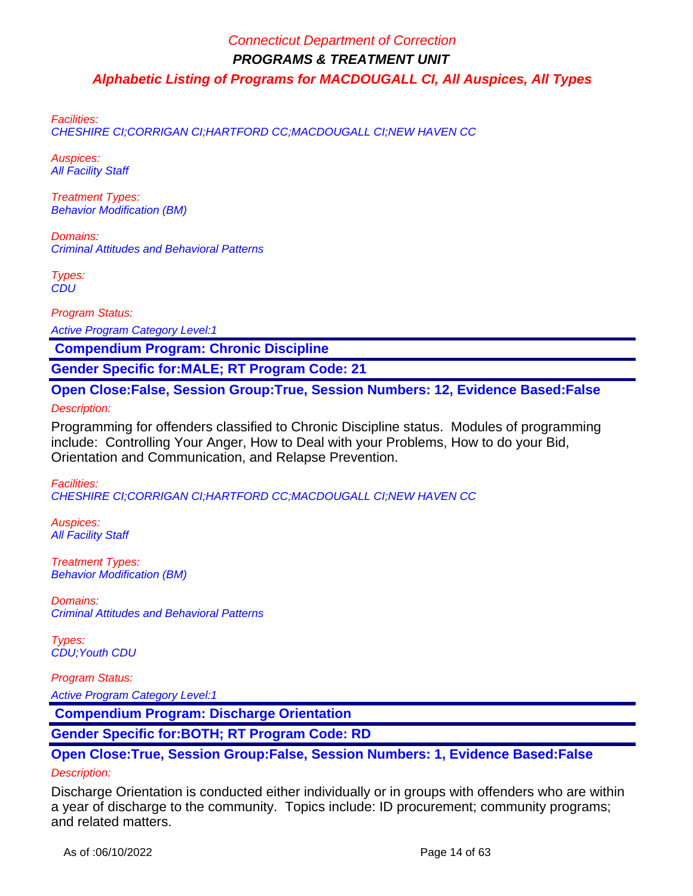Facilities:

CHESHIRE CI;CORRIGAN CI;HARTFORD CC;MACDOUGALL CI;NEW HAVEN CC

Auspices: **All Facility Staff** 

Treatment Types: Behavior Modification (BM)

Domains: Criminal Attitudes and Behavioral Patterns

Types: **CDU** 

Program Status:

Active Program Category Level:1

 **Compendium Program: Chronic Discipline**

**Gender Specific for:MALE; RT Program Code: 21**

**Open Close:False, Session Group:True, Session Numbers: 12, Evidence Based:False** Description:

Programming for offenders classified to Chronic Discipline status. Modules of programming include: Controlling Your Anger, How to Deal with your Problems, How to do your Bid, Orientation and Communication, and Relapse Prevention.

Facilities:

CHESHIRE CI;CORRIGAN CI;HARTFORD CC;MACDOUGALL CI;NEW HAVEN CC

Auspices: **All Facility Staff** 

Treatment Types: Behavior Modification (BM)

Domains: Criminal Attitudes and Behavioral Patterns

Types: CDU; Youth CDU

Program Status:

Active Program Category Level:1

 **Compendium Program: Discharge Orientation**

**Gender Specific for:BOTH; RT Program Code: RD**

**Open Close:True, Session Group:False, Session Numbers: 1, Evidence Based:False**

#### Description:

Discharge Orientation is conducted either individually or in groups with offenders who are within a year of discharge to the community. Topics include: ID procurement; community programs; and related matters.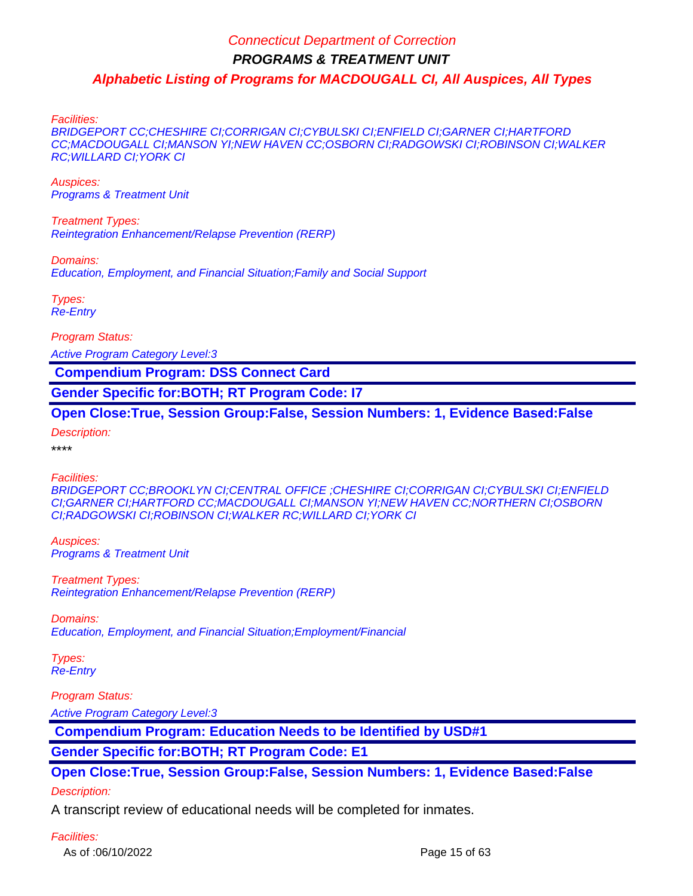Facilities:

BRIDGEPORT CC;CHESHIRE CI;CORRIGAN CI;CYBULSKI CI;ENFIELD CI;GARNER CI;HARTFORD CC;MACDOUGALL CI;MANSON YI;NEW HAVEN CC;OSBORN CI;RADGOWSKI CI;ROBINSON CI;WALKER RC;WILLARD CI;YORK CI

Auspices: Programs & Treatment Unit

Treatment Types: Reintegration Enhancement/Relapse Prevention (RERP)

Domains:

Education, Employment, and Financial Situation;Family and Social Support

Types: Re-Entry

Program Status:

Active Program Category Level:3

 **Compendium Program: DSS Connect Card**

**Gender Specific for:BOTH; RT Program Code: I7**

**Open Close:True, Session Group:False, Session Numbers: 1, Evidence Based:False**

Description:

\*\*\*\*

Facilities:

BRIDGEPORT CC;BROOKLYN CI;CENTRAL OFFICE ;CHESHIRE CI;CORRIGAN CI;CYBULSKI CI;ENFIELD CI;GARNER CI;HARTFORD CC;MACDOUGALL CI;MANSON YI;NEW HAVEN CC;NORTHERN CI;OSBORN CI;RADGOWSKI CI;ROBINSON CI;WALKER RC;WILLARD CI;YORK CI

Auspices: Programs & Treatment Unit

Treatment Types: Reintegration Enhancement/Relapse Prevention (RERP)

Domains:

Education, Employment, and Financial Situation;Employment/Financial

Types: Re-Entry

Program Status:

Active Program Category Level:3

 **Compendium Program: Education Needs to be Identified by USD#1**

**Gender Specific for:BOTH; RT Program Code: E1**

**Open Close:True, Session Group:False, Session Numbers: 1, Evidence Based:False**

Description:

A transcript review of educational needs will be completed for inmates.

Facilities:

As of :06/10/2022 **Page 15 of 63**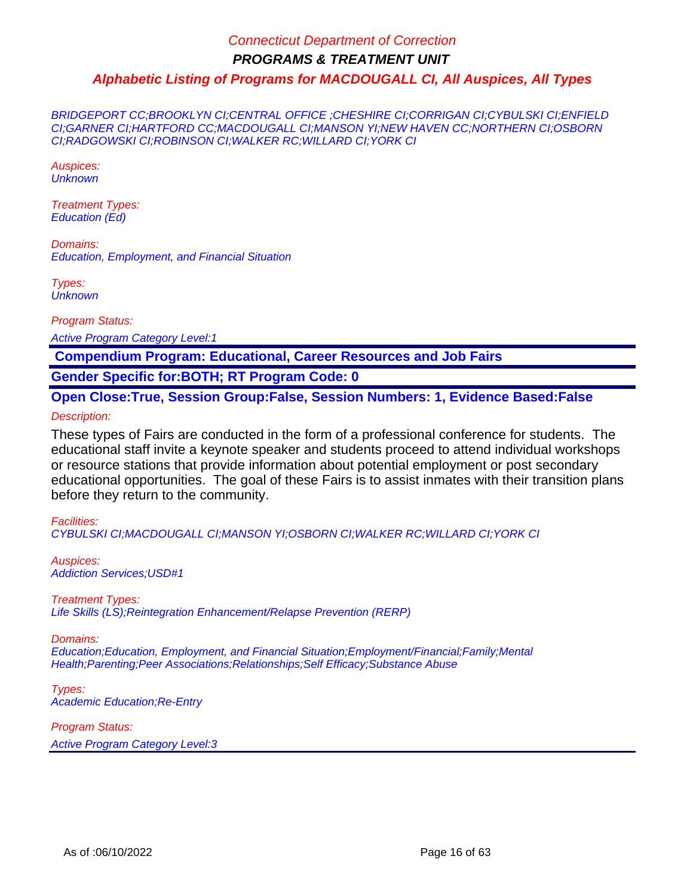BRIDGEPORT CC;BROOKLYN CI;CENTRAL OFFICE ;CHESHIRE CI;CORRIGAN CI;CYBULSKI CI;ENFIELD CI;GARNER CI;HARTFORD CC;MACDOUGALL CI;MANSON YI;NEW HAVEN CC;NORTHERN CI;OSBORN CI;RADGOWSKI CI;ROBINSON CI;WALKER RC;WILLARD CI;YORK CI

Auspices: **Unknown** 

Treatment Types: Education (Ed)

Domains: Education, Employment, and Financial Situation

Types: **Unknown** 

Program Status:

Active Program Category Level:1

 **Compendium Program: Educational, Career Resources and Job Fairs**

**Gender Specific for:BOTH; RT Program Code: 0**

**Open Close:True, Session Group:False, Session Numbers: 1, Evidence Based:False**

Description:

These types of Fairs are conducted in the form of a professional conference for students. The educational staff invite a keynote speaker and students proceed to attend individual workshops or resource stations that provide information about potential employment or post secondary educational opportunities. The goal of these Fairs is to assist inmates with their transition plans before they return to the community.

#### Facilities:

CYBULSKI CI;MACDOUGALL CI;MANSON YI;OSBORN CI;WALKER RC;WILLARD CI;YORK CI

Auspices: Addiction Services;USD#1

Treatment Types: Life Skills (LS);Reintegration Enhancement/Relapse Prevention (RERP)

Domains:

Education;Education, Employment, and Financial Situation;Employment/Financial;Family;Mental Health;Parenting;Peer Associations;Relationships;Self Efficacy;Substance Abuse

Types: Academic Education;Re-Entry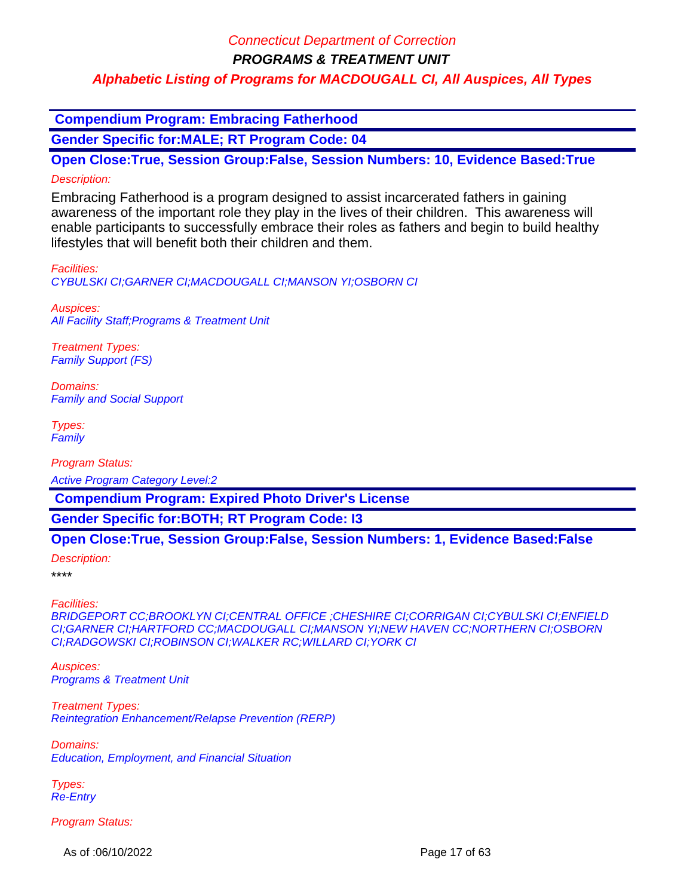**PROGRAMS & TREATMENT UNIT**

## **Alphabetic Listing of Programs for MACDOUGALL CI, All Auspices, All Types**

 **Compendium Program: Embracing Fatherhood**

**Gender Specific for:MALE; RT Program Code: 04**

**Open Close:True, Session Group:False, Session Numbers: 10, Evidence Based:True** Description:

Embracing Fatherhood is a program designed to assist incarcerated fathers in gaining awareness of the important role they play in the lives of their children. This awareness will enable participants to successfully embrace their roles as fathers and begin to build healthy lifestyles that will benefit both their children and them.

Facilities: CYBULSKI CI;GARNER CI;MACDOUGALL CI;MANSON YI;OSBORN CI

Auspices: All Facility Staff;Programs & Treatment Unit

Treatment Types: Family Support (FS)

Domains: Family and Social Support

Types: Family

Program Status:

Active Program Category Level:2

 **Compendium Program: Expired Photo Driver's License**

**Gender Specific for:BOTH; RT Program Code: I3**

## **Open Close:True, Session Group:False, Session Numbers: 1, Evidence Based:False**

Description:

\*\*\*\*

Facilities:

BRIDGEPORT CC;BROOKLYN CI;CENTRAL OFFICE ;CHESHIRE CI;CORRIGAN CI;CYBULSKI CI;ENFIELD CI;GARNER CI;HARTFORD CC;MACDOUGALL CI;MANSON YI;NEW HAVEN CC;NORTHERN CI;OSBORN CI;RADGOWSKI CI;ROBINSON CI;WALKER RC;WILLARD CI;YORK CI

Auspices: Programs & Treatment Unit

Treatment Types: Reintegration Enhancement/Relapse Prevention (RERP)

Domains: Education, Employment, and Financial Situation

Types: Re-Entry

Program Status:

As of :06/10/2022 **Page 17 of 63**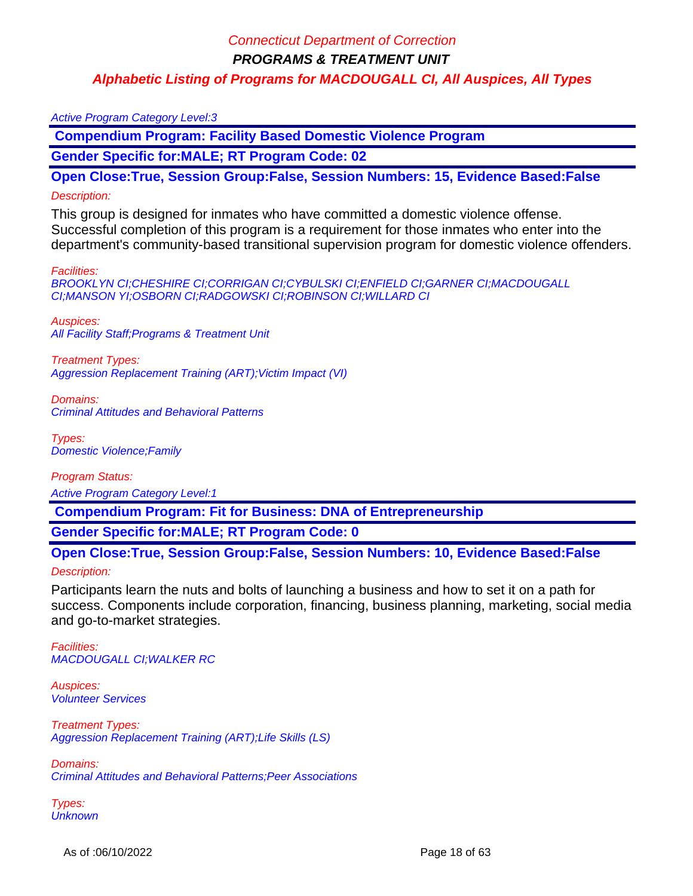#### Active Program Category Level:3

 **Compendium Program: Facility Based Domestic Violence Program**

**Gender Specific for:MALE; RT Program Code: 02**

**Open Close:True, Session Group:False, Session Numbers: 15, Evidence Based:False**

#### Description:

This group is designed for inmates who have committed a domestic violence offense. Successful completion of this program is a requirement for those inmates who enter into the department's community-based transitional supervision program for domestic violence offenders.

#### Facilities:

BROOKLYN CI;CHESHIRE CI;CORRIGAN CI;CYBULSKI CI;ENFIELD CI;GARNER CI;MACDOUGALL CI;MANSON YI;OSBORN CI;RADGOWSKI CI;ROBINSON CI;WILLARD CI

Auspices: All Facility Staff;Programs & Treatment Unit

Treatment Types: Aggression Replacement Training (ART); Victim Impact (VI)

Domains: Criminal Attitudes and Behavioral Patterns

Types: Domestic Violence;Family

Program Status: Active Program Category Level:1

 **Compendium Program: Fit for Business: DNA of Entrepreneurship** 

**Gender Specific for:MALE; RT Program Code: 0**

# **Open Close:True, Session Group:False, Session Numbers: 10, Evidence Based:False**

#### Description:

Participants learn the nuts and bolts of launching a business and how to set it on a path for success. Components include corporation, financing, business planning, marketing, social media and go-to-market strategies.

Facilities: MACDOUGALL CI;WALKER RC

Auspices: Volunteer Services

Treatment Types: Aggression Replacement Training (ART);Life Skills (LS)

Domains: Criminal Attitudes and Behavioral Patterns;Peer Associations

Types: **Unknown**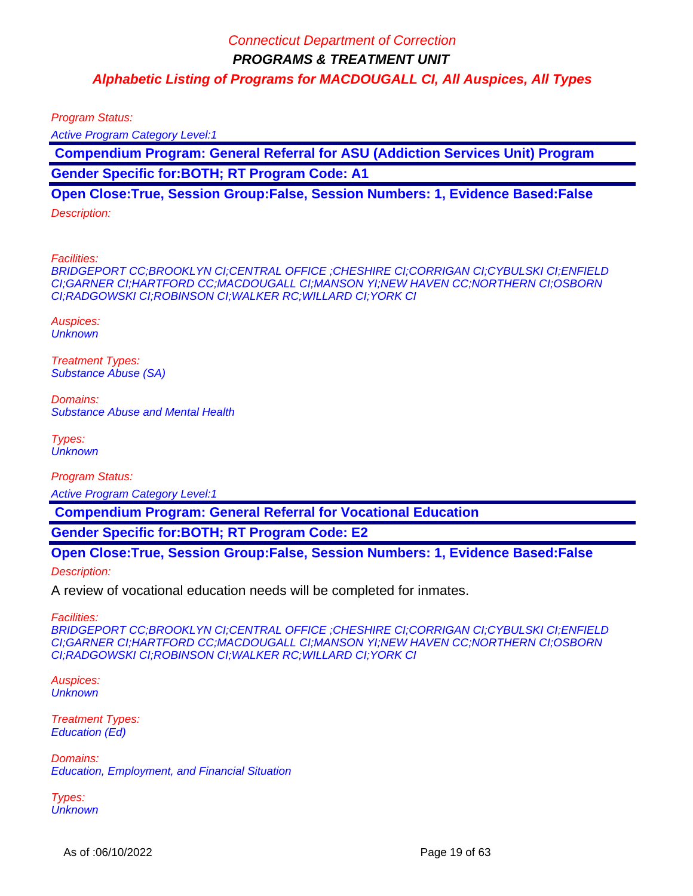Program Status:

Active Program Category Level:1

 **Compendium Program: General Referral for ASU (Addiction Services Unit) Program Gender Specific for:BOTH; RT Program Code: A1**

#### **Open Close:True, Session Group:False, Session Numbers: 1, Evidence Based:False**

Description:

Facilities:

BRIDGEPORT CC;BROOKLYN CI;CENTRAL OFFICE ;CHESHIRE CI;CORRIGAN CI;CYBULSKI CI;ENFIELD CI;GARNER CI;HARTFORD CC;MACDOUGALL CI;MANSON YI;NEW HAVEN CC;NORTHERN CI;OSBORN CI;RADGOWSKI CI;ROBINSON CI;WALKER RC;WILLARD CI;YORK CI

Auspices: **Unknown** 

Treatment Types: Substance Abuse (SA)

Domains: Substance Abuse and Mental Health

Types: **Unknown** 

Program Status:

Active Program Category Level:1

 **Compendium Program: General Referral for Vocational Education**

**Gender Specific for:BOTH; RT Program Code: E2**

**Open Close:True, Session Group:False, Session Numbers: 1, Evidence Based:False**

Description:

A review of vocational education needs will be completed for inmates.

Facilities:

BRIDGEPORT CC;BROOKLYN CI;CENTRAL OFFICE ;CHESHIRE CI;CORRIGAN CI;CYBULSKI CI;ENFIELD CI;GARNER CI;HARTFORD CC;MACDOUGALL CI;MANSON YI;NEW HAVEN CC;NORTHERN CI;OSBORN CI;RADGOWSKI CI;ROBINSON CI;WALKER RC;WILLARD CI;YORK CI

Auspices: **Unknown** 

Treatment Types: Education (Ed)

Domains: Education, Employment, and Financial Situation

Types: **Unknown**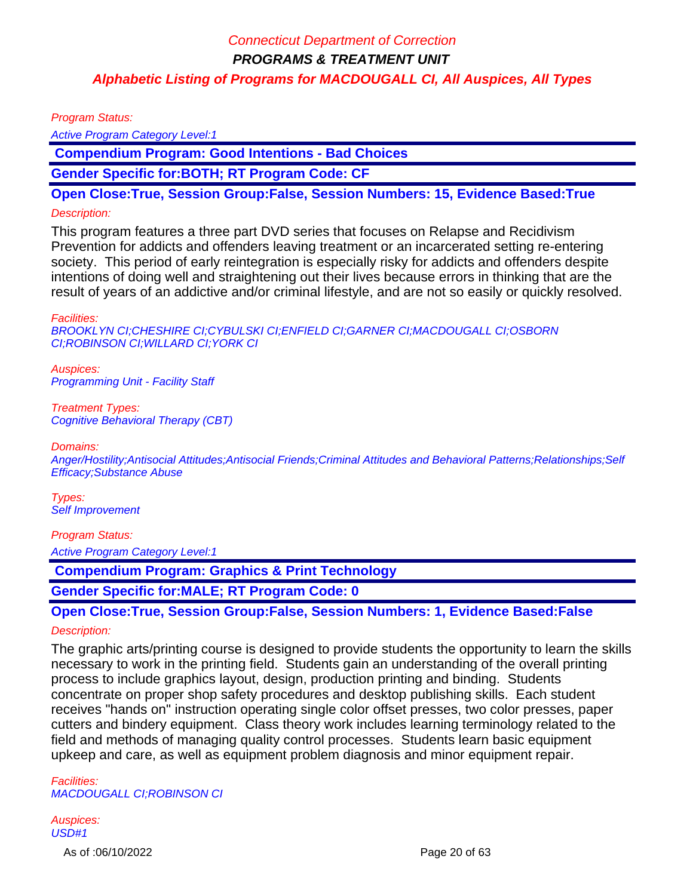Program Status:

Active Program Category Level:1

 **Compendium Program: Good Intentions - Bad Choices**

**Gender Specific for:BOTH; RT Program Code: CF**

**Open Close:True, Session Group:False, Session Numbers: 15, Evidence Based:True**

#### Description:

This program features a three part DVD series that focuses on Relapse and Recidivism Prevention for addicts and offenders leaving treatment or an incarcerated setting re-entering society. This period of early reintegration is especially risky for addicts and offenders despite intentions of doing well and straightening out their lives because errors in thinking that are the result of years of an addictive and/or criminal lifestyle, and are not so easily or quickly resolved.

Facilities:

BROOKLYN CI;CHESHIRE CI;CYBULSKI CI;ENFIELD CI;GARNER CI;MACDOUGALL CI;OSBORN CI;ROBINSON CI;WILLARD CI;YORK CI

Auspices: Programming Unit - Facility Staff

Treatment Types: Cognitive Behavioral Therapy (CBT)

Domains:

Anger/Hostility;Antisocial Attitudes;Antisocial Friends;Criminal Attitudes and Behavioral Patterns;Relationships;Self Efficacy;Substance Abuse

Types: Self Improvement

Program Status:

Active Program Category Level:1

 **Compendium Program: Graphics & Print Technology** 

**Gender Specific for:MALE; RT Program Code: 0**

**Open Close:True, Session Group:False, Session Numbers: 1, Evidence Based:False**

#### Description:

The graphic arts/printing course is designed to provide students the opportunity to learn the skills necessary to work in the printing field. Students gain an understanding of the overall printing process to include graphics layout, design, production printing and binding. Students concentrate on proper shop safety procedures and desktop publishing skills. Each student receives "hands on" instruction operating single color offset presses, two color presses, paper cutters and bindery equipment. Class theory work includes learning terminology related to the field and methods of managing quality control processes. Students learn basic equipment upkeep and care, as well as equipment problem diagnosis and minor equipment repair.

Facilities: MACDOUGALL CI;ROBINSON CI

Auspices: USD#1

As of :06/10/2022 Page 20 of 63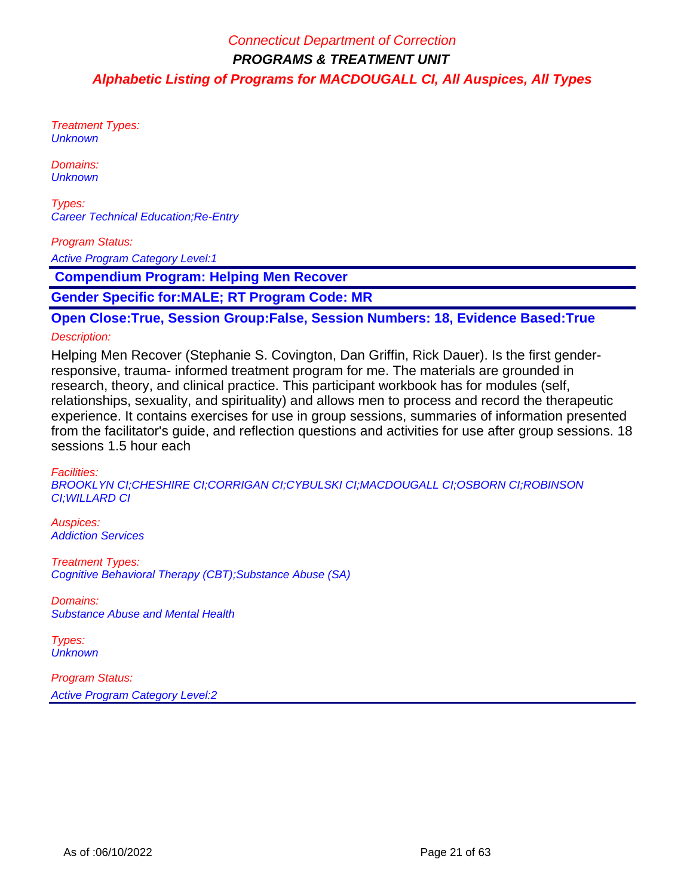Treatment Types: **Unknown** 

Domains: **Unknown** 

Types: Career Technical Education;Re-Entry

Program Status:

Active Program Category Level:1

 **Compendium Program: Helping Men Recover**

**Gender Specific for:MALE; RT Program Code: MR**

**Open Close:True, Session Group:False, Session Numbers: 18, Evidence Based:True**

#### Description:

Helping Men Recover (Stephanie S. Covington, Dan Griffin, Rick Dauer). Is the first genderresponsive, trauma- informed treatment program for me. The materials are grounded in research, theory, and clinical practice. This participant workbook has for modules (self, relationships, sexuality, and spirituality) and allows men to process and record the therapeutic experience. It contains exercises for use in group sessions, summaries of information presented from the facilitator's guide, and reflection questions and activities for use after group sessions. 18 sessions 1.5 hour each

Facilities: BROOKLYN CI;CHESHIRE CI;CORRIGAN CI;CYBULSKI CI;MACDOUGALL CI;OSBORN CI;ROBINSON CI;WILLARD CI

Auspices: Addiction Services

Treatment Types: Cognitive Behavioral Therapy (CBT);Substance Abuse (SA)

Domains: Substance Abuse and Mental Health

Types: **Unknown**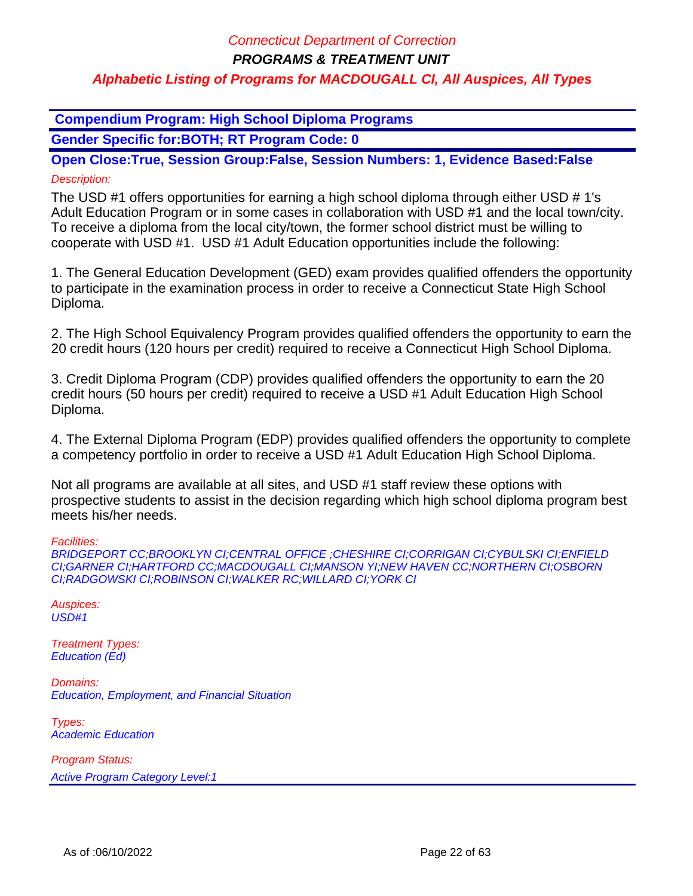**PROGRAMS & TREATMENT UNIT**

## **Alphabetic Listing of Programs for MACDOUGALL CI, All Auspices, All Types**

 **Compendium Program: High School Diploma Programs**

**Gender Specific for:BOTH; RT Program Code: 0**

**Open Close:True, Session Group:False, Session Numbers: 1, Evidence Based:False** Description:

The USD #1 offers opportunities for earning a high school diploma through either USD # 1's Adult Education Program or in some cases in collaboration with USD #1 and the local town/city. To receive a diploma from the local city/town, the former school district must be willing to cooperate with USD #1. USD #1 Adult Education opportunities include the following:

1. The General Education Development (GED) exam provides qualified offenders the opportunity to participate in the examination process in order to receive a Connecticut State High School Diploma.

2. The High School Equivalency Program provides qualified offenders the opportunity to earn the 20 credit hours (120 hours per credit) required to receive a Connecticut High School Diploma.

3. Credit Diploma Program (CDP) provides qualified offenders the opportunity to earn the 20 credit hours (50 hours per credit) required to receive a USD #1 Adult Education High School Diploma.

4. The External Diploma Program (EDP) provides qualified offenders the opportunity to complete a competency portfolio in order to receive a USD #1 Adult Education High School Diploma.

Not all programs are available at all sites, and USD #1 staff review these options with prospective students to assist in the decision regarding which high school diploma program best meets his/her needs.

Facilities:

BRIDGEPORT CC;BROOKLYN CI;CENTRAL OFFICE ;CHESHIRE CI;CORRIGAN CI;CYBULSKI CI;ENFIELD CI;GARNER CI;HARTFORD CC;MACDOUGALL CI;MANSON YI;NEW HAVEN CC;NORTHERN CI;OSBORN CI;RADGOWSKI CI;ROBINSON CI;WALKER RC;WILLARD CI;YORK CI

Auspices:  $USD#1$ 

Treatment Types: Education (Ed)

Domains: Education, Employment, and Financial Situation

Types: Academic Education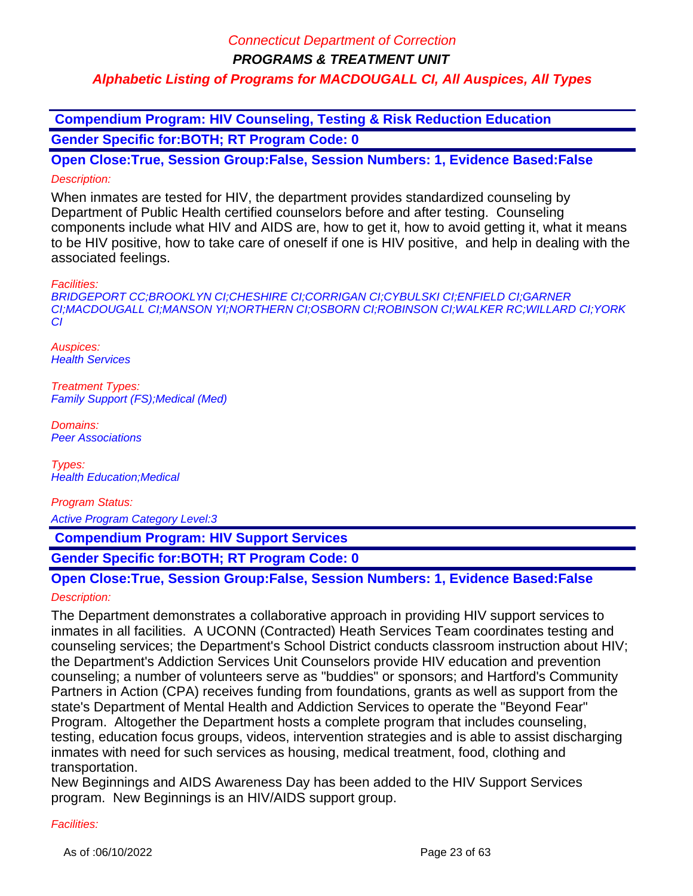**PROGRAMS & TREATMENT UNIT**

# **Alphabetic Listing of Programs for MACDOUGALL CI, All Auspices, All Types**

 **Compendium Program: HIV Counseling, Testing & Risk Reduction Education Gender Specific for:BOTH; RT Program Code: 0**

**Open Close:True, Session Group:False, Session Numbers: 1, Evidence Based:False** Description:

When inmates are tested for HIV, the department provides standardized counseling by Department of Public Health certified counselors before and after testing. Counseling components include what HIV and AIDS are, how to get it, how to avoid getting it, what it means to be HIV positive, how to take care of oneself if one is HIV positive, and help in dealing with the associated feelings.

Facilities:

BRIDGEPORT CC;BROOKLYN CI;CHESHIRE CI;CORRIGAN CI;CYBULSKI CI;ENFIELD CI;GARNER CI;MACDOUGALL CI;MANSON YI;NORTHERN CI;OSBORN CI;ROBINSON CI;WALKER RC;WILLARD CI;YORK CI

Auspices: **Health Services** 

Treatment Types: Family Support (FS);Medical (Med)

Domains: Peer Associations

Types: Health Education;Medical

Program Status:

Active Program Category Level:3

 **Compendium Program: HIV Support Services**

**Gender Specific for:BOTH; RT Program Code: 0**

# **Open Close:True, Session Group:False, Session Numbers: 1, Evidence Based:False**

#### Description:

The Department demonstrates a collaborative approach in providing HIV support services to inmates in all facilities. A UCONN (Contracted) Heath Services Team coordinates testing and counseling services; the Department's School District conducts classroom instruction about HIV; the Department's Addiction Services Unit Counselors provide HIV education and prevention counseling; a number of volunteers serve as "buddies" or sponsors; and Hartford's Community Partners in Action (CPA) receives funding from foundations, grants as well as support from the state's Department of Mental Health and Addiction Services to operate the "Beyond Fear" Program. Altogether the Department hosts a complete program that includes counseling, testing, education focus groups, videos, intervention strategies and is able to assist discharging inmates with need for such services as housing, medical treatment, food, clothing and transportation.

New Beginnings and AIDS Awareness Day has been added to the HIV Support Services program. New Beginnings is an HIV/AIDS support group.

#### Facilities: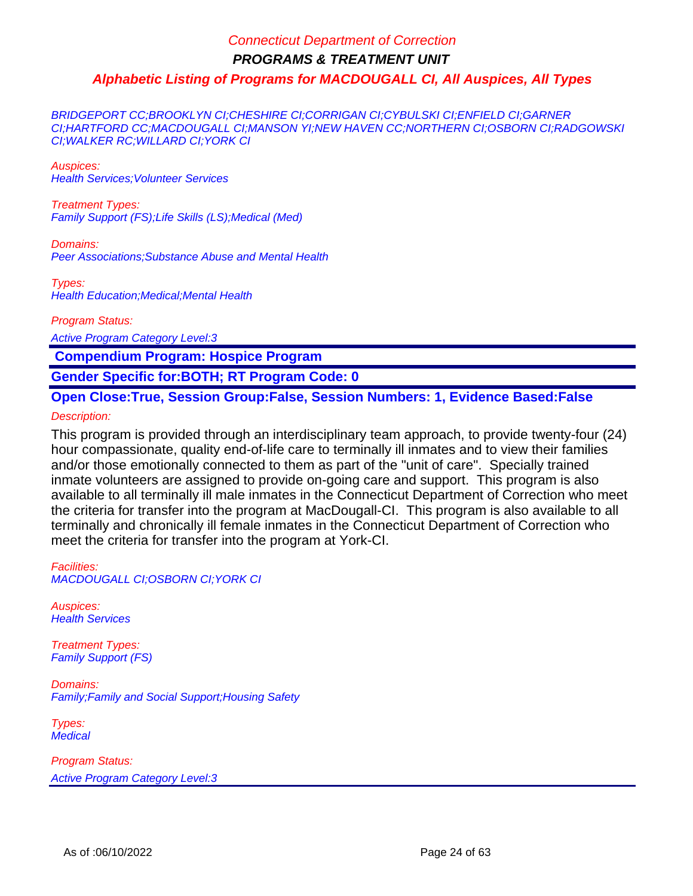# Connecticut Department of Correction **PROGRAMS & TREATMENT UNIT**

## **Alphabetic Listing of Programs for MACDOUGALL CI, All Auspices, All Types**

BRIDGEPORT CC;BROOKLYN CI;CHESHIRE CI;CORRIGAN CI;CYBULSKI CI;ENFIELD CI;GARNER CI;HARTFORD CC;MACDOUGALL CI;MANSON YI;NEW HAVEN CC;NORTHERN CI;OSBORN CI;RADGOWSKI CI;WALKER RC;WILLARD CI;YORK CI

Auspices: Health Services;Volunteer Services

Treatment Types: Family Support (FS);Life Skills (LS);Medical (Med)

Domains: Peer Associations;Substance Abuse and Mental Health

Types: Health Education;Medical;Mental Health

Program Status:

Active Program Category Level:3

 **Compendium Program: Hospice Program**

**Gender Specific for:BOTH; RT Program Code: 0**

## **Open Close:True, Session Group:False, Session Numbers: 1, Evidence Based:False**

Description:

This program is provided through an interdisciplinary team approach, to provide twenty-four (24) hour compassionate, quality end-of-life care to terminally ill inmates and to view their families and/or those emotionally connected to them as part of the "unit of care". Specially trained inmate volunteers are assigned to provide on-going care and support. This program is also available to all terminally ill male inmates in the Connecticut Department of Correction who meet the criteria for transfer into the program at MacDougall-CI. This program is also available to all terminally and chronically ill female inmates in the Connecticut Department of Correction who meet the criteria for transfer into the program at York-CI.

Facilities: MACDOUGALL CI;OSBORN CI;YORK CI

Auspices: **Health Services** 

Treatment Types: Family Support (FS)

Domains: Family;Family and Social Support;Housing Safety

Types: **Medical**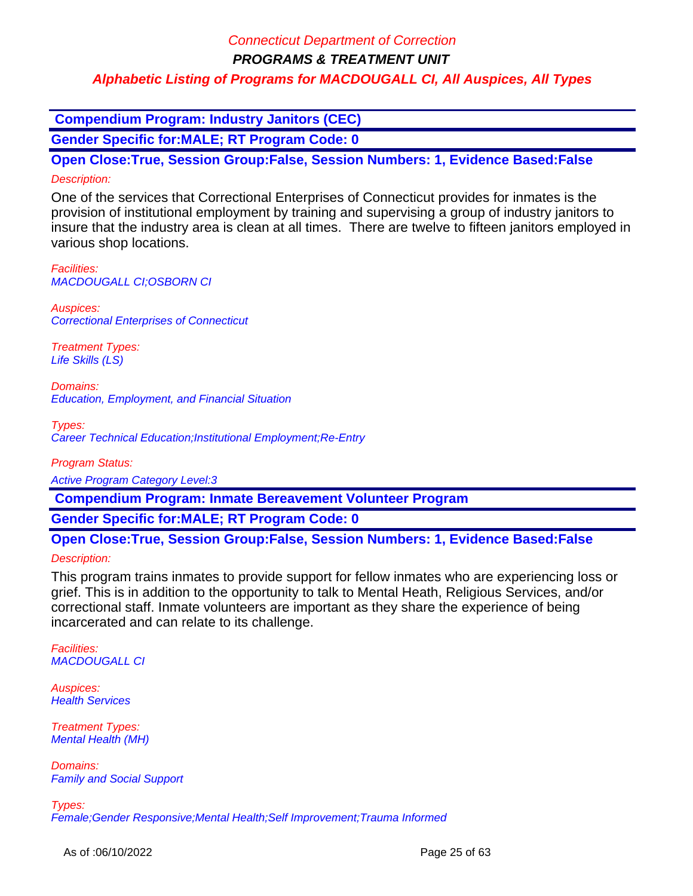**PROGRAMS & TREATMENT UNIT**

# **Alphabetic Listing of Programs for MACDOUGALL CI, All Auspices, All Types**

 **Compendium Program: Industry Janitors (CEC)**

**Gender Specific for:MALE; RT Program Code: 0**

**Open Close:True, Session Group:False, Session Numbers: 1, Evidence Based:False** Description:

One of the services that Correctional Enterprises of Connecticut provides for inmates is the provision of institutional employment by training and supervising a group of industry janitors to insure that the industry area is clean at all times. There are twelve to fifteen janitors employed in various shop locations.

Facilities: MACDOUGALL CI;OSBORN CI

Auspices: Correctional Enterprises of Connecticut

Treatment Types: Life Skills (LS)

Domains: Education, Employment, and Financial Situation

Types: Career Technical Education;Institutional Employment;Re-Entry

Program Status:

Active Program Category Level:3

 **Compendium Program: Inmate Bereavement Volunteer Program**

**Gender Specific for:MALE; RT Program Code: 0**

**Open Close:True, Session Group:False, Session Numbers: 1, Evidence Based:False**

Description:

This program trains inmates to provide support for fellow inmates who are experiencing loss or grief. This is in addition to the opportunity to talk to Mental Heath, Religious Services, and/or correctional staff. Inmate volunteers are important as they share the experience of being incarcerated and can relate to its challenge.

Facilities: MACDOUGALL CI

Auspices: **Health Services** 

Treatment Types: Mental Health (MH)

Domains: Family and Social Support

Types: Female;Gender Responsive;Mental Health;Self Improvement;Trauma Informed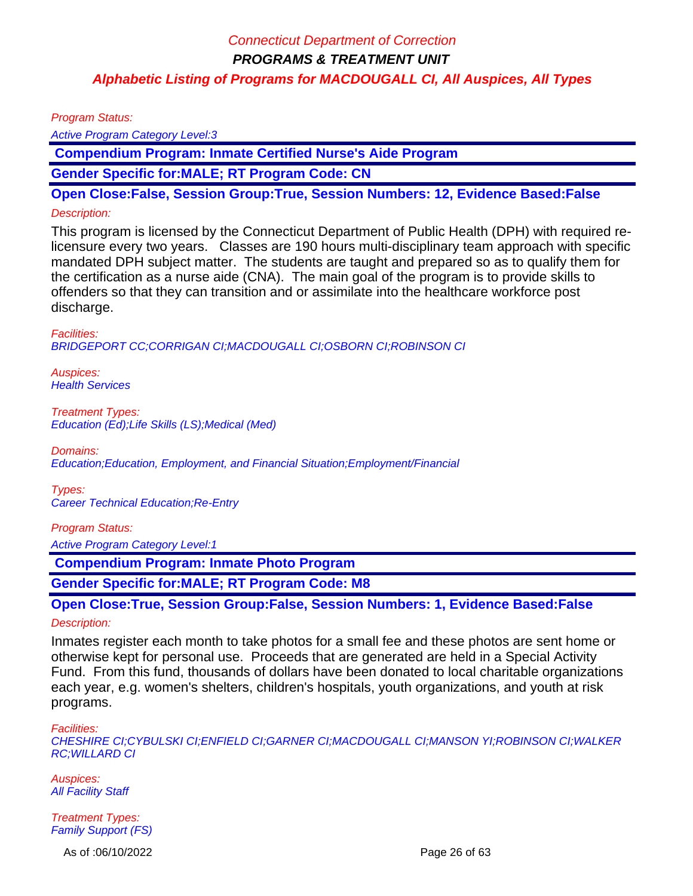Program Status:

Active Program Category Level:3

 **Compendium Program: Inmate Certified Nurse's Aide Program**

**Gender Specific for:MALE; RT Program Code: CN**

**Open Close:False, Session Group:True, Session Numbers: 12, Evidence Based:False**

#### Description:

This program is licensed by the Connecticut Department of Public Health (DPH) with required relicensure every two years. Classes are 190 hours multi-disciplinary team approach with specific mandated DPH subject matter. The students are taught and prepared so as to qualify them for the certification as a nurse aide (CNA). The main goal of the program is to provide skills to offenders so that they can transition and or assimilate into the healthcare workforce post discharge.

Facilities: BRIDGEPORT CC;CORRIGAN CI;MACDOUGALL CI;OSBORN CI;ROBINSON CI

Auspices: **Health Services** 

Treatment Types: Education (Ed);Life Skills (LS);Medical (Med)

Domains:

Education;Education, Employment, and Financial Situation;Employment/Financial

Types: Career Technical Education;Re-Entry

#### Program Status:

Active Program Category Level:1

 **Compendium Program: Inmate Photo Program**

**Gender Specific for:MALE; RT Program Code: M8**

**Open Close:True, Session Group:False, Session Numbers: 1, Evidence Based:False**

#### Description:

Inmates register each month to take photos for a small fee and these photos are sent home or otherwise kept for personal use. Proceeds that are generated are held in a Special Activity Fund. From this fund, thousands of dollars have been donated to local charitable organizations each year, e.g. women's shelters, children's hospitals, youth organizations, and youth at risk programs.

Facilities:

CHESHIRE CI;CYBULSKI CI;ENFIELD CI;GARNER CI;MACDOUGALL CI;MANSON YI;ROBINSON CI;WALKER RC;WILLARD CI

Auspices: **All Facility Staff** 

Treatment Types: Family Support (FS)

As of :06/10/2022 Page 26 of 63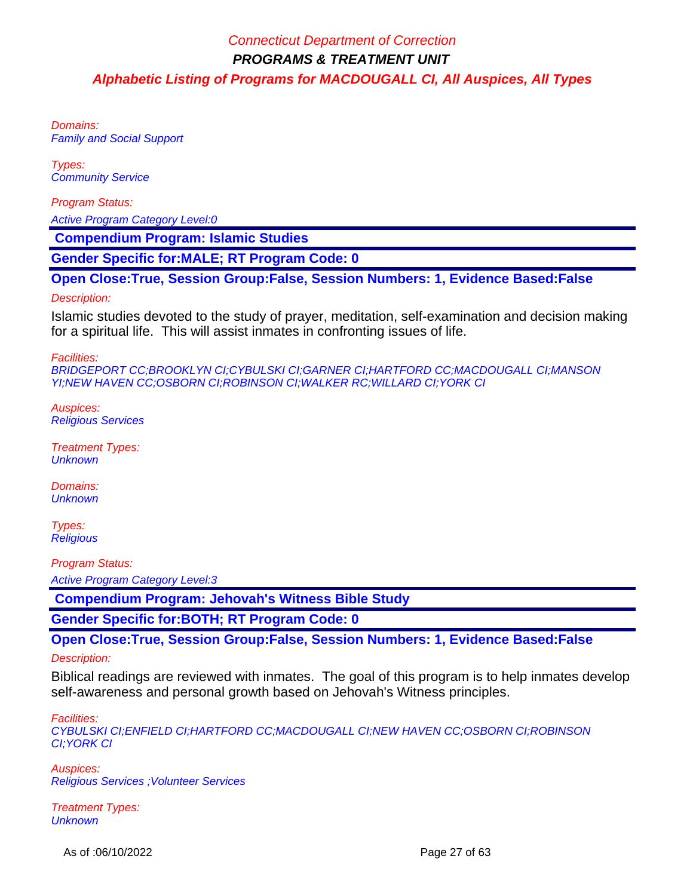Domains: Family and Social Support

Types: Community Service

Program Status:

Active Program Category Level:0

 **Compendium Program: Islamic Studies**

**Gender Specific for:MALE; RT Program Code: 0**

**Open Close:True, Session Group:False, Session Numbers: 1, Evidence Based:False**

Description:

Islamic studies devoted to the study of prayer, meditation, self-examination and decision making for a spiritual life. This will assist inmates in confronting issues of life.

Facilities:

BRIDGEPORT CC;BROOKLYN CI;CYBULSKI CI;GARNER CI;HARTFORD CC;MACDOUGALL CI;MANSON YI;NEW HAVEN CC;OSBORN CI;ROBINSON CI;WALKER RC;WILLARD CI;YORK CI

Auspices: Religious Services

Treatment Types: **Unknown** 

Domains: **Unknown** 

Types: **Religious** 

Program Status:

Active Program Category Level:3

 **Compendium Program: Jehovah's Witness Bible Study**

**Gender Specific for:BOTH; RT Program Code: 0**

**Open Close:True, Session Group:False, Session Numbers: 1, Evidence Based:False**

Description:

Biblical readings are reviewed with inmates. The goal of this program is to help inmates develop self-awareness and personal growth based on Jehovah's Witness principles.

Facilities:

CYBULSKI CI;ENFIELD CI;HARTFORD CC;MACDOUGALL CI;NEW HAVEN CC;OSBORN CI;ROBINSON CI;YORK CI

Auspices: Religious Services ;Volunteer Services

Treatment Types: **Unknown** 

As of :06/10/2022 Page 27 of 63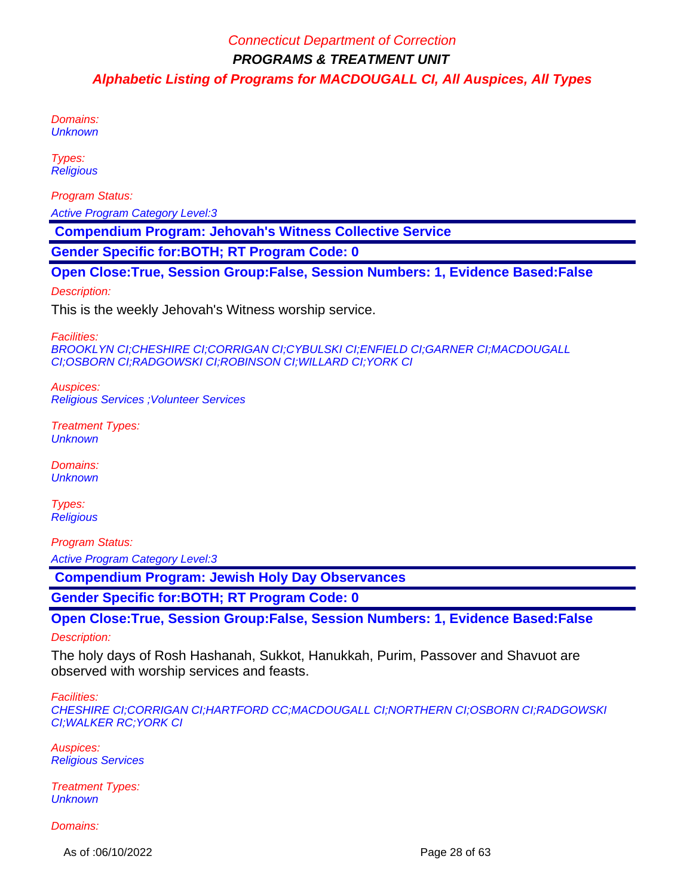Domains: **Unknown** 

Types: **Religious** 

Program Status:

Active Program Category Level:3

 **Compendium Program: Jehovah's Witness Collective Service**

**Gender Specific for:BOTH; RT Program Code: 0**

**Open Close:True, Session Group:False, Session Numbers: 1, Evidence Based:False**

Description:

This is the weekly Jehovah's Witness worship service.

Facilities:

BROOKLYN CI;CHESHIRE CI;CORRIGAN CI;CYBULSKI CI;ENFIELD CI;GARNER CI;MACDOUGALL CI;OSBORN CI;RADGOWSKI CI;ROBINSON CI;WILLARD CI;YORK CI

Auspices: Religious Services ;Volunteer Services

Treatment Types: **Unknown** 

Domains: **Unknown** 

Types: **Religious** 

Program Status:

Active Program Category Level:3

 **Compendium Program: Jewish Holy Day Observances**

**Gender Specific for:BOTH; RT Program Code: 0**

**Open Close:True, Session Group:False, Session Numbers: 1, Evidence Based:False**

Description:

The holy days of Rosh Hashanah, Sukkot, Hanukkah, Purim, Passover and Shavuot are observed with worship services and feasts.

Facilities:

CHESHIRE CI;CORRIGAN CI;HARTFORD CC;MACDOUGALL CI;NORTHERN CI;OSBORN CI;RADGOWSKI CI;WALKER RC;YORK CI

Auspices: Religious Services

Treatment Types: **Unknown** 

Domains:

As of :06/10/2022 Page 28 of 63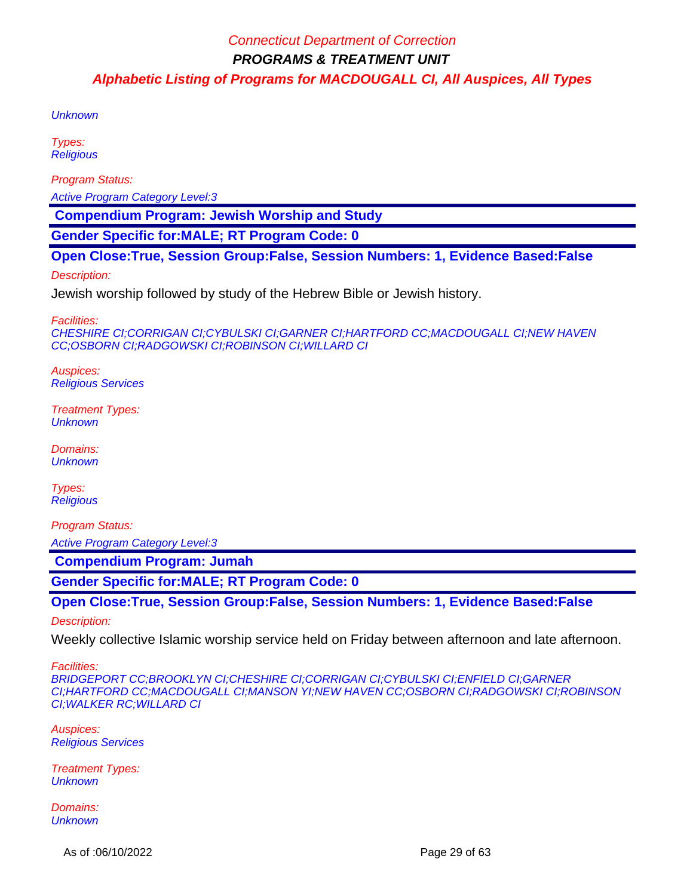**Unknown** 

Types: **Religious** 

Program Status:

Active Program Category Level:3

 **Compendium Program: Jewish Worship and Study**

**Gender Specific for:MALE; RT Program Code: 0**

**Open Close:True, Session Group:False, Session Numbers: 1, Evidence Based:False**

Description:

Jewish worship followed by study of the Hebrew Bible or Jewish history.

Facilities:

CHESHIRE CI;CORRIGAN CI;CYBULSKI CI;GARNER CI;HARTFORD CC;MACDOUGALL CI;NEW HAVEN CC;OSBORN CI;RADGOWSKI CI;ROBINSON CI;WILLARD CI

Auspices: Religious Services

Treatment Types: **Unknown** 

Domains: **Unknown** 

Types: **Religious** 

Program Status:

Active Program Category Level:3

 **Compendium Program: Jumah**

**Gender Specific for:MALE; RT Program Code: 0**

**Open Close:True, Session Group:False, Session Numbers: 1, Evidence Based:False**

Description:

Weekly collective Islamic worship service held on Friday between afternoon and late afternoon.

Facilities:

BRIDGEPORT CC;BROOKLYN CI;CHESHIRE CI;CORRIGAN CI;CYBULSKI CI;ENFIELD CI;GARNER CI;HARTFORD CC;MACDOUGALL CI;MANSON YI;NEW HAVEN CC;OSBORN CI;RADGOWSKI CI;ROBINSON CI;WALKER RC;WILLARD CI

Auspices: Religious Services

Treatment Types: **Unknown** 

Domains: **Unknown** 

As of :06/10/2022 Page 29 of 63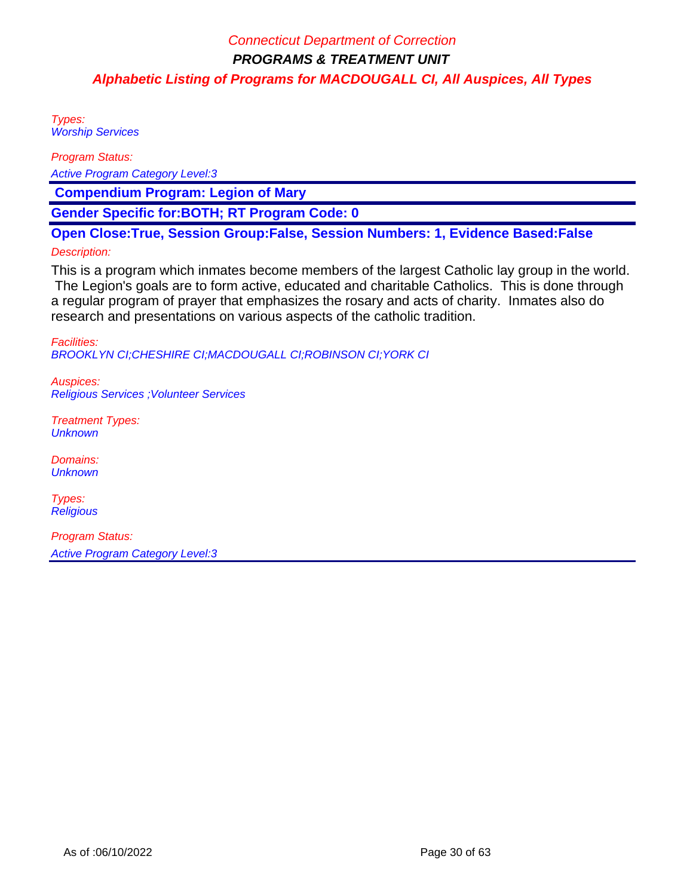Types: Worship Services

Program Status:

Active Program Category Level:3

 **Compendium Program: Legion of Mary**

**Gender Specific for:BOTH; RT Program Code: 0**

**Open Close:True, Session Group:False, Session Numbers: 1, Evidence Based:False**

#### Description:

This is a program which inmates become members of the largest Catholic lay group in the world. The Legion's goals are to form active, educated and charitable Catholics. This is done through a regular program of prayer that emphasizes the rosary and acts of charity. Inmates also do research and presentations on various aspects of the catholic tradition.

Facilities: BROOKLYN CI;CHESHIRE CI;MACDOUGALL CI;ROBINSON CI;YORK CI

Auspices: Religious Services ;Volunteer Services

Treatment Types: **Unknown** 

Domains: **Unknown** 

Types: **Religious**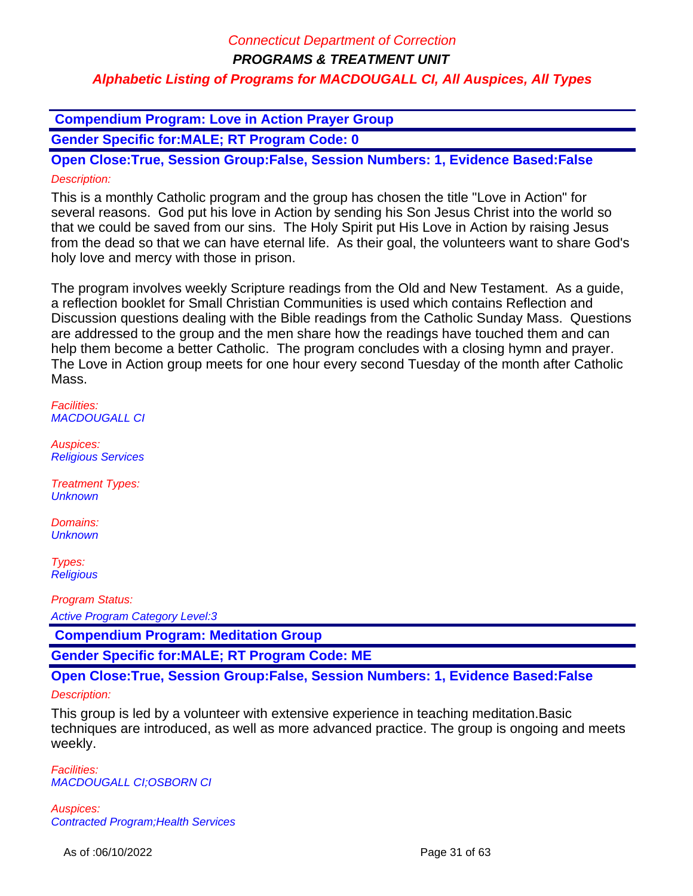**PROGRAMS & TREATMENT UNIT**

**Alphabetic Listing of Programs for MACDOUGALL CI, All Auspices, All Types**

 **Compendium Program: Love in Action Prayer Group**

**Gender Specific for:MALE; RT Program Code: 0**

**Open Close:True, Session Group:False, Session Numbers: 1, Evidence Based:False** Description:

This is a monthly Catholic program and the group has chosen the title "Love in Action" for several reasons. God put his love in Action by sending his Son Jesus Christ into the world so that we could be saved from our sins. The Holy Spirit put His Love in Action by raising Jesus from the dead so that we can have eternal life. As their goal, the volunteers want to share God's holy love and mercy with those in prison.

The program involves weekly Scripture readings from the Old and New Testament. As a guide, a reflection booklet for Small Christian Communities is used which contains Reflection and Discussion questions dealing with the Bible readings from the Catholic Sunday Mass. Questions are addressed to the group and the men share how the readings have touched them and can help them become a better Catholic. The program concludes with a closing hymn and prayer. The Love in Action group meets for one hour every second Tuesday of the month after Catholic Mass.

Facilities: MACDOUGALL CI

Auspices: Religious Services

Treatment Types: **Unknown** 

Domains: **Unknown** 

Types: **Religious** 

Program Status:

Active Program Category Level:3

 **Compendium Program: Meditation Group**

**Gender Specific for:MALE; RT Program Code: ME**

**Open Close:True, Session Group:False, Session Numbers: 1, Evidence Based:False**

#### Description:

This group is led by a volunteer with extensive experience in teaching meditation.Basic techniques are introduced, as well as more advanced practice. The group is ongoing and meets weekly.

Facilities: MACDOUGALL CI;OSBORN CI

Auspices: Contracted Program;Health Services

As of :06/10/2022 Page 31 of 63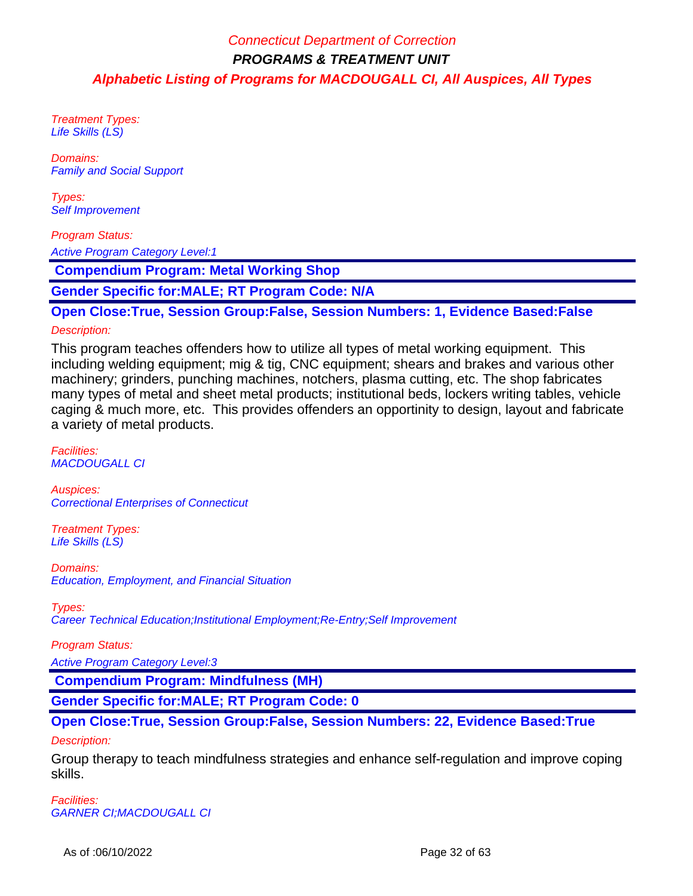Treatment Types: Life Skills (LS)

Domains: Family and Social Support

Types: Self Improvement

Program Status:

Active Program Category Level:1

 **Compendium Program: Metal Working Shop**

**Gender Specific for:MALE; RT Program Code: N/A**

**Open Close:True, Session Group:False, Session Numbers: 1, Evidence Based:False**

#### Description:

This program teaches offenders how to utilize all types of metal working equipment. This including welding equipment; mig & tig, CNC equipment; shears and brakes and various other machinery; grinders, punching machines, notchers, plasma cutting, etc. The shop fabricates many types of metal and sheet metal products; institutional beds, lockers writing tables, vehicle caging & much more, etc. This provides offenders an opportinity to design, layout and fabricate a variety of metal products.

Facilities: MACDOUGALL CI

Auspices: Correctional Enterprises of Connecticut

Treatment Types: Life Skills (LS)

Domains: Education, Employment, and Financial Situation

Types:

Career Technical Education;Institutional Employment;Re-Entry;Self Improvement

Program Status:

Active Program Category Level:3

 **Compendium Program: Mindfulness (MH)**

**Gender Specific for:MALE; RT Program Code: 0**

**Open Close:True, Session Group:False, Session Numbers: 22, Evidence Based:True** Description:

Group therapy to teach mindfulness strategies and enhance self-regulation and improve coping skills.

Facilities: GARNER CI;MACDOUGALL CI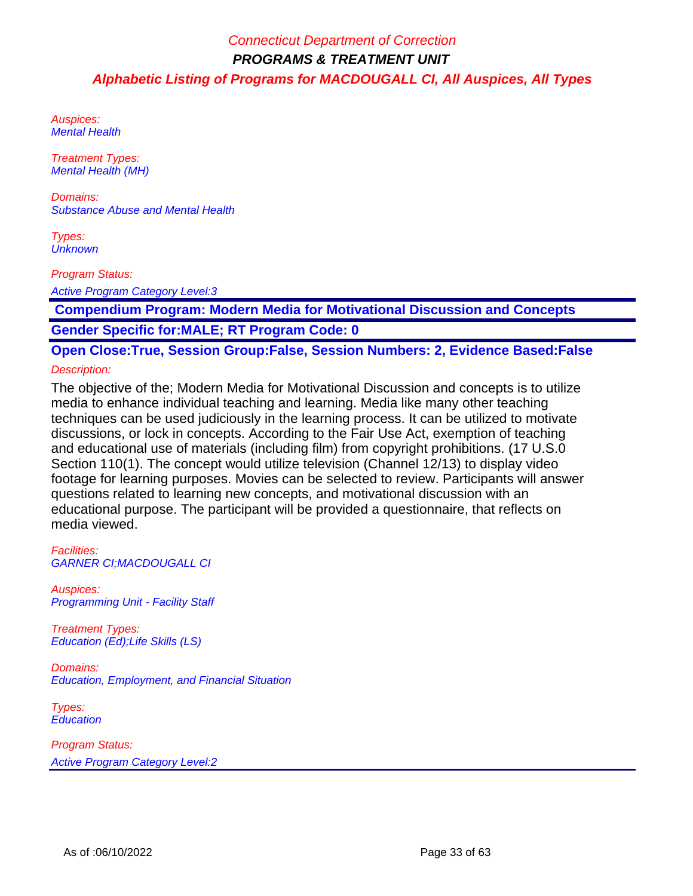Auspices: Mental Health

Treatment Types: Mental Health (MH)

Domains: Substance Abuse and Mental Health

Types: **Unknown** 

Program Status:

Active Program Category Level:3

 **Compendium Program: Modern Media for Motivational Discussion and Concepts Gender Specific for:MALE; RT Program Code: 0**

**Open Close:True, Session Group:False, Session Numbers: 2, Evidence Based:False** Description:

The objective of the; Modern Media for Motivational Discussion and concepts is to utilize media to enhance individual teaching and learning. Media like many other teaching techniques can be used judiciously in the learning process. It can be utilized to motivate discussions, or lock in concepts. According to the Fair Use Act, exemption of teaching and educational use of materials (including film) from copyright prohibitions. (17 U.S.0 Section 110(1). The concept would utilize television (Channel 12/13) to display video footage for learning purposes. Movies can be selected to review. Participants will answer questions related to learning new concepts, and motivational discussion with an educational purpose. The participant will be provided a questionnaire, that reflects on media viewed.

Facilities: GARNER CI;MACDOUGALL CI

Auspices: Programming Unit - Facility Staff

Treatment Types: Education (Ed);Life Skills (LS)

Domains: Education, Employment, and Financial Situation

Types: **Education**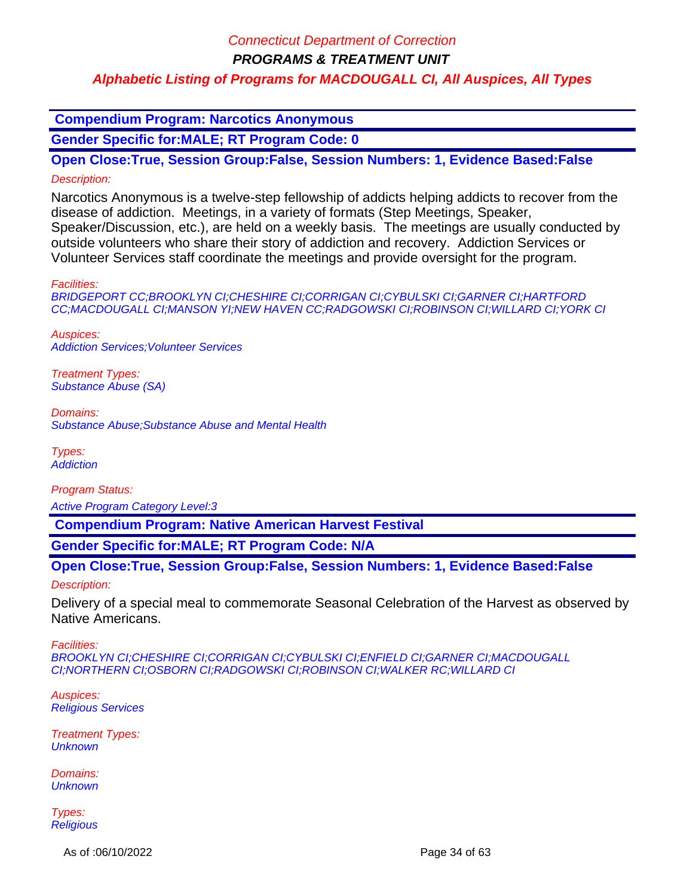**PROGRAMS & TREATMENT UNIT**

# **Alphabetic Listing of Programs for MACDOUGALL CI, All Auspices, All Types**

 **Compendium Program: Narcotics Anonymous**

**Gender Specific for:MALE; RT Program Code: 0**

**Open Close:True, Session Group:False, Session Numbers: 1, Evidence Based:False** Description:

Narcotics Anonymous is a twelve-step fellowship of addicts helping addicts to recover from the disease of addiction. Meetings, in a variety of formats (Step Meetings, Speaker, Speaker/Discussion, etc.), are held on a weekly basis. The meetings are usually conducted by outside volunteers who share their story of addiction and recovery. Addiction Services or Volunteer Services staff coordinate the meetings and provide oversight for the program.

Facilities:

BRIDGEPORT CC;BROOKLYN CI;CHESHIRE CI;CORRIGAN CI;CYBULSKI CI;GARNER CI;HARTFORD CC;MACDOUGALL CI;MANSON YI;NEW HAVEN CC;RADGOWSKI CI;ROBINSON CI;WILLARD CI;YORK CI

Auspices: Addiction Services;Volunteer Services

Treatment Types: Substance Abuse (SA)

Domains: Substance Abuse;Substance Abuse and Mental Health

Types: **Addiction** 

Program Status:

Active Program Category Level:3

 **Compendium Program: Native American Harvest Festival**

**Gender Specific for:MALE; RT Program Code: N/A**

**Open Close:True, Session Group:False, Session Numbers: 1, Evidence Based:False**

Description:

Delivery of a special meal to commemorate Seasonal Celebration of the Harvest as observed by Native Americans.

Facilities:

BROOKLYN CI;CHESHIRE CI;CORRIGAN CI;CYBULSKI CI;ENFIELD CI;GARNER CI;MACDOUGALL CI;NORTHERN CI;OSBORN CI;RADGOWSKI CI;ROBINSON CI;WALKER RC;WILLARD CI

Auspices: Religious Services

Treatment Types: **Unknown** 

Domains: **Unknown** 

Types: **Religious** 

As of :06/10/2022 **Page 34 of 63**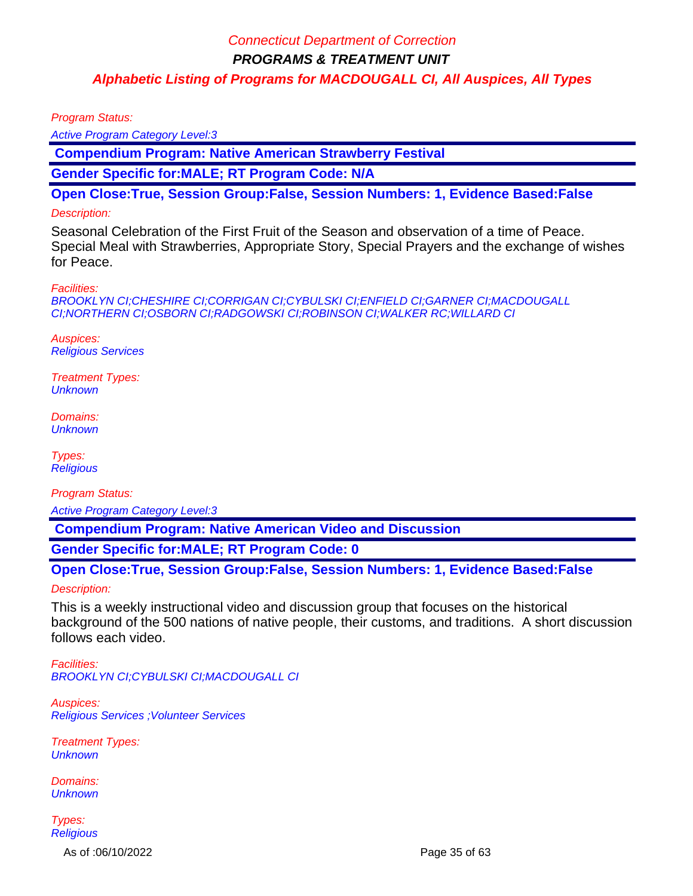Program Status:

Active Program Category Level:3

 **Compendium Program: Native American Strawberry Festival**

**Gender Specific for:MALE; RT Program Code: N/A**

**Open Close:True, Session Group:False, Session Numbers: 1, Evidence Based:False**

#### Description:

Seasonal Celebration of the First Fruit of the Season and observation of a time of Peace. Special Meal with Strawberries, Appropriate Story, Special Prayers and the exchange of wishes for Peace.

Facilities:

BROOKLYN CI;CHESHIRE CI;CORRIGAN CI;CYBULSKI CI;ENFIELD CI;GARNER CI;MACDOUGALL CI;NORTHERN CI;OSBORN CI;RADGOWSKI CI;ROBINSON CI;WALKER RC;WILLARD CI

Auspices: Religious Services

Treatment Types: **Unknown** 

Domains: **Unknown** 

Types: **Religious** 

Program Status: Active Program Category Level:3

 **Compendium Program: Native American Video and Discussion**

**Gender Specific for:MALE; RT Program Code: 0**

**Open Close:True, Session Group:False, Session Numbers: 1, Evidence Based:False**

Description:

This is a weekly instructional video and discussion group that focuses on the historical background of the 500 nations of native people, their customs, and traditions. A short discussion follows each video.

Facilities: BROOKLYN CI;CYBULSKI CI;MACDOUGALL CI

Auspices: Religious Services ;Volunteer Services

Treatment Types: **Unknown** 

Domains: **Unknown** 

Types: **Religious** 

As of :06/10/2022 **Page 35 of 63**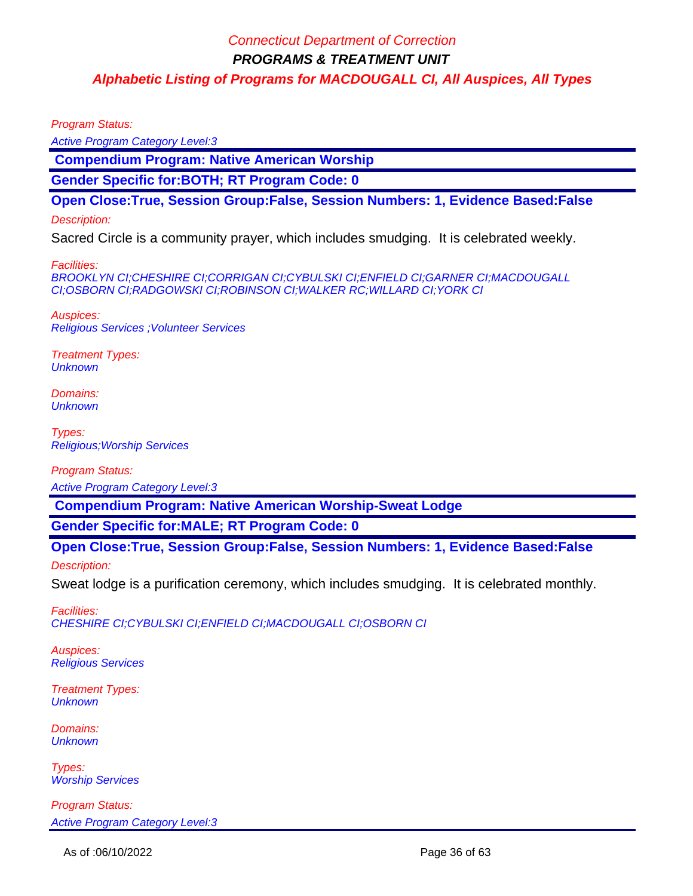Program Status:

Active Program Category Level:3

 **Compendium Program: Native American Worship**

**Gender Specific for:BOTH; RT Program Code: 0**

**Open Close:True, Session Group:False, Session Numbers: 1, Evidence Based:False**

#### Description:

Sacred Circle is a community prayer, which includes smudging. It is celebrated weekly.

Facilities:

BROOKLYN CI;CHESHIRE CI;CORRIGAN CI;CYBULSKI CI;ENFIELD CI;GARNER CI;MACDOUGALL CI;OSBORN CI;RADGOWSKI CI;ROBINSON CI;WALKER RC;WILLARD CI;YORK CI

Auspices: Religious Services ;Volunteer Services

Treatment Types: **Unknown** 

Domains: **Unknown** 

Types: Religious;Worship Services

Program Status:

Active Program Category Level:3

 **Compendium Program: Native American Worship-Sweat Lodge**

**Gender Specific for:MALE; RT Program Code: 0**

**Open Close:True, Session Group:False, Session Numbers: 1, Evidence Based:False**

Description:

Sweat lodge is a purification ceremony, which includes smudging. It is celebrated monthly.

Facilities: CHESHIRE CI;CYBULSKI CI;ENFIELD CI;MACDOUGALL CI;OSBORN CI

Auspices: Religious Services

Treatment Types: **Unknown** 

Domains: **Unknown** 

Types: Worship Services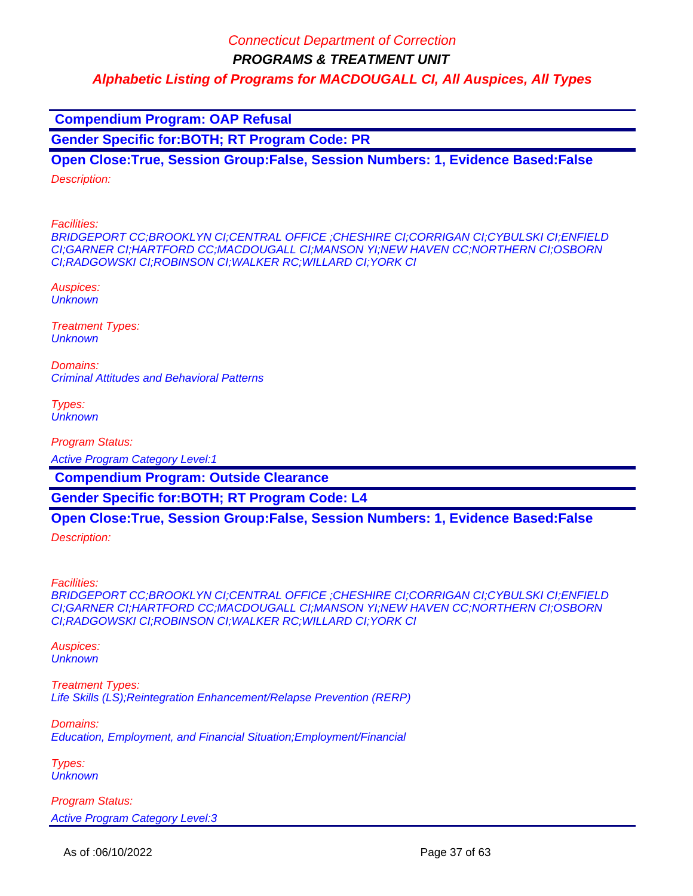**PROGRAMS & TREATMENT UNIT**

**Alphabetic Listing of Programs for MACDOUGALL CI, All Auspices, All Types**

 **Compendium Program: OAP Refusal**

**Gender Specific for:BOTH; RT Program Code: PR**

**Open Close:True, Session Group:False, Session Numbers: 1, Evidence Based:False**

Description:

Facilities:

BRIDGEPORT CC;BROOKLYN CI;CENTRAL OFFICE ;CHESHIRE CI;CORRIGAN CI;CYBULSKI CI;ENFIELD CI;GARNER CI;HARTFORD CC;MACDOUGALL CI;MANSON YI;NEW HAVEN CC;NORTHERN CI;OSBORN CI;RADGOWSKI CI;ROBINSON CI;WALKER RC;WILLARD CI;YORK CI

Auspices: **Unknown** 

Treatment Types: **Unknown** 

Domains: Criminal Attitudes and Behavioral Patterns

Types: **Unknown** 

Program Status:

Active Program Category Level:1

 **Compendium Program: Outside Clearance**

**Gender Specific for:BOTH; RT Program Code: L4**

## **Open Close:True, Session Group:False, Session Numbers: 1, Evidence Based:False**

Description:

Facilities:

BRIDGEPORT CC;BROOKLYN CI;CENTRAL OFFICE ;CHESHIRE CI;CORRIGAN CI;CYBULSKI CI;ENFIELD CI;GARNER CI;HARTFORD CC;MACDOUGALL CI;MANSON YI;NEW HAVEN CC;NORTHERN CI;OSBORN CI;RADGOWSKI CI;ROBINSON CI;WALKER RC;WILLARD CI;YORK CI

Auspices: **Unknown** 

Treatment Types: Life Skills (LS);Reintegration Enhancement/Relapse Prevention (RERP)

Domains: Education, Employment, and Financial Situation;Employment/Financial

Types: **Unknown**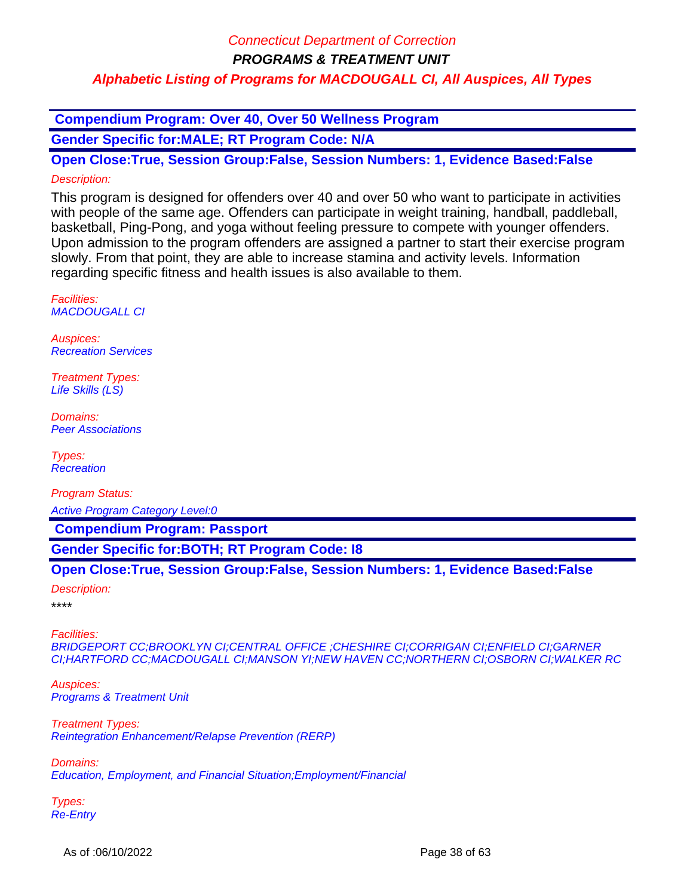**PROGRAMS & TREATMENT UNIT**

**Alphabetic Listing of Programs for MACDOUGALL CI, All Auspices, All Types**

 **Compendium Program: Over 40, Over 50 Wellness Program**

**Gender Specific for:MALE; RT Program Code: N/A**

**Open Close:True, Session Group:False, Session Numbers: 1, Evidence Based:False** Description:

This program is designed for offenders over 40 and over 50 who want to participate in activities with people of the same age. Offenders can participate in weight training, handball, paddleball, basketball, Ping-Pong, and yoga without feeling pressure to compete with younger offenders. Upon admission to the program offenders are assigned a partner to start their exercise program slowly. From that point, they are able to increase stamina and activity levels. Information regarding specific fitness and health issues is also available to them.

Facilities: MACDOUGALL CI

Auspices: Recreation Services

Treatment Types: Life Skills (LS)

Domains: Peer Associations

Types: **Recreation** 

Program Status: Active Program Category Level:0

 **Compendium Program: Passport**

**Gender Specific for:BOTH; RT Program Code: I8**

**Open Close:True, Session Group:False, Session Numbers: 1, Evidence Based:False**

Description:

\*\*\*\*

Facilities: BRIDGEPORT CC;BROOKLYN CI;CENTRAL OFFICE ;CHESHIRE CI;CORRIGAN CI;ENFIELD CI;GARNER CI;HARTFORD CC;MACDOUGALL CI;MANSON YI;NEW HAVEN CC;NORTHERN CI;OSBORN CI;WALKER RC

Auspices: Programs & Treatment Unit

Treatment Types: Reintegration Enhancement/Relapse Prevention (RERP)

Domains: Education, Employment, and Financial Situation;Employment/Financial

Types: Re-Entry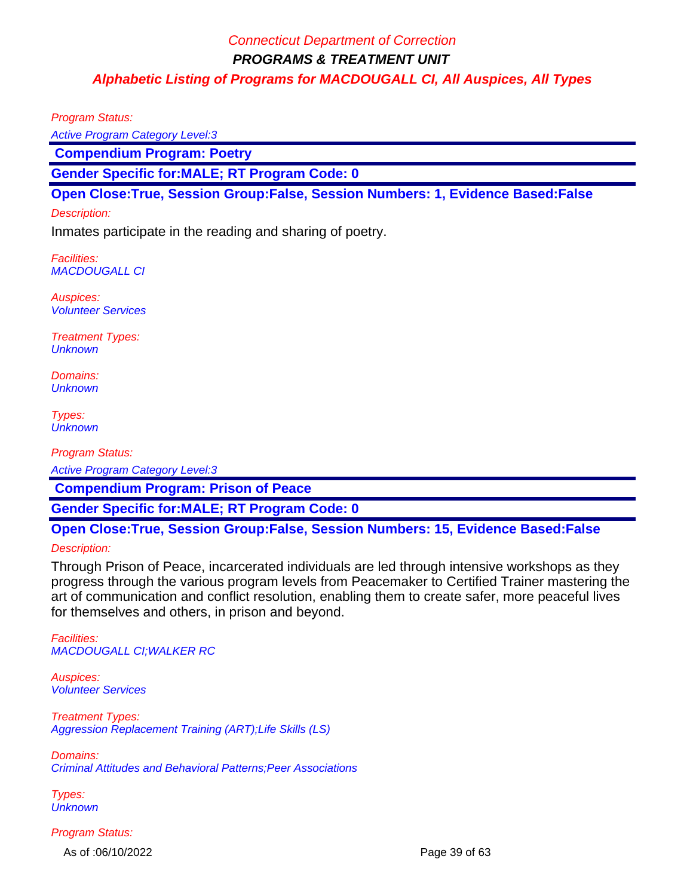Program Status:

Active Program Category Level:3

 **Compendium Program: Poetry**

**Gender Specific for:MALE; RT Program Code: 0**

**Open Close:True, Session Group:False, Session Numbers: 1, Evidence Based:False**

#### Description:

Inmates participate in the reading and sharing of poetry.

Facilities: MACDOUGALL CI

Auspices: Volunteer Services

Treatment Types: **Unknown** 

Domains: **Unknown** 

Types: **Unknown** 

Program Status:

Active Program Category Level:3

 **Compendium Program: Prison of Peace**

**Gender Specific for:MALE; RT Program Code: 0**

**Open Close:True, Session Group:False, Session Numbers: 15, Evidence Based:False**

#### Description:

Through Prison of Peace, incarcerated individuals are led through intensive workshops as they progress through the various program levels from Peacemaker to Certified Trainer mastering the art of communication and conflict resolution, enabling them to create safer, more peaceful lives for themselves and others, in prison and beyond.

Facilities: MACDOUGALL CI;WALKER RC

Auspices: Volunteer Services

Treatment Types: Aggression Replacement Training (ART);Life Skills (LS)

Domains: Criminal Attitudes and Behavioral Patterns;Peer Associations

Types: **Unknown** 

Program Status:

As of :06/10/2022 **Page 39 of 63**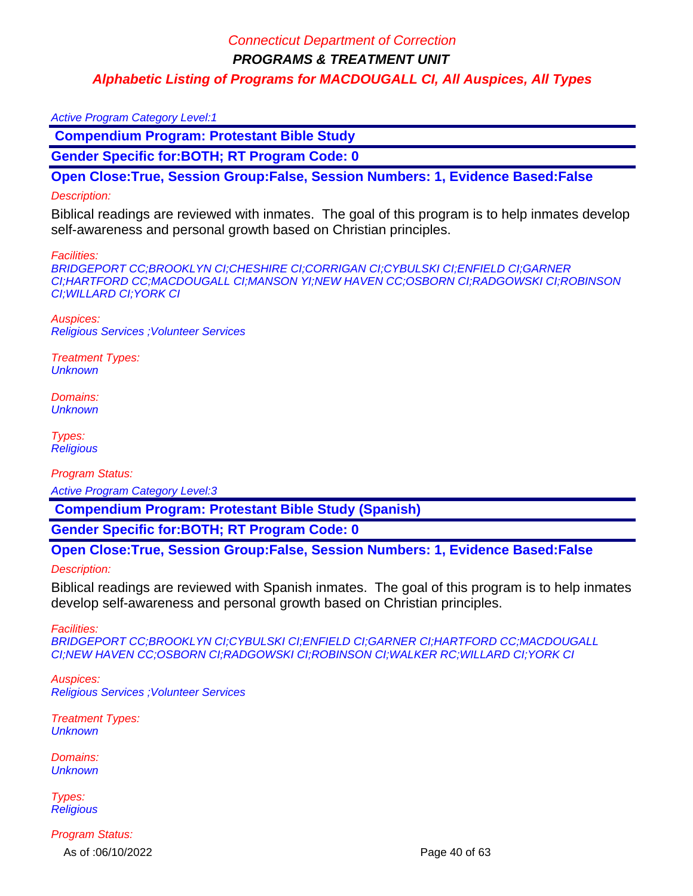**PROGRAMS & TREATMENT UNIT**

# **Alphabetic Listing of Programs for MACDOUGALL CI, All Auspices, All Types**

#### Active Program Category Level:1

 **Compendium Program: Protestant Bible Study**

**Gender Specific for:BOTH; RT Program Code: 0**

**Open Close:True, Session Group:False, Session Numbers: 1, Evidence Based:False**

#### Description:

Biblical readings are reviewed with inmates. The goal of this program is to help inmates develop self-awareness and personal growth based on Christian principles.

#### Facilities:

BRIDGEPORT CC;BROOKLYN CI;CHESHIRE CI;CORRIGAN CI;CYBULSKI CI;ENFIELD CI;GARNER CI;HARTFORD CC;MACDOUGALL CI;MANSON YI;NEW HAVEN CC;OSBORN CI;RADGOWSKI CI;ROBINSON CI;WILLARD CI;YORK CI

Auspices: Religious Services ;Volunteer Services

Treatment Types: **Unknown** 

Domains: **Unknown** 

Types: **Religious** 

Program Status:

Active Program Category Level:3

 **Compendium Program: Protestant Bible Study (Spanish)**

**Gender Specific for:BOTH; RT Program Code: 0**

**Open Close:True, Session Group:False, Session Numbers: 1, Evidence Based:False**

#### Description:

Biblical readings are reviewed with Spanish inmates. The goal of this program is to help inmates develop self-awareness and personal growth based on Christian principles.

Facilities:

BRIDGEPORT CC;BROOKLYN CI;CYBULSKI CI;ENFIELD CI;GARNER CI;HARTFORD CC;MACDOUGALL CI;NEW HAVEN CC;OSBORN CI;RADGOWSKI CI;ROBINSON CI;WALKER RC;WILLARD CI;YORK CI

Auspices: Religious Services ;Volunteer Services

Treatment Types: **Unknown** 

Domains: **Unknown** 

Types: **Religious** 

Program Status: As of :06/10/2022 **Page 40 of 63**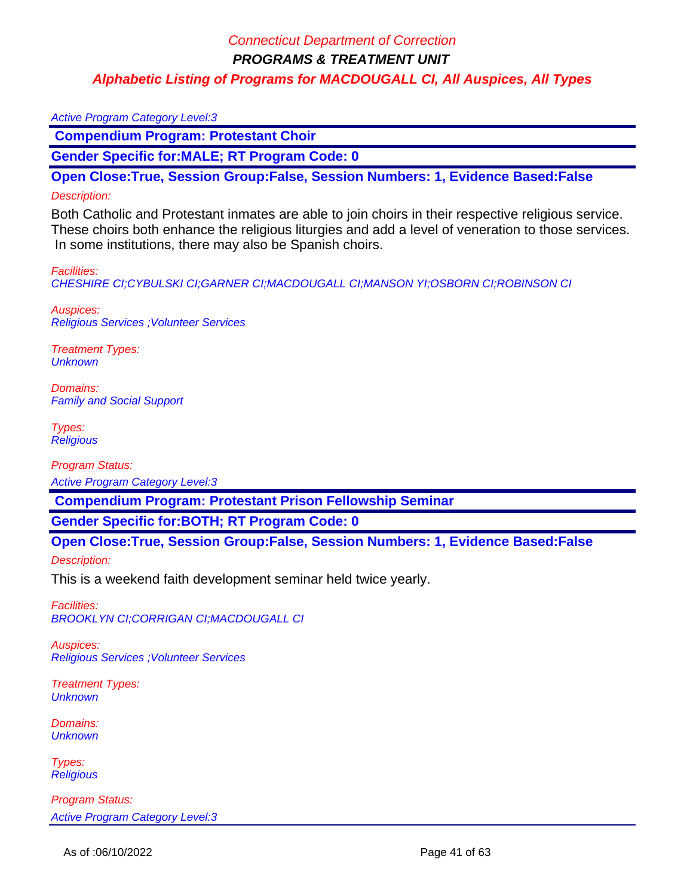**PROGRAMS & TREATMENT UNIT**

## **Alphabetic Listing of Programs for MACDOUGALL CI, All Auspices, All Types**

#### Active Program Category Level:3

 **Compendium Program: Protestant Choir**

**Gender Specific for:MALE; RT Program Code: 0**

**Open Close:True, Session Group:False, Session Numbers: 1, Evidence Based:False**

#### Description:

Both Catholic and Protestant inmates are able to join choirs in their respective religious service. These choirs both enhance the religious liturgies and add a level of veneration to those services. In some institutions, there may also be Spanish choirs.

#### Facilities:

CHESHIRE CI;CYBULSKI CI;GARNER CI;MACDOUGALL CI;MANSON YI;OSBORN CI;ROBINSON CI

Auspices: Religious Services ;Volunteer Services

Treatment Types: **Unknown** 

Domains: Family and Social Support

Types: **Religious** 

Program Status:

Active Program Category Level:3

 **Compendium Program: Protestant Prison Fellowship Seminar**

**Gender Specific for:BOTH; RT Program Code: 0**

**Open Close:True, Session Group:False, Session Numbers: 1, Evidence Based:False**

Description:

This is a weekend faith development seminar held twice yearly.

Facilities: BROOKLYN CI;CORRIGAN CI;MACDOUGALL CI

Auspices: Religious Services ;Volunteer Services

Treatment Types: **Unknown** 

Domains: **Unknown** 

Types: **Religious**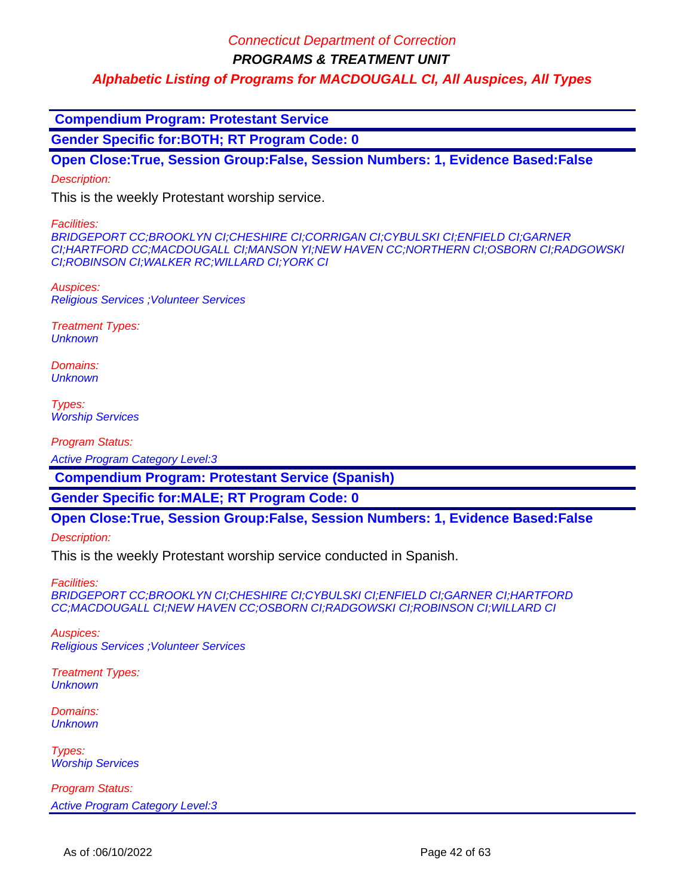**PROGRAMS & TREATMENT UNIT**

**Alphabetic Listing of Programs for MACDOUGALL CI, All Auspices, All Types**

 **Compendium Program: Protestant Service**

**Gender Specific for:BOTH; RT Program Code: 0**

**Open Close:True, Session Group:False, Session Numbers: 1, Evidence Based:False**

Description:

This is the weekly Protestant worship service.

Facilities:

BRIDGEPORT CC;BROOKLYN CI;CHESHIRE CI;CORRIGAN CI;CYBULSKI CI;ENFIELD CI;GARNER CI;HARTFORD CC;MACDOUGALL CI;MANSON YI;NEW HAVEN CC;NORTHERN CI;OSBORN CI;RADGOWSKI CI;ROBINSON CI;WALKER RC;WILLARD CI;YORK CI

Auspices: Religious Services ;Volunteer Services

Treatment Types: **Unknown** 

Domains: **Unknown** 

Types: **Worship Services** 

Program Status:

Active Program Category Level:3

 **Compendium Program: Protestant Service (Spanish)**

**Gender Specific for:MALE; RT Program Code: 0**

**Open Close:True, Session Group:False, Session Numbers: 1, Evidence Based:False**

Description:

This is the weekly Protestant worship service conducted in Spanish.

Facilities:

BRIDGEPORT CC;BROOKLYN CI;CHESHIRE CI;CYBULSKI CI;ENFIELD CI;GARNER CI;HARTFORD CC;MACDOUGALL CI;NEW HAVEN CC;OSBORN CI;RADGOWSKI CI;ROBINSON CI;WILLARD CI

Auspices: Religious Services ;Volunteer Services

Treatment Types: **Unknown** 

Domains: **Unknown** 

Types: **Worship Services**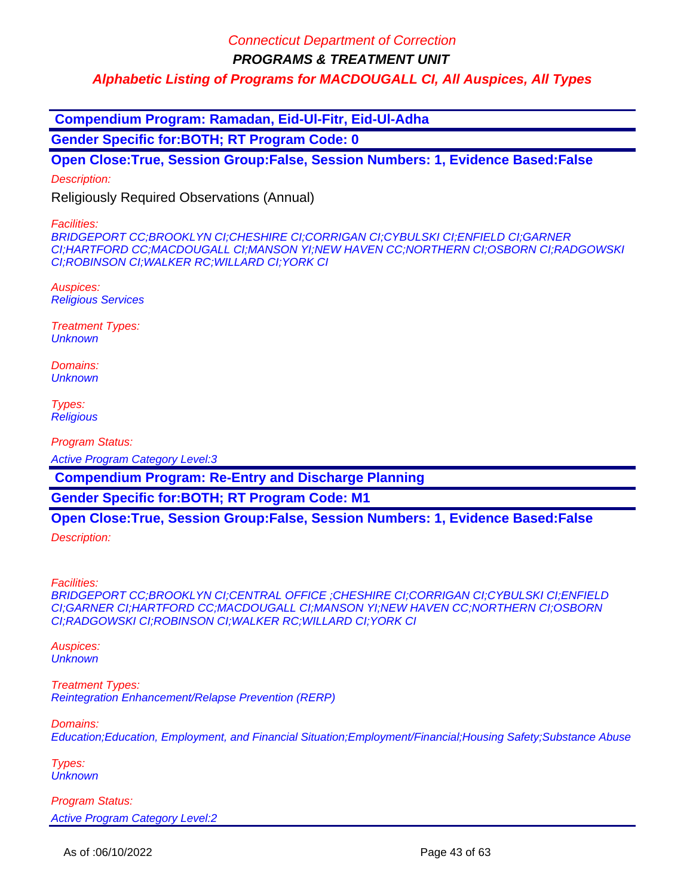**PROGRAMS & TREATMENT UNIT**

**Alphabetic Listing of Programs for MACDOUGALL CI, All Auspices, All Types**

 **Compendium Program: Ramadan, Eid-Ul-Fitr, Eid-Ul-Adha**

**Gender Specific for:BOTH; RT Program Code: 0**

**Open Close:True, Session Group:False, Session Numbers: 1, Evidence Based:False**

Description:

Religiously Required Observations (Annual)

Facilities:

BRIDGEPORT CC;BROOKLYN CI;CHESHIRE CI;CORRIGAN CI;CYBULSKI CI;ENFIELD CI;GARNER CI;HARTFORD CC;MACDOUGALL CI;MANSON YI;NEW HAVEN CC;NORTHERN CI;OSBORN CI;RADGOWSKI CI;ROBINSON CI;WALKER RC;WILLARD CI;YORK CI

Auspices: Religious Services

Treatment Types: **Unknown** 

Domains: **Unknown** 

Types: **Religious** 

Program Status:

Active Program Category Level:3

 **Compendium Program: Re-Entry and Discharge Planning**

**Gender Specific for:BOTH; RT Program Code: M1**

## **Open Close:True, Session Group:False, Session Numbers: 1, Evidence Based:False**

Description:

Facilities:

BRIDGEPORT CC;BROOKLYN CI;CENTRAL OFFICE ;CHESHIRE CI;CORRIGAN CI;CYBULSKI CI;ENFIELD CI;GARNER CI;HARTFORD CC;MACDOUGALL CI;MANSON YI;NEW HAVEN CC;NORTHERN CI;OSBORN CI;RADGOWSKI CI;ROBINSON CI;WALKER RC;WILLARD CI;YORK CI

Auspices: **Unknown** 

Treatment Types: Reintegration Enhancement/Relapse Prevention (RERP)

Domains:

Education;Education, Employment, and Financial Situation;Employment/Financial;Housing Safety;Substance Abuse

Types: **Unknown**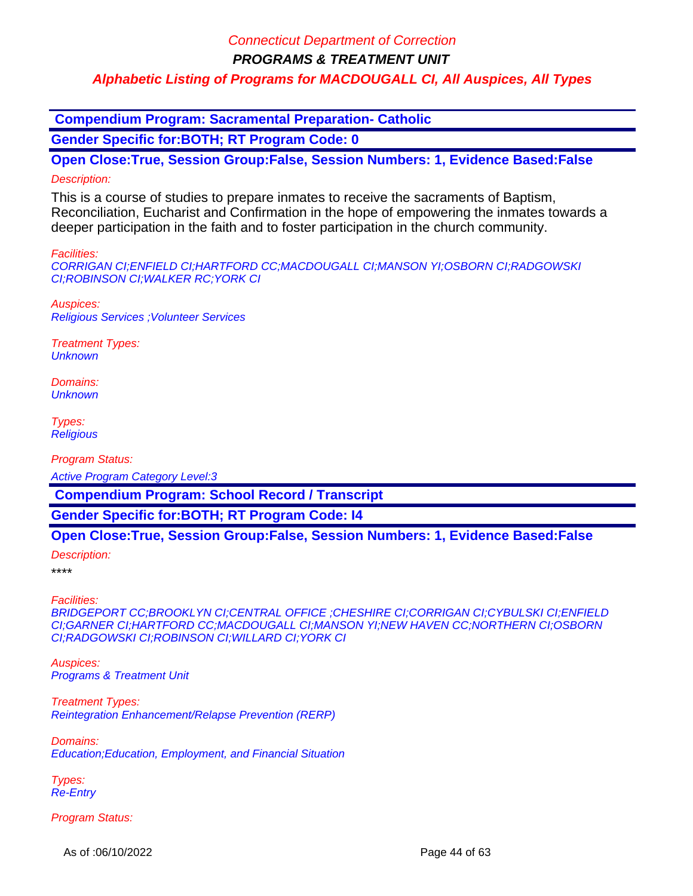**PROGRAMS & TREATMENT UNIT**

## **Alphabetic Listing of Programs for MACDOUGALL CI, All Auspices, All Types**

 **Compendium Program: Sacramental Preparation- Catholic**

**Gender Specific for:BOTH; RT Program Code: 0**

**Open Close:True, Session Group:False, Session Numbers: 1, Evidence Based:False** Description:

This is a course of studies to prepare inmates to receive the sacraments of Baptism, Reconciliation, Eucharist and Confirmation in the hope of empowering the inmates towards a deeper participation in the faith and to foster participation in the church community.

Facilities:

CORRIGAN CI;ENFIELD CI;HARTFORD CC;MACDOUGALL CI;MANSON YI;OSBORN CI;RADGOWSKI CI;ROBINSON CI;WALKER RC;YORK CI

Auspices: Religious Services ;Volunteer Services

Treatment Types: **Unknown** 

Domains: **Unknown** 

Types: **Religious** 

Program Status:

Active Program Category Level:3

 **Compendium Program: School Record / Transcript**

**Gender Specific for:BOTH; RT Program Code: I4**

**Open Close:True, Session Group:False, Session Numbers: 1, Evidence Based:False**

Description:

\*\*\*\*

Facilities:

BRIDGEPORT CC;BROOKLYN CI;CENTRAL OFFICE ;CHESHIRE CI;CORRIGAN CI;CYBULSKI CI;ENFIELD CI;GARNER CI;HARTFORD CC;MACDOUGALL CI;MANSON YI;NEW HAVEN CC;NORTHERN CI;OSBORN CI;RADGOWSKI CI;ROBINSON CI;WILLARD CI;YORK CI

Auspices: Programs & Treatment Unit

Treatment Types: Reintegration Enhancement/Relapse Prevention (RERP)

Domains: Education;Education, Employment, and Financial Situation

Types: Re-Entry

Program Status:

As of :06/10/2022 **Page 44 of 63**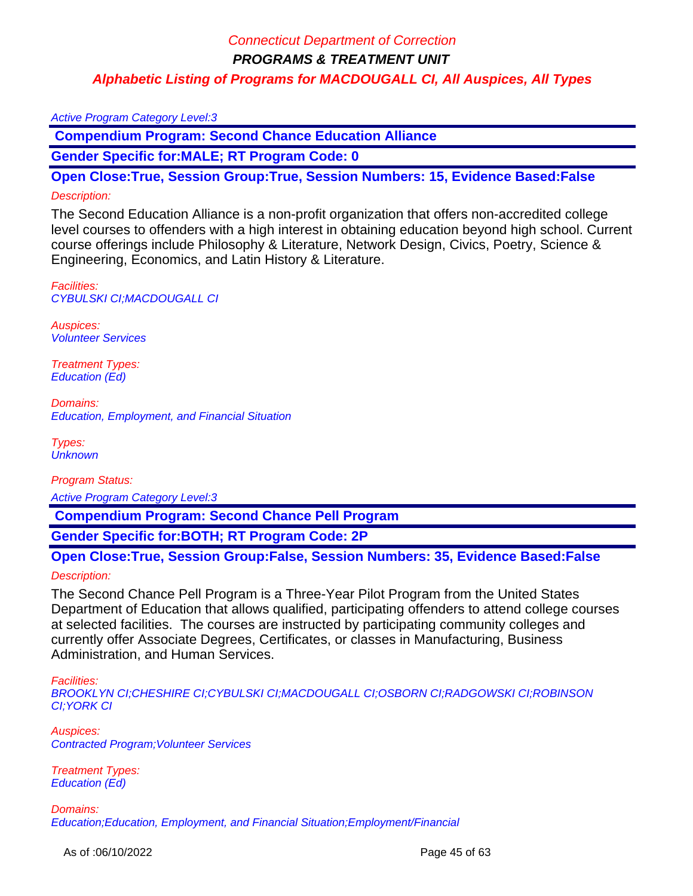#### Active Program Category Level:3

 **Compendium Program: Second Chance Education Alliance** 

**Gender Specific for:MALE; RT Program Code: 0**

**Open Close:True, Session Group:True, Session Numbers: 15, Evidence Based:False** Description:

The Second Education Alliance is a non-profit organization that offers non-accredited college level courses to offenders with a high interest in obtaining education beyond high school. Current course offerings include Philosophy & Literature, Network Design, Civics, Poetry, Science & Engineering, Economics, and Latin History & Literature.

Facilities: CYBULSKI CI;MACDOUGALL CI

Auspices: Volunteer Services

Treatment Types: Education (Ed)

Domains: Education, Employment, and Financial Situation

Types: **Unknown** 

Program Status: Active Program Category Level:3

 **Compendium Program: Second Chance Pell Program**

**Gender Specific for:BOTH; RT Program Code: 2P**

**Open Close:True, Session Group:False, Session Numbers: 35, Evidence Based:False** Description:

The Second Chance Pell Program is a Three-Year Pilot Program from the United States Department of Education that allows qualified, participating offenders to attend college courses at selected facilities. The courses are instructed by participating community colleges and currently offer Associate Degrees, Certificates, or classes in Manufacturing, Business Administration, and Human Services.

Facilities:

BROOKLYN CI;CHESHIRE CI;CYBULSKI CI;MACDOUGALL CI;OSBORN CI;RADGOWSKI CI;ROBINSON CI;YORK CI

Auspices: Contracted Program;Volunteer Services

Treatment Types: Education (Ed)

Domains: Education;Education, Employment, and Financial Situation;Employment/Financial

As of :06/10/2022 Page 45 of 63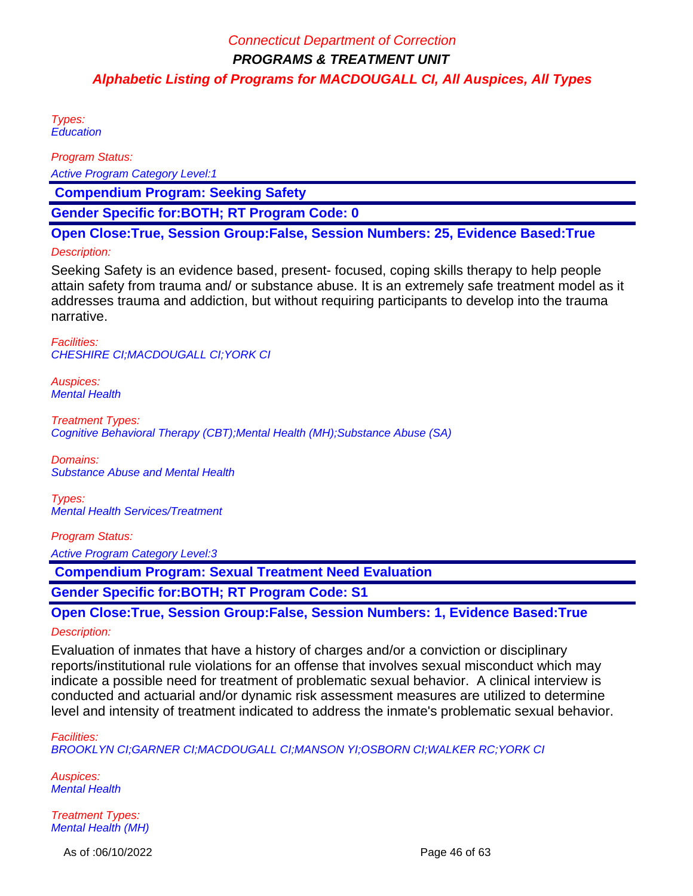Types: **Education** 

Program Status:

Active Program Category Level:1

 **Compendium Program: Seeking Safety**

**Gender Specific for:BOTH; RT Program Code: 0**

**Open Close:True, Session Group:False, Session Numbers: 25, Evidence Based:True**

#### Description:

Seeking Safety is an evidence based, present- focused, coping skills therapy to help people attain safety from trauma and/ or substance abuse. It is an extremely safe treatment model as it addresses trauma and addiction, but without requiring participants to develop into the trauma narrative.

Facilities: CHESHIRE CI;MACDOUGALL CI;YORK CI

Auspices: Mental Health

Treatment Types: Cognitive Behavioral Therapy (CBT);Mental Health (MH);Substance Abuse (SA)

Domains: Substance Abuse and Mental Health

Types: Mental Health Services/Treatment

Program Status:

Active Program Category Level:3

 **Compendium Program: Sexual Treatment Need Evaluation** 

**Gender Specific for:BOTH; RT Program Code: S1**

**Open Close:True, Session Group:False, Session Numbers: 1, Evidence Based:True** Description:

Evaluation of inmates that have a history of charges and/or a conviction or disciplinary reports/institutional rule violations for an offense that involves sexual misconduct which may indicate a possible need for treatment of problematic sexual behavior. A clinical interview is conducted and actuarial and/or dynamic risk assessment measures are utilized to determine level and intensity of treatment indicated to address the inmate's problematic sexual behavior.

Facilities: BROOKLYN CI;GARNER CI;MACDOUGALL CI;MANSON YI;OSBORN CI;WALKER RC;YORK CI

Auspices: Mental Health

Treatment Types: Mental Health (MH)

As of :06/10/2022 **Page 46 of 63**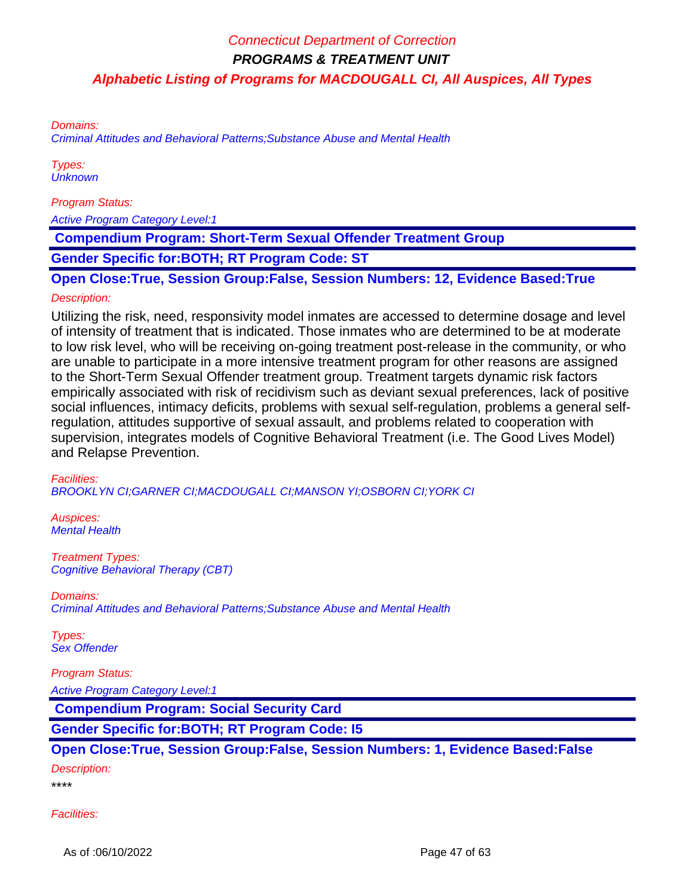Domains:

Criminal Attitudes and Behavioral Patterns;Substance Abuse and Mental Health

Types: **Unknown** 

Program Status:

Active Program Category Level:1

 **Compendium Program: Short-Term Sexual Offender Treatment Group**

**Gender Specific for:BOTH; RT Program Code: ST**

**Open Close:True, Session Group:False, Session Numbers: 12, Evidence Based:True**

#### Description:

Utilizing the risk, need, responsivity model inmates are accessed to determine dosage and level of intensity of treatment that is indicated. Those inmates who are determined to be at moderate to low risk level, who will be receiving on-going treatment post-release in the community, or who are unable to participate in a more intensive treatment program for other reasons are assigned to the Short-Term Sexual Offender treatment group. Treatment targets dynamic risk factors empirically associated with risk of recidivism such as deviant sexual preferences, lack of positive social influences, intimacy deficits, problems with sexual self-regulation, problems a general selfregulation, attitudes supportive of sexual assault, and problems related to cooperation with supervision, integrates models of Cognitive Behavioral Treatment (i.e. The Good Lives Model) and Relapse Prevention.

Facilities:

BROOKLYN CI;GARNER CI;MACDOUGALL CI;MANSON YI;OSBORN CI;YORK CI

Auspices: Mental Health

Treatment Types: Cognitive Behavioral Therapy (CBT)

Domains: Criminal Attitudes and Behavioral Patterns;Substance Abuse and Mental Health

Types: Sex Offender

Program Status:

Active Program Category Level:1

 **Compendium Program: Social Security Card**

**Gender Specific for:BOTH; RT Program Code: I5**

**Open Close:True, Session Group:False, Session Numbers: 1, Evidence Based:False**

Description:

\*\*\*\*

Facilities: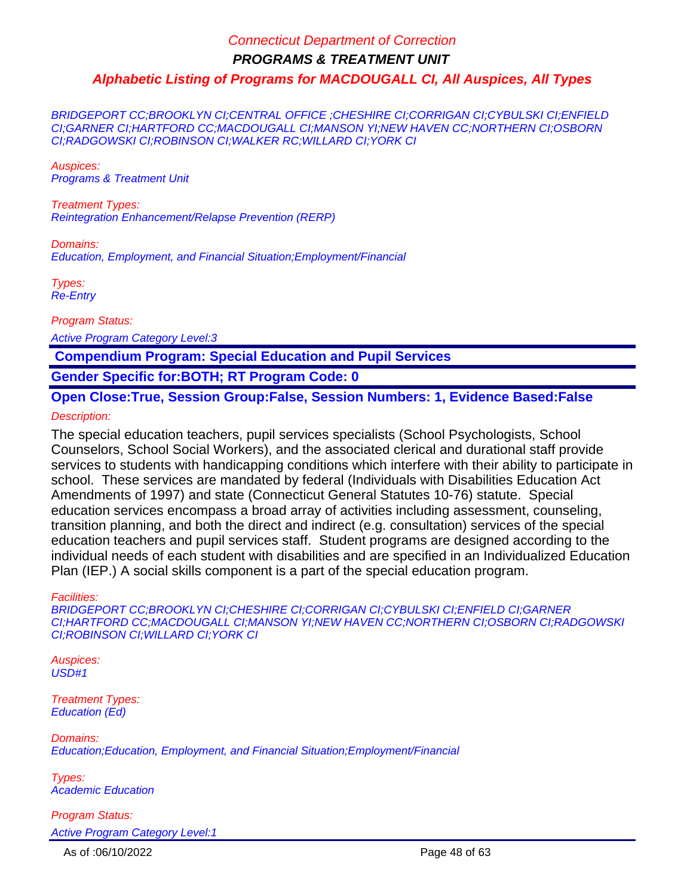BRIDGEPORT CC;BROOKLYN CI;CENTRAL OFFICE ;CHESHIRE CI;CORRIGAN CI;CYBULSKI CI;ENFIELD CI;GARNER CI;HARTFORD CC;MACDOUGALL CI;MANSON YI;NEW HAVEN CC;NORTHERN CI;OSBORN CI;RADGOWSKI CI;ROBINSON CI;WALKER RC;WILLARD CI;YORK CI

Auspices: Programs & Treatment Unit

Treatment Types: Reintegration Enhancement/Relapse Prevention (RERP)

Domains: Education, Employment, and Financial Situation;Employment/Financial

Types: Re-Entry

Program Status:

Active Program Category Level:3

 **Compendium Program: Special Education and Pupil Services**

**Gender Specific for:BOTH; RT Program Code: 0**

**Open Close:True, Session Group:False, Session Numbers: 1, Evidence Based:False**

Description:

The special education teachers, pupil services specialists (School Psychologists, School Counselors, School Social Workers), and the associated clerical and durational staff provide services to students with handicapping conditions which interfere with their ability to participate in school. These services are mandated by federal (Individuals with Disabilities Education Act Amendments of 1997) and state (Connecticut General Statutes 10-76) statute. Special education services encompass a broad array of activities including assessment, counseling, transition planning, and both the direct and indirect (e.g. consultation) services of the special education teachers and pupil services staff. Student programs are designed according to the individual needs of each student with disabilities and are specified in an Individualized Education Plan (IEP.) A social skills component is a part of the special education program.

#### Facilities:

BRIDGEPORT CC;BROOKLYN CI;CHESHIRE CI;CORRIGAN CI;CYBULSKI CI;ENFIELD CI;GARNER CI;HARTFORD CC;MACDOUGALL CI;MANSON YI;NEW HAVEN CC;NORTHERN CI;OSBORN CI;RADGOWSKI CI;ROBINSON CI;WILLARD CI;YORK CI

Auspices: USD#1

Treatment Types: Education (Ed)

Domains: Education;Education, Employment, and Financial Situation;Employment/Financial

Types: Academic Education

Program Status: Active Program Category Level:1

As of :06/10/2022 **Page 48 of 63**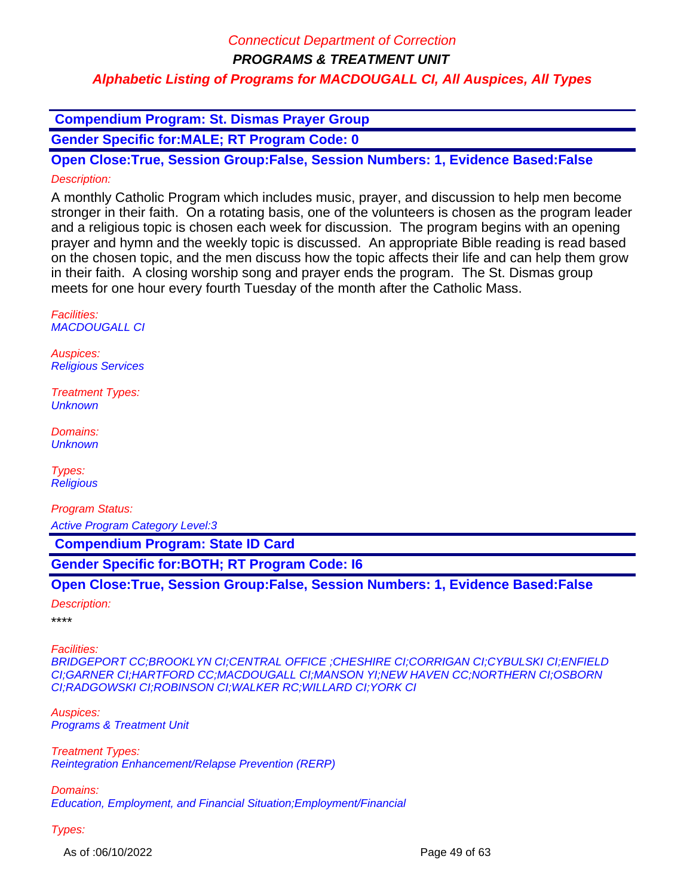**PROGRAMS & TREATMENT UNIT**

**Alphabetic Listing of Programs for MACDOUGALL CI, All Auspices, All Types**

 **Compendium Program: St. Dismas Prayer Group**

**Gender Specific for:MALE; RT Program Code: 0**

**Open Close:True, Session Group:False, Session Numbers: 1, Evidence Based:False** Description:

A monthly Catholic Program which includes music, prayer, and discussion to help men become stronger in their faith. On a rotating basis, one of the volunteers is chosen as the program leader and a religious topic is chosen each week for discussion. The program begins with an opening prayer and hymn and the weekly topic is discussed. An appropriate Bible reading is read based on the chosen topic, and the men discuss how the topic affects their life and can help them grow in their faith. A closing worship song and prayer ends the program. The St. Dismas group meets for one hour every fourth Tuesday of the month after the Catholic Mass.

Facilities: MACDOUGALL CI

Auspices: Religious Services

Treatment Types: **Unknown** 

Domains: **Unknown** 

Types: **Religious** 

Program Status:

Active Program Category Level:3

 **Compendium Program: State ID Card**

**Gender Specific for:BOTH; RT Program Code: I6**

**Open Close:True, Session Group:False, Session Numbers: 1, Evidence Based:False** Description:

\*\*\*\*

Facilities:

BRIDGEPORT CC;BROOKLYN CI;CENTRAL OFFICE ;CHESHIRE CI;CORRIGAN CI;CYBULSKI CI;ENFIELD CI;GARNER CI;HARTFORD CC;MACDOUGALL CI;MANSON YI;NEW HAVEN CC;NORTHERN CI;OSBORN CI;RADGOWSKI CI;ROBINSON CI;WALKER RC;WILLARD CI;YORK CI

Auspices: Programs & Treatment Unit

Treatment Types: Reintegration Enhancement/Relapse Prevention (RERP)

Domains: Education, Employment, and Financial Situation;Employment/Financial

Types:

As of :06/10/2022 **Page 49 of 63**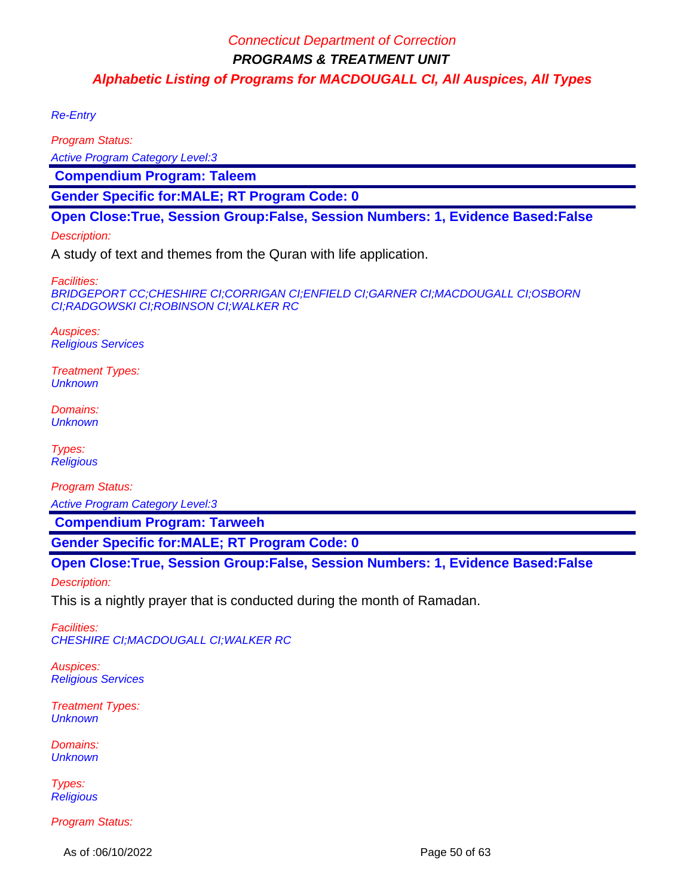Re-Entry

Program Status:

Active Program Category Level:3

 **Compendium Program: Taleem**

**Gender Specific for:MALE; RT Program Code: 0**

**Open Close:True, Session Group:False, Session Numbers: 1, Evidence Based:False**

## Description:

A study of text and themes from the Quran with life application.

Facilities:

BRIDGEPORT CC;CHESHIRE CI;CORRIGAN CI;ENFIELD CI;GARNER CI;MACDOUGALL CI;OSBORN CI;RADGOWSKI CI;ROBINSON CI;WALKER RC

Auspices: Religious Services

Treatment Types: Unknown

Domains: **Unknown** 

Types: **Religious** 

Program Status:

Active Program Category Level:3

 **Compendium Program: Tarweeh**

**Gender Specific for:MALE; RT Program Code: 0**

**Open Close:True, Session Group:False, Session Numbers: 1, Evidence Based:False**

Description:

This is a nightly prayer that is conducted during the month of Ramadan.

Facilities: CHESHIRE CI;MACDOUGALL CI;WALKER RC

Auspices: Religious Services

Treatment Types: **Unknown** 

Domains: **Unknown** 

Types: **Religious** 

Program Status:

As of :06/10/2022 **Page 50 of 63**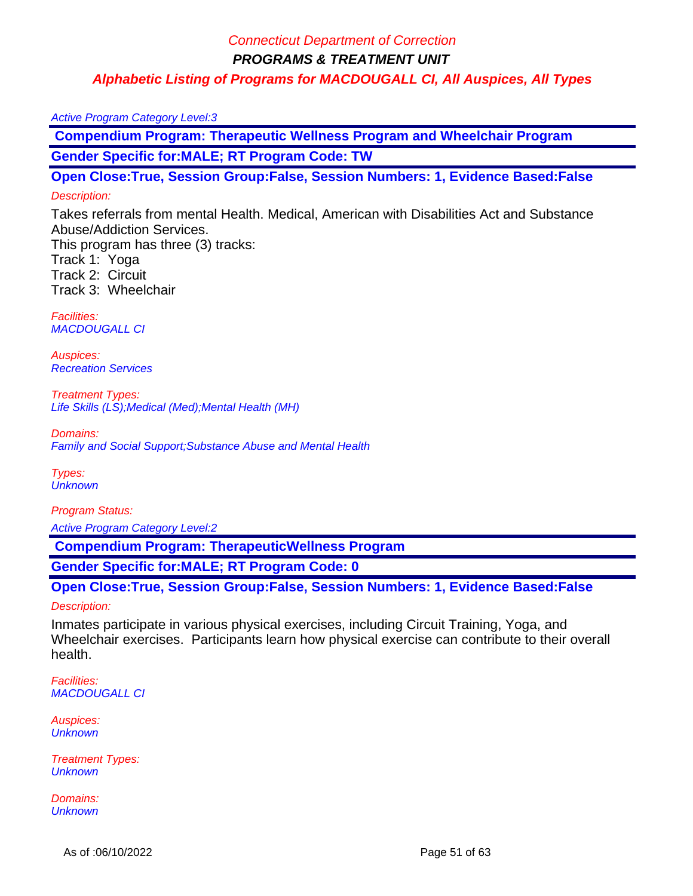**PROGRAMS & TREATMENT UNIT**

**Alphabetic Listing of Programs for MACDOUGALL CI, All Auspices, All Types**

#### Active Program Category Level:3

 **Compendium Program: Therapeutic Wellness Program and Wheelchair Program Gender Specific for:MALE; RT Program Code: TW**

**Open Close:True, Session Group:False, Session Numbers: 1, Evidence Based:False**

#### Description:

Takes referrals from mental Health. Medical, American with Disabilities Act and Substance Abuse/Addiction Services.

This program has three (3) tracks:

Track 1: Yoga

Track 2: Circuit

Track 3: Wheelchair

Facilities: MACDOUGALL CI

Auspices: Recreation Services

Treatment Types: Life Skills (LS);Medical (Med);Mental Health (MH)

Domains: Family and Social Support;Substance Abuse and Mental Health

Types: **Unknown** 

Program Status:

Active Program Category Level:2

 **Compendium Program: TherapeuticWellness Program**

**Gender Specific for:MALE; RT Program Code: 0**

# **Open Close:True, Session Group:False, Session Numbers: 1, Evidence Based:False**

Description:

Inmates participate in various physical exercises, including Circuit Training, Yoga, and Wheelchair exercises. Participants learn how physical exercise can contribute to their overall health.

Facilities: MACDOUGALL CI

Auspices: **Unknown** 

Treatment Types: **Unknown** 

Domains: **Unknown**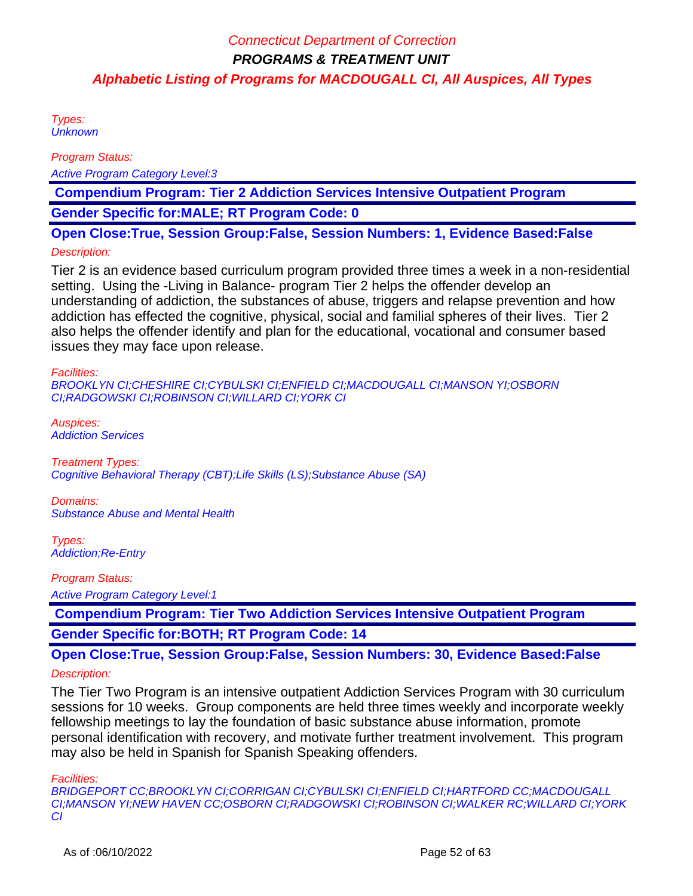Types: **Unknown** 

Program Status:

Active Program Category Level:3

 **Compendium Program: Tier 2 Addiction Services Intensive Outpatient Program**

**Gender Specific for:MALE; RT Program Code: 0**

**Open Close:True, Session Group:False, Session Numbers: 1, Evidence Based:False**

#### Description:

Tier 2 is an evidence based curriculum program provided three times a week in a non-residential setting. Using the -Living in Balance- program Tier 2 helps the offender develop an understanding of addiction, the substances of abuse, triggers and relapse prevention and how addiction has effected the cognitive, physical, social and familial spheres of their lives. Tier 2 also helps the offender identify and plan for the educational, vocational and consumer based issues they may face upon release.

#### Facilities:

BROOKLYN CI;CHESHIRE CI;CYBULSKI CI;ENFIELD CI;MACDOUGALL CI;MANSON YI;OSBORN CI;RADGOWSKI CI;ROBINSON CI;WILLARD CI;YORK CI

Auspices: Addiction Services

Treatment Types: Cognitive Behavioral Therapy (CBT);Life Skills (LS);Substance Abuse (SA)

Domains: Substance Abuse and Mental Health

Types: Addiction;Re-Entry

Program Status:

Active Program Category Level:1

 **Compendium Program: Tier Two Addiction Services Intensive Outpatient Program Gender Specific for:BOTH; RT Program Code: 14**

## **Open Close:True, Session Group:False, Session Numbers: 30, Evidence Based:False** Description:

The Tier Two Program is an intensive outpatient Addiction Services Program with 30 curriculum sessions for 10 weeks. Group components are held three times weekly and incorporate weekly fellowship meetings to lay the foundation of basic substance abuse information, promote personal identification with recovery, and motivate further treatment involvement. This program may also be held in Spanish for Spanish Speaking offenders.

Facilities:

BRIDGEPORT CC;BROOKLYN CI;CORRIGAN CI;CYBULSKI CI;ENFIELD CI;HARTFORD CC;MACDOUGALL CI;MANSON YI;NEW HAVEN CC;OSBORN CI;RADGOWSKI CI;ROBINSON CI;WALKER RC;WILLARD CI;YORK CI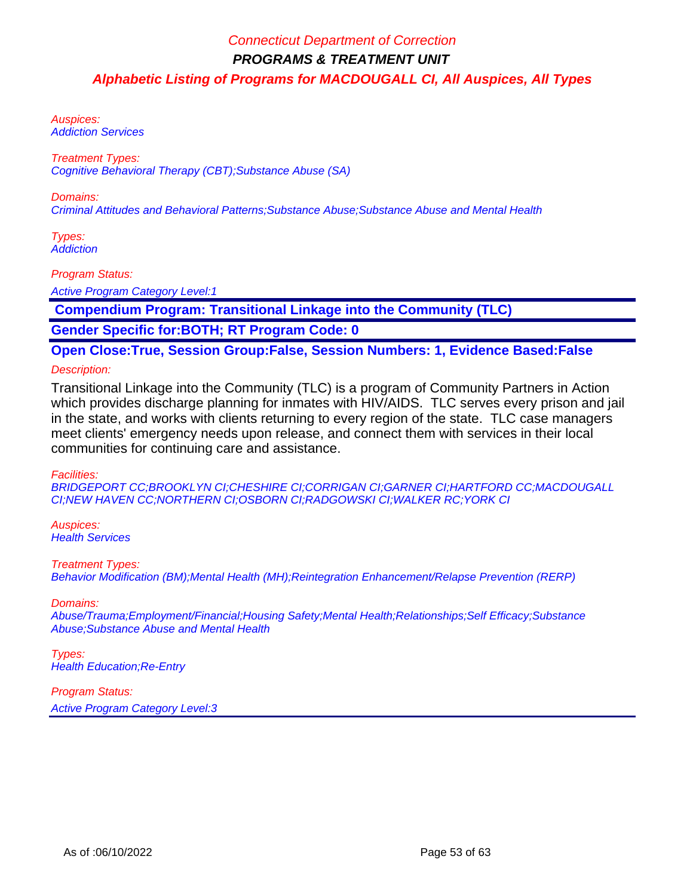Auspices: Addiction Services

Treatment Types: Cognitive Behavioral Therapy (CBT);Substance Abuse (SA)

Domains:

Criminal Attitudes and Behavioral Patterns;Substance Abuse;Substance Abuse and Mental Health

Types: **Addiction** 

Program Status:

Active Program Category Level:1

 **Compendium Program: Transitional Linkage into the Community (TLC)**

**Gender Specific for:BOTH; RT Program Code: 0**

**Open Close:True, Session Group:False, Session Numbers: 1, Evidence Based:False**

#### Description:

Transitional Linkage into the Community (TLC) is a program of Community Partners in Action which provides discharge planning for inmates with HIV/AIDS. TLC serves every prison and jail in the state, and works with clients returning to every region of the state. TLC case managers meet clients' emergency needs upon release, and connect them with services in their local communities for continuing care and assistance.

Facilities:

BRIDGEPORT CC;BROOKLYN CI;CHESHIRE CI;CORRIGAN CI;GARNER CI;HARTFORD CC;MACDOUGALL CI;NEW HAVEN CC;NORTHERN CI;OSBORN CI;RADGOWSKI CI;WALKER RC;YORK CI

Auspices: Health Services

Treatment Types: Behavior Modification (BM);Mental Health (MH);Reintegration Enhancement/Relapse Prevention (RERP)

Domains:

Abuse/Trauma;Employment/Financial;Housing Safety;Mental Health;Relationships;Self Efficacy;Substance Abuse;Substance Abuse and Mental Health

Types: **Health Education; Re-Entry** 

Program Status:

Active Program Category Level:3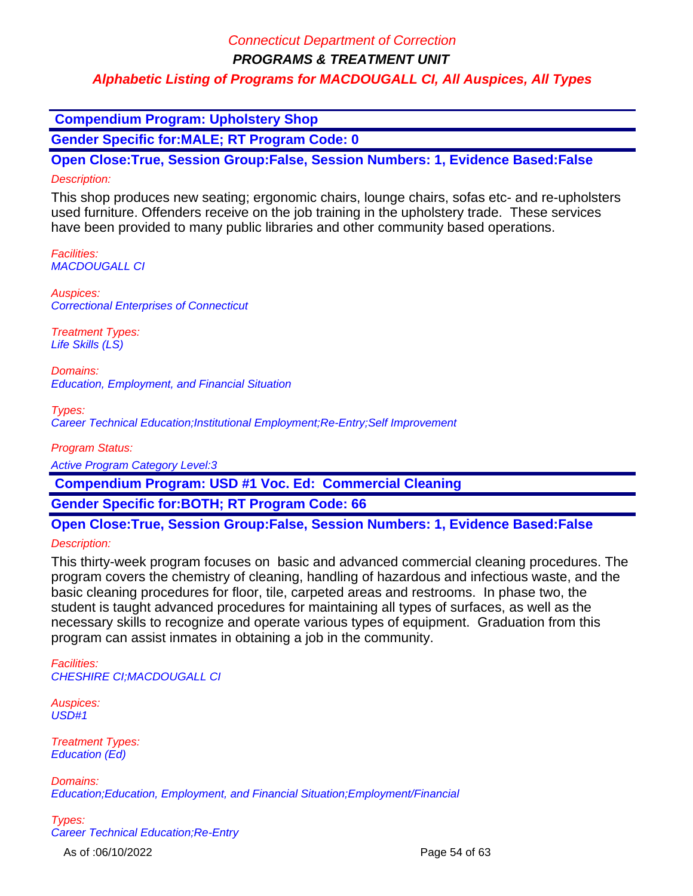**PROGRAMS & TREATMENT UNIT**

# **Alphabetic Listing of Programs for MACDOUGALL CI, All Auspices, All Types**

 **Compendium Program: Upholstery Shop**

**Gender Specific for:MALE; RT Program Code: 0**

**Open Close:True, Session Group:False, Session Numbers: 1, Evidence Based:False** Description:

This shop produces new seating; ergonomic chairs, lounge chairs, sofas etc- and re-upholsters used furniture. Offenders receive on the job training in the upholstery trade. These services have been provided to many public libraries and other community based operations.

Facilities: MACDOUGALL CI

Auspices: Correctional Enterprises of Connecticut

Treatment Types: Life Skills (LS)

Domains: Education, Employment, and Financial Situation

Types: Career Technical Education;Institutional Employment;Re-Entry;Self Improvement

Program Status: Active Program Category Level:3

 **Compendium Program: USD #1 Voc. Ed: Commercial Cleaning**

**Gender Specific for:BOTH; RT Program Code: 66**

**Open Close:True, Session Group:False, Session Numbers: 1, Evidence Based:False**

Description:

This thirty-week program focuses on basic and advanced commercial cleaning procedures. The program covers the chemistry of cleaning, handling of hazardous and infectious waste, and the basic cleaning procedures for floor, tile, carpeted areas and restrooms. In phase two, the student is taught advanced procedures for maintaining all types of surfaces, as well as the necessary skills to recognize and operate various types of equipment. Graduation from this program can assist inmates in obtaining a job in the community.

Facilities: CHESHIRE CI;MACDOUGALL CI

Auspices: USD#1

Treatment Types: Education (Ed)

Domains: Education;Education, Employment, and Financial Situation;Employment/Financial

Types: Career Technical Education;Re-Entry

As of :06/10/2022 **Page 54 of 63**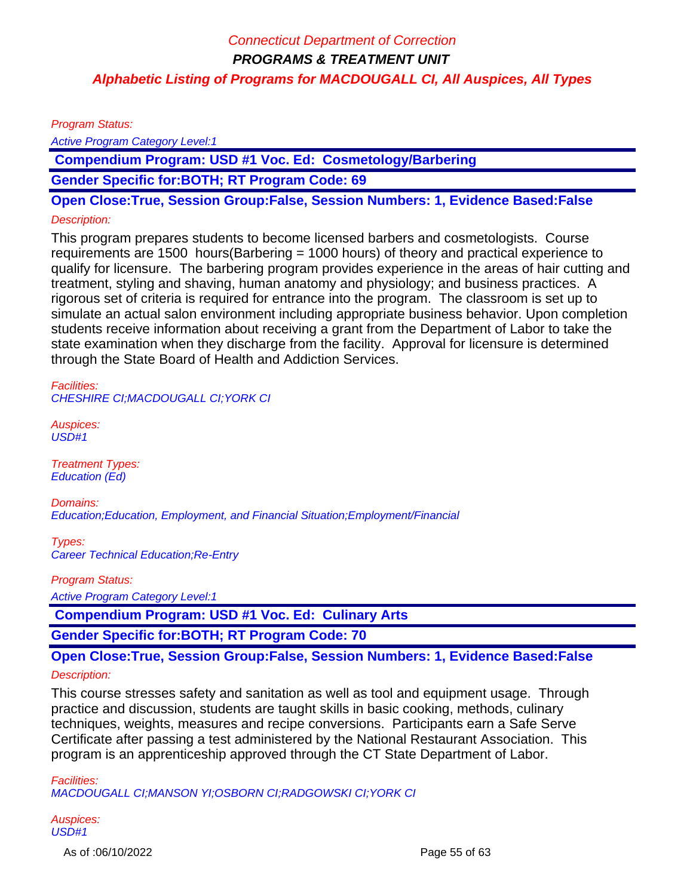Program Status:

Active Program Category Level:1

 **Compendium Program: USD #1 Voc. Ed: Cosmetology/Barbering**

**Gender Specific for:BOTH; RT Program Code: 69**

**Open Close:True, Session Group:False, Session Numbers: 1, Evidence Based:False**

#### Description:

This program prepares students to become licensed barbers and cosmetologists. Course requirements are 1500 hours(Barbering = 1000 hours) of theory and practical experience to qualify for licensure. The barbering program provides experience in the areas of hair cutting and treatment, styling and shaving, human anatomy and physiology; and business practices. A rigorous set of criteria is required for entrance into the program. The classroom is set up to simulate an actual salon environment including appropriate business behavior. Upon completion students receive information about receiving a grant from the Department of Labor to take the state examination when they discharge from the facility. Approval for licensure is determined through the State Board of Health and Addiction Services.

Facilities: CHESHIRE CI;MACDOUGALL CI;YORK CI

Auspices: USD#1

Treatment Types: Education (Ed)

Domains: Education;Education, Employment, and Financial Situation;Employment/Financial

Types: Career Technical Education;Re-Entry

Program Status:

Active Program Category Level:1

 **Compendium Program: USD #1 Voc. Ed: Culinary Arts**

**Gender Specific for:BOTH; RT Program Code: 70**

**Open Close:True, Session Group:False, Session Numbers: 1, Evidence Based:False** Description:

This course stresses safety and sanitation as well as tool and equipment usage. Through practice and discussion, students are taught skills in basic cooking, methods, culinary techniques, weights, measures and recipe conversions. Participants earn a Safe Serve Certificate after passing a test administered by the National Restaurant Association. This program is an apprenticeship approved through the CT State Department of Labor.

Facilities: MACDOUGALL CI;MANSON YI;OSBORN CI;RADGOWSKI CI;YORK CI

Auspices: USD#1

As of :06/10/2022 Page 55 of 63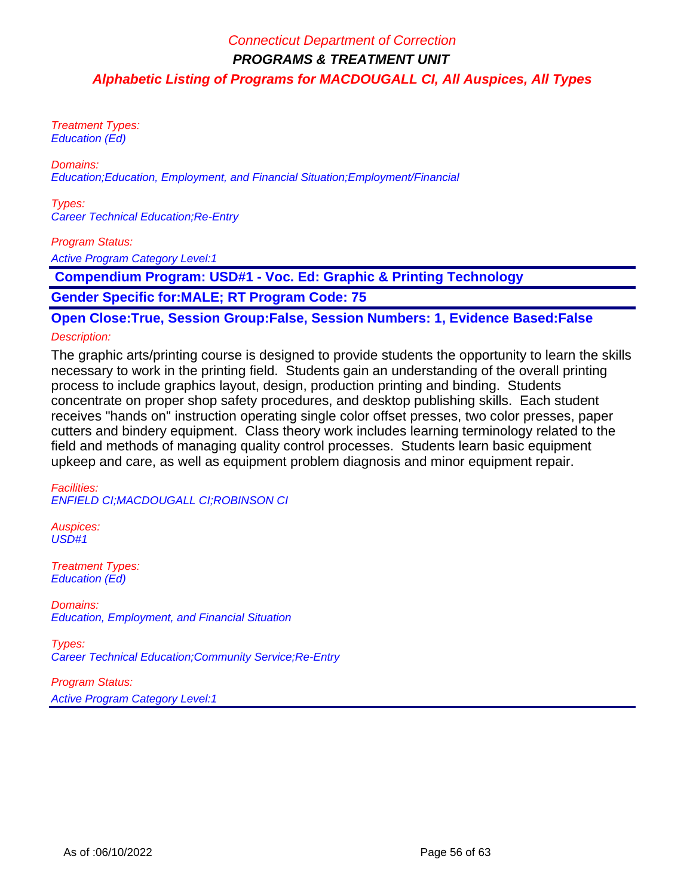Treatment Types: Education (Ed)

Domains: Education;Education, Employment, and Financial Situation;Employment/Financial

Types: Career Technical Education;Re-Entry

#### Program Status:

Active Program Category Level:1

 **Compendium Program: USD#1 - Voc. Ed: Graphic & Printing Technology**

**Gender Specific for:MALE; RT Program Code: 75**

**Open Close:True, Session Group:False, Session Numbers: 1, Evidence Based:False**

#### Description:

The graphic arts/printing course is designed to provide students the opportunity to learn the skills necessary to work in the printing field. Students gain an understanding of the overall printing process to include graphics layout, design, production printing and binding. Students concentrate on proper shop safety procedures, and desktop publishing skills. Each student receives "hands on" instruction operating single color offset presses, two color presses, paper cutters and bindery equipment. Class theory work includes learning terminology related to the field and methods of managing quality control processes. Students learn basic equipment upkeep and care, as well as equipment problem diagnosis and minor equipment repair.

Facilities: ENFIELD CI;MACDOUGALL CI;ROBINSON CI

Auspices: USD#1

Treatment Types: Education (Ed)

Domains: Education, Employment, and Financial Situation

Types: Career Technical Education;Community Service;Re-Entry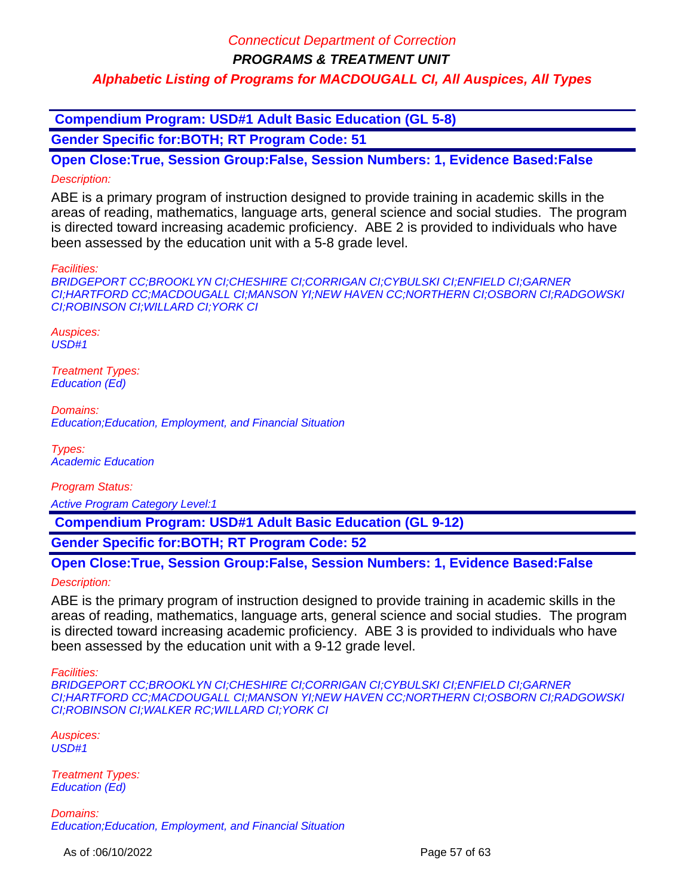**PROGRAMS & TREATMENT UNIT**

## **Alphabetic Listing of Programs for MACDOUGALL CI, All Auspices, All Types**

 **Compendium Program: USD#1 Adult Basic Education (GL 5-8)**

**Gender Specific for:BOTH; RT Program Code: 51**

**Open Close:True, Session Group:False, Session Numbers: 1, Evidence Based:False** Description:

ABE is a primary program of instruction designed to provide training in academic skills in the areas of reading, mathematics, language arts, general science and social studies. The program is directed toward increasing academic proficiency. ABE 2 is provided to individuals who have been assessed by the education unit with a 5-8 grade level.

Facilities:

BRIDGEPORT CC;BROOKLYN CI;CHESHIRE CI;CORRIGAN CI;CYBULSKI CI;ENFIELD CI;GARNER CI;HARTFORD CC;MACDOUGALL CI;MANSON YI;NEW HAVEN CC;NORTHERN CI;OSBORN CI;RADGOWSKI CI;ROBINSON CI;WILLARD CI;YORK CI

Auspices: USD#1

Treatment Types: Education (Ed)

Domains: Education;Education, Employment, and Financial Situation

Types: Academic Education

Program Status:

Active Program Category Level:1

 **Compendium Program: USD#1 Adult Basic Education (GL 9-12)**

**Gender Specific for:BOTH; RT Program Code: 52**

**Open Close:True, Session Group:False, Session Numbers: 1, Evidence Based:False**

Description:

ABE is the primary program of instruction designed to provide training in academic skills in the areas of reading, mathematics, language arts, general science and social studies. The program is directed toward increasing academic proficiency. ABE 3 is provided to individuals who have been assessed by the education unit with a 9-12 grade level.

Facilities:

BRIDGEPORT CC;BROOKLYN CI;CHESHIRE CI;CORRIGAN CI;CYBULSKI CI;ENFIELD CI;GARNER CI;HARTFORD CC;MACDOUGALL CI;MANSON YI;NEW HAVEN CC;NORTHERN CI;OSBORN CI;RADGOWSKI CI;ROBINSON CI;WALKER RC;WILLARD CI;YORK CI

Auspices:  $USD#1$ 

Treatment Types: Education (Ed)

Domains: Education;Education, Employment, and Financial Situation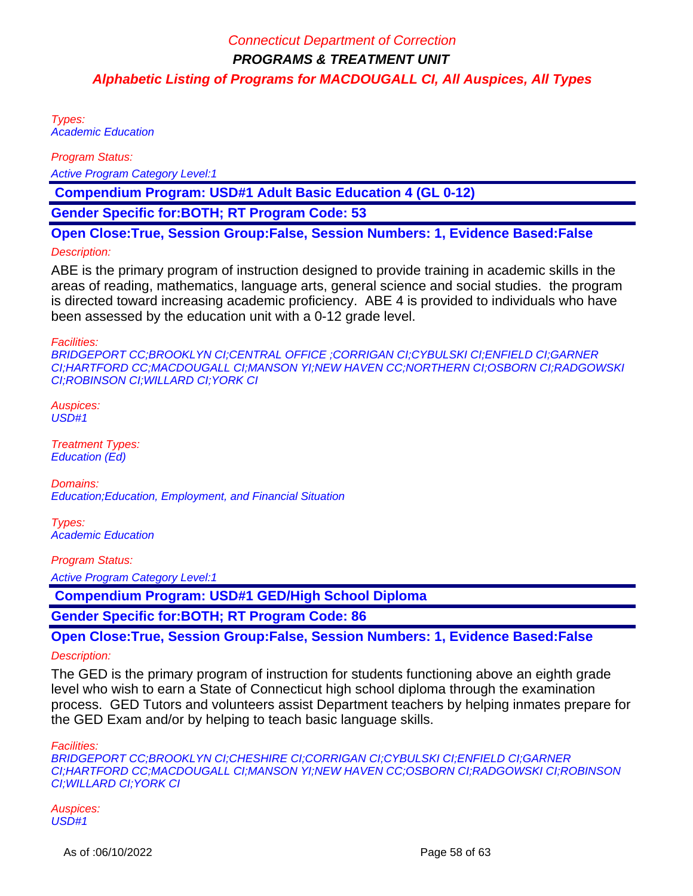Types: Academic Education

Program Status:

Active Program Category Level:1

 **Compendium Program: USD#1 Adult Basic Education 4 (GL 0-12)**

**Gender Specific for:BOTH; RT Program Code: 53**

**Open Close:True, Session Group:False, Session Numbers: 1, Evidence Based:False**

## Description:

ABE is the primary program of instruction designed to provide training in academic skills in the areas of reading, mathematics, language arts, general science and social studies. the program is directed toward increasing academic proficiency. ABE 4 is provided to individuals who have been assessed by the education unit with a 0-12 grade level.

Facilities:

BRIDGEPORT CC;BROOKLYN CI;CENTRAL OFFICE ;CORRIGAN CI;CYBULSKI CI;ENFIELD CI;GARNER CI;HARTFORD CC;MACDOUGALL CI;MANSON YI;NEW HAVEN CC;NORTHERN CI;OSBORN CI;RADGOWSKI CI;ROBINSON CI;WILLARD CI;YORK CI

Auspices: USD#1

Treatment Types: Education (Ed)

Domains: Education;Education, Employment, and Financial Situation

Types: Academic Education

Program Status:

Active Program Category Level:1

 **Compendium Program: USD#1 GED/High School Diploma**

**Gender Specific for:BOTH; RT Program Code: 86**

**Open Close:True, Session Group:False, Session Numbers: 1, Evidence Based:False**

Description:

The GED is the primary program of instruction for students functioning above an eighth grade level who wish to earn a State of Connecticut high school diploma through the examination process. GED Tutors and volunteers assist Department teachers by helping inmates prepare for the GED Exam and/or by helping to teach basic language skills.

Facilities:

BRIDGEPORT CC;BROOKLYN CI;CHESHIRE CI;CORRIGAN CI;CYBULSKI CI;ENFIELD CI;GARNER CI;HARTFORD CC;MACDOUGALL CI;MANSON YI;NEW HAVEN CC;OSBORN CI;RADGOWSKI CI;ROBINSON CI;WILLARD CI;YORK CI

Auspices: USD#1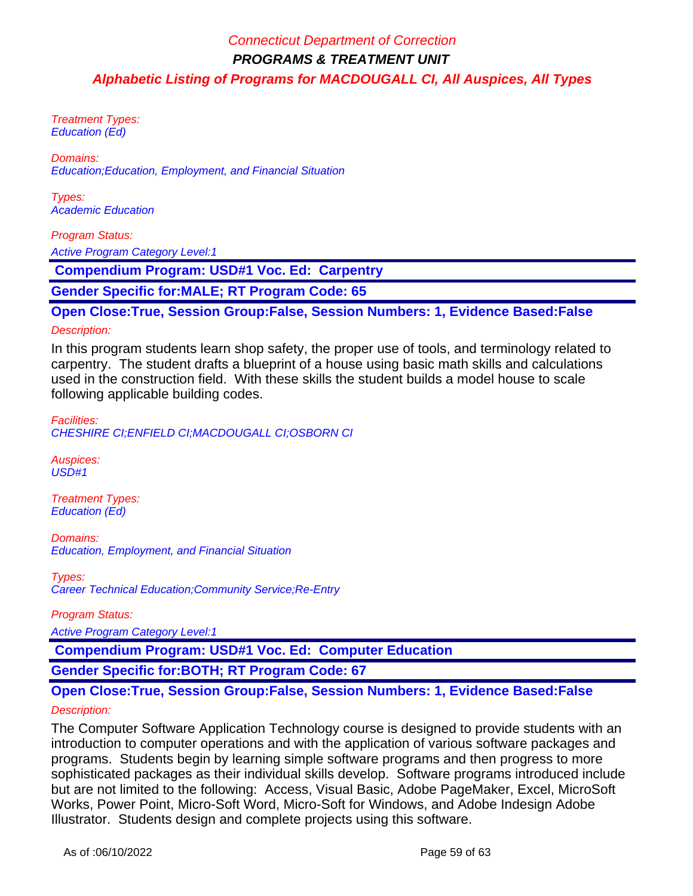Treatment Types: Education (Ed)

Domains: Education;Education, Employment, and Financial Situation

Types: Academic Education

## Program Status:

Active Program Category Level:1

 **Compendium Program: USD#1 Voc. Ed: Carpentry**

**Gender Specific for:MALE; RT Program Code: 65**

## **Open Close:True, Session Group:False, Session Numbers: 1, Evidence Based:False**

## Description:

In this program students learn shop safety, the proper use of tools, and terminology related to carpentry. The student drafts a blueprint of a house using basic math skills and calculations used in the construction field. With these skills the student builds a model house to scale following applicable building codes.

Facilities: CHESHIRE CI;ENFIELD CI;MACDOUGALL CI;OSBORN CI

Auspices: USD#1

Treatment Types: Education (Ed)

Domains: Education, Employment, and Financial Situation

Types: Career Technical Education;Community Service;Re-Entry

Program Status:

Active Program Category Level:1

 **Compendium Program: USD#1 Voc. Ed: Computer Education**

**Gender Specific for:BOTH; RT Program Code: 67**

## **Open Close:True, Session Group:False, Session Numbers: 1, Evidence Based:False**

#### Description:

The Computer Software Application Technology course is designed to provide students with an introduction to computer operations and with the application of various software packages and programs. Students begin by learning simple software programs and then progress to more sophisticated packages as their individual skills develop. Software programs introduced include but are not limited to the following: Access, Visual Basic, Adobe PageMaker, Excel, MicroSoft Works, Power Point, Micro-Soft Word, Micro-Soft for Windows, and Adobe Indesign Adobe Illustrator. Students design and complete projects using this software.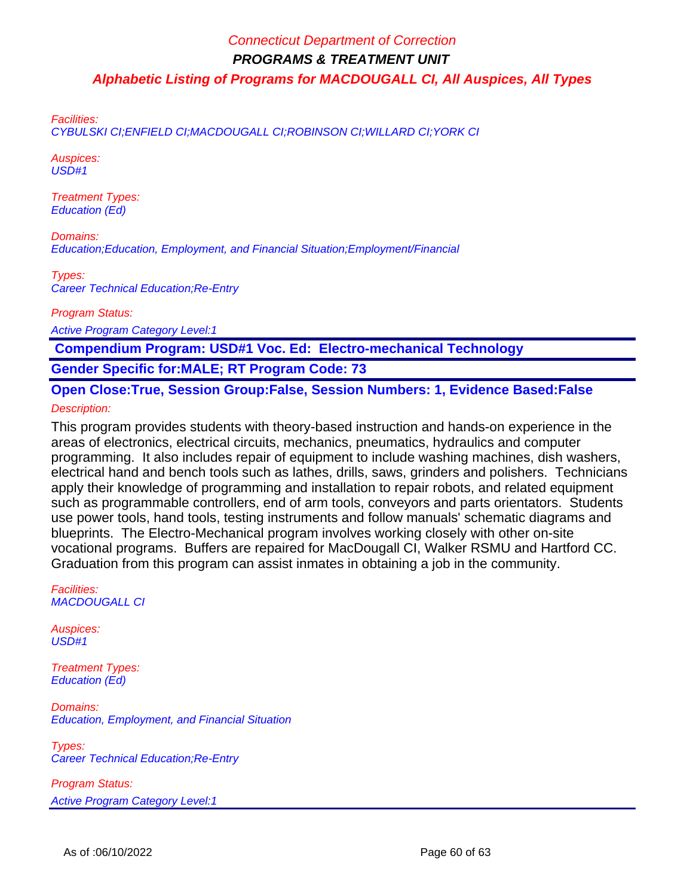Facilities:

CYBULSKI CI;ENFIELD CI;MACDOUGALL CI;ROBINSON CI;WILLARD CI;YORK CI

Auspices: USD#1

Treatment Types: Education (Ed)

Domains: Education;Education, Employment, and Financial Situation;Employment/Financial

Types: Career Technical Education;Re-Entry

Program Status:

Active Program Category Level:1

 **Compendium Program: USD#1 Voc. Ed: Electro-mechanical Technology**

**Gender Specific for:MALE; RT Program Code: 73**

**Open Close:True, Session Group:False, Session Numbers: 1, Evidence Based:False**

Description:

This program provides students with theory-based instruction and hands-on experience in the areas of electronics, electrical circuits, mechanics, pneumatics, hydraulics and computer programming. It also includes repair of equipment to include washing machines, dish washers, electrical hand and bench tools such as lathes, drills, saws, grinders and polishers. Technicians apply their knowledge of programming and installation to repair robots, and related equipment such as programmable controllers, end of arm tools, conveyors and parts orientators. Students use power tools, hand tools, testing instruments and follow manuals' schematic diagrams and blueprints. The Electro-Mechanical program involves working closely with other on-site vocational programs. Buffers are repaired for MacDougall CI, Walker RSMU and Hartford CC. Graduation from this program can assist inmates in obtaining a job in the community.

Facilities: MACDOUGALL CI

Auspices: USD#1

Treatment Types: Education (Ed)

Domains: Education, Employment, and Financial Situation

Types: Career Technical Education;Re-Entry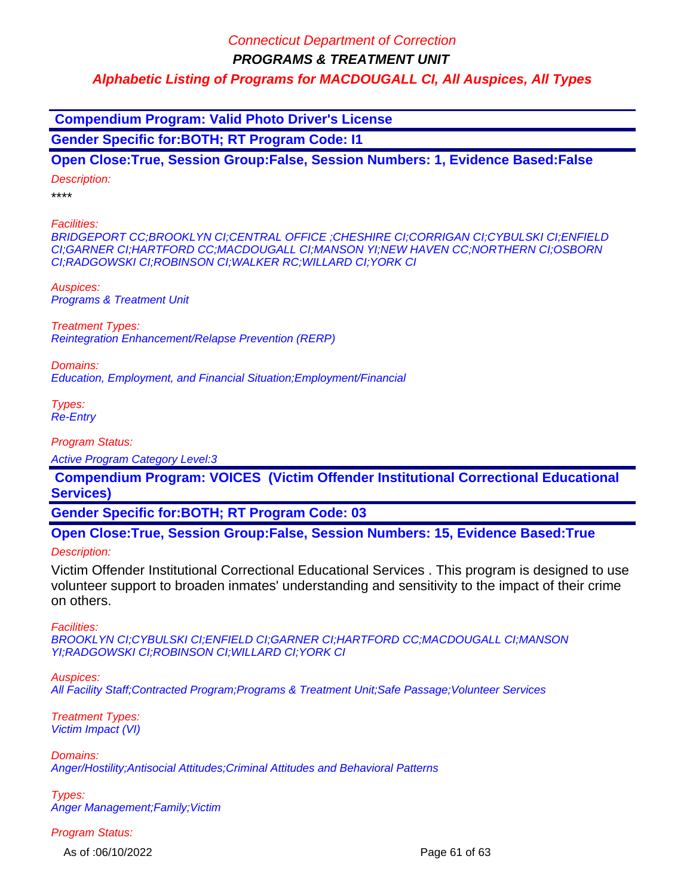**PROGRAMS & TREATMENT UNIT**

**Alphabetic Listing of Programs for MACDOUGALL CI, All Auspices, All Types**

 **Compendium Program: Valid Photo Driver's License**

**Gender Specific for:BOTH; RT Program Code: I1**

**Open Close:True, Session Group:False, Session Numbers: 1, Evidence Based:False**

Description:

\*\*\*\*

Facilities:

BRIDGEPORT CC;BROOKLYN CI;CENTRAL OFFICE ;CHESHIRE CI;CORRIGAN CI;CYBULSKI CI;ENFIELD CI;GARNER CI;HARTFORD CC;MACDOUGALL CI;MANSON YI;NEW HAVEN CC;NORTHERN CI;OSBORN CI;RADGOWSKI CI;ROBINSON CI;WALKER RC;WILLARD CI;YORK CI

Auspices: Programs & Treatment Unit

Treatment Types: Reintegration Enhancement/Relapse Prevention (RERP)

Domains: Education, Employment, and Financial Situation;Employment/Financial

Types: Re-Entry

Program Status:

Active Program Category Level:3

 **Compendium Program: VOICES (Victim Offender Institutional Correctional Educational Services)**

**Gender Specific for:BOTH; RT Program Code: 03**

**Open Close:True, Session Group:False, Session Numbers: 15, Evidence Based:True**

#### Description:

Victim Offender Institutional Correctional Educational Services . This program is designed to use volunteer support to broaden inmates' understanding and sensitivity to the impact of their crime on others.

Facilities:

BROOKLYN CI;CYBULSKI CI;ENFIELD CI;GARNER CI;HARTFORD CC;MACDOUGALL CI;MANSON YI;RADGOWSKI CI;ROBINSON CI;WILLARD CI;YORK CI

Auspices:

All Facility Staff;Contracted Program;Programs & Treatment Unit;Safe Passage;Volunteer Services

Treatment Types: Victim Impact (VI)

Domains: Anger/Hostility;Antisocial Attitudes;Criminal Attitudes and Behavioral Patterns

Types: Anger Management;Family;Victim

Program Status:

As of :06/10/2022 **Page 61 of 63**